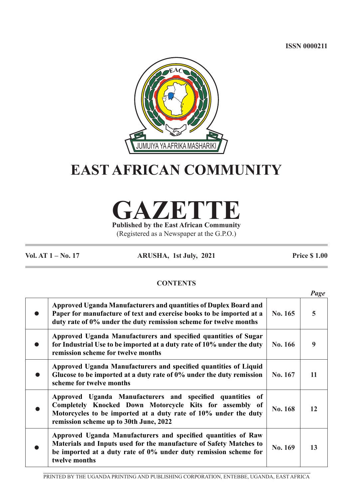**ISSN 0000211**



# **EAST AFRICAN COMMUNITY**

**GAZETTE Published by the East African Community**

(Registered as a Newspaper at the G.P.O.)

**Vol. AT 1 – No. 17 ARUSHA, 1st July, 2021 Price \$ 1.00**

# **CONTENTS**

|                                                                                                                                                                                                                                   |         | Page |
|-----------------------------------------------------------------------------------------------------------------------------------------------------------------------------------------------------------------------------------|---------|------|
| Approved Uganda Manufacturers and quantities of Duplex Board and<br>Paper for manufacture of text and exercise books to be imported at a<br>duty rate of 0% under the duty remission scheme for twelve months                     | No. 165 | 5    |
| Approved Uganda Manufacturers and specified quantities of Sugar<br>for Industrial Use to be imported at a duty rate of 10% under the duty<br>remission scheme for twelve months                                                   | No. 166 | 9    |
| Approved Uganda Manufacturers and specified quantities of Liquid<br>Glucose to be imported at a duty rate of 0% under the duty remission<br>scheme for twelve months                                                              | No. 167 | 11   |
| Approved Uganda Manufacturers and specified quantities of<br>Completely Knocked Down Motorcycle Kits for assembly of<br>Motorcycles to be imported at a duty rate of 10% under the duty<br>remission scheme up to 30th June, 2022 | No. 168 | 12   |
| Approved Uganda Manufacturers and specified quantities of Raw<br>Materials and Inputs used for the manufacture of Safety Matches to<br>be imported at a duty rate of 0% under duty remission scheme for<br>twelve months          | No. 169 | 13   |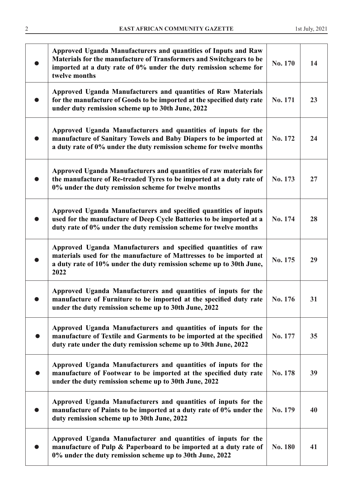| Approved Uganda Manufacturers and quantities of Inputs and Raw<br>Materials for the manufacture of Transformers and Switchgears to be<br>imported at a duty rate of 0% under the duty remission scheme for<br>twelve months | No. 170 | 14 |
|-----------------------------------------------------------------------------------------------------------------------------------------------------------------------------------------------------------------------------|---------|----|
| Approved Uganda Manufacturers and quantities of Raw Materials<br>for the manufacture of Goods to be imported at the specified duty rate<br>under duty remission scheme up to 30th June, 2022                                | No. 171 | 23 |
| Approved Uganda Manufacturers and quantities of inputs for the<br>manufacture of Sanitary Towels and Baby Diapers to be imported at<br>a duty rate of 0% under the duty remission scheme for twelve months                  | No. 172 | 24 |
| Approved Uganda Manufacturers and quantities of raw materials for<br>the manufacture of Re-treaded Tyres to be imported at a duty rate of<br>0% under the duty remission scheme for twelve months                           | No. 173 | 27 |
| Approved Uganda Manufacturers and specified quantities of inputs<br>used for the manufacture of Deep Cycle Batteries to be imported at a<br>duty rate of 0% under the duty remission scheme for twelve months               | No. 174 | 28 |
| Approved Uganda Manufacturers and specified quantities of raw<br>materials used for the manufacture of Mattresses to be imported at<br>a duty rate of 10% under the duty remission scheme up to 30th June,<br>2022          | No. 175 | 29 |
| Approved Uganda Manufacturers and quantities of inputs for the<br>manufacture of Furniture to be imported at the specified duty rate<br>under the duty remission scheme up to 30th June, 2022                               | No. 176 | 31 |
| Approved Uganda Manufacturers and quantities of inputs for the<br>manufacture of Textile and Garments to be imported at the specified<br>duty rate under the duty remission scheme up to 30th June, 2022                    | No. 177 | 35 |
| Approved Uganda Manufacturers and quantities of inputs for the<br>manufacture of Footwear to be imported at the specified duty rate<br>under the duty remission scheme up to 30th June, 2022                                | No. 178 | 39 |
| Approved Uganda Manufacturers and quantities of inputs for the<br>manufacture of Paints to be imported at a duty rate of 0% under the<br>duty remission scheme up to 30th June, 2022                                        | No. 179 | 40 |
| Approved Uganda Manufacturer and quantities of inputs for the<br>manufacture of Pulp & Paperboard to be imported at a duty rate of<br>0% under the duty remission scheme up to 30th June, 2022                              | No. 180 | 41 |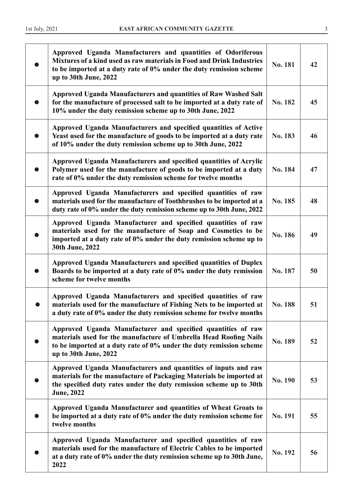| Approved Uganda Manufacturers and quantities of Odoriferous<br>Mixtures of a kind used as raw materials in Food and Drink Industries<br>to be imported at a duty rate of 0% under the duty remission scheme<br>up to 30th June, 2022 | No. 181 | 42 |
|--------------------------------------------------------------------------------------------------------------------------------------------------------------------------------------------------------------------------------------|---------|----|
| Approved Uganda Manufacturers and quantities of Raw Washed Salt<br>for the manufacture of processed salt to be imported at a duty rate of<br>10% under the duty remission scheme up to 30th June, 2022                               | No. 182 | 45 |
| Approved Uganda Manufacturers and specified quantities of Active<br>Yeast used for the manufacture of goods to be imported at a duty rate<br>of 10% under the duty remission scheme up to 30th June, 2022                            | No. 183 | 46 |
| Approved Uganda Manufacturers and specified quantities of Acrylic<br>Polymer used for the manufacture of goods to be imported at a duty<br>rate of 0% under the duty remission scheme for twelve months                              | No. 184 | 47 |
| Approved Uganda Manufacturers and specified quantities of raw<br>materials used for the manufacture of Toothbrushes to be imported at a<br>duty rate of 0% under the duty remission scheme up to 30th June, 2022                     | No. 185 | 48 |
| Approved Uganda Manufacturer and specified quantities of raw<br>materials used for the manufacture of Soap and Cosmetics to be<br>imported at a duty rate of 0% under the duty remission scheme up to<br>30th June, 2022             | No. 186 | 49 |
| Approved Uganda Manufacturers and specified quantities of Duplex<br>Boards to be imported at a duty rate of 0% under the duty remission<br>scheme for twelve months                                                                  | No. 187 | 50 |
| Approved Uganda Manufacturers and specified quantities of raw<br>materials used for the manufacture of Fishing Nets to be imported at<br>a duty rate of 0% under the duty remission scheme for twelve months                         | No. 188 | 51 |
| Approved Uganda Manufacturer and specified quantities of raw<br>materials used for the manufacture of Umbrella Head Roofing Nails<br>to be imported at a duty rate of 0% under the duty remission scheme<br>up to 30th June, 2022    | No. 189 | 52 |
| Approved Uganda Manufacturers and quantities of inputs and raw<br>materials for the manufacture of Packaging Materials be imported at<br>the specified duty rates under the duty remission scheme up to 30th<br><b>June</b> , 2022   | No. 190 | 53 |
| Approved Uganda Manufacturer and quantities of Wheat Groats to<br>be imported at a duty rate of 0% under the duty remission scheme for<br>twelve months                                                                              | No. 191 | 55 |
| Approved Uganda Manufacturer and specified quantities of raw<br>materials used for the manufacture of Electric Cables to be imported<br>at a duty rate of 0% under the duty remission scheme up to 30th June,<br>2022                | No. 192 | 56 |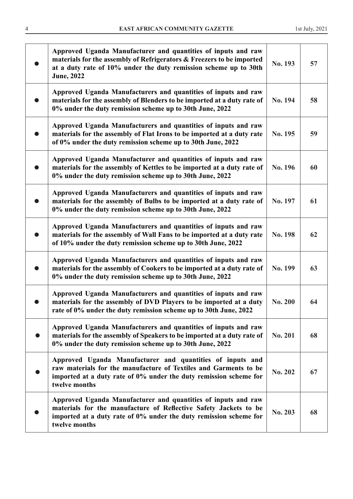| Approved Uganda Manufacturer and quantities of inputs and raw<br>materials for the assembly of Refrigerators & Freezers to be imported<br>at a duty rate of 10% under the duty remission scheme up to 30th                  | No. 193        | 57 |
|-----------------------------------------------------------------------------------------------------------------------------------------------------------------------------------------------------------------------------|----------------|----|
| <b>June</b> , 2022<br>Approved Uganda Manufacturers and quantities of inputs and raw<br>materials for the assembly of Blenders to be imported at a duty rate of<br>0% under the duty remission scheme up to 30th June, 2022 | No. 194        | 58 |
| Approved Uganda Manufacturers and quantities of inputs and raw<br>materials for the assembly of Flat Irons to be imported at a duty rate<br>of 0% under the duty remission scheme up to 30th June, 2022                     | No. 195        | 59 |
| Approved Uganda Manufacturer and quantities of inputs and raw<br>materials for the assembly of Kettles to be imported at a duty rate of<br>0% under the duty remission scheme up to 30th June, 2022                         | No. 196        | 60 |
| Approved Uganda Manufacturers and quantities of inputs and raw<br>materials for the assembly of Bulbs to be imported at a duty rate of<br>0% under the duty remission scheme up to 30th June, 2022                          | No. 197        | 61 |
| Approved Uganda Manufacturers and quantities of inputs and raw<br>materials for the assembly of Wall Fans to be imported at a duty rate<br>of 10% under the duty remission scheme up to 30th June, 2022                     | No. 198        | 62 |
| Approved Uganda Manufacturers and quantities of inputs and raw<br>materials for the assembly of Cookers to be imported at a duty rate of<br>0% under the duty remission scheme up to 30th June, 2022                        | No. 199        | 63 |
| Approved Uganda Manufacturers and quantities of inputs and raw<br>materials for the assembly of DVD Players to be imported at a duty<br>rate of 0% under the duty remission scheme up to 30th June, 2022                    | No. 200        | 64 |
| Approved Uganda Manufacturers and quantities of inputs and raw<br>materials for the assembly of Speakers to be imported at a duty rate of<br>0% under the duty remission scheme up to 30th June, 2022                       | <b>No. 201</b> | 68 |
| Approved Uganda Manufacturer and quantities of inputs and<br>raw materials for the manufacture of Textiles and Garments to be<br>imported at a duty rate of 0% under the duty remission scheme for<br>twelve months         | No. 202        | 67 |
| Approved Uganda Manufacturer and quantities of inputs and raw<br>materials for the manufacture of Reflective Safety Jackets to be<br>imported at a duty rate of 0% under the duty remission scheme for<br>twelve months     | No. 203        | 68 |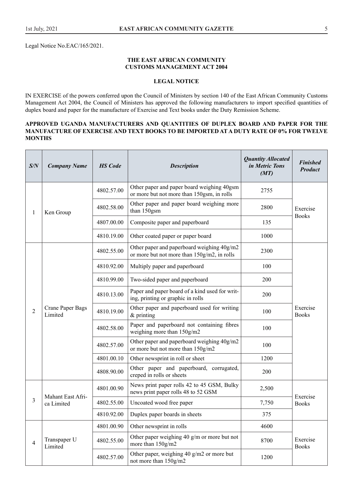Legal Notice No.EAC/165/2021.

#### **THE EAST AFRICAN COMMUNITY CUSTOMS MANAGEMENT ACT 2004**

# **LEGAL NOTICE**

IN EXERCISE of the powers conferred upon the Council of Ministers by section 140 of the East African Community Customs Management Act 2004, the Council of Ministers has approved the following manufacturers to import specified quantities of duplex board and paper for the manufacture of Exercise and Text books under the Duty Remission Scheme.

### **APPROVED UGANDA MANUFACTURERS AND QUANTITIES OF DUPLEX BOARD AND PAPER FOR THE MANUFACTURE OF EXERCISE AND TEXT BOOKS TO BE IMPORTED AT A DUTY RATE OF 0% FOR TWELVE MONTHS**

| S/N            | <b>Company Name</b>         | <b>HS</b> Code | <b>Description</b>                                                                        | <b>Quantity Allocated</b><br>in Metric Tons<br>(MT) | <b>Finished</b><br><b>Product</b> |
|----------------|-----------------------------|----------------|-------------------------------------------------------------------------------------------|-----------------------------------------------------|-----------------------------------|
|                |                             | 4802.57.00     | Other paper and paper board weighing 40gsm<br>or more but not more than 150gsm, in rolls  | 2755                                                |                                   |
| 1              | Ken Group                   | 4802.58.00     | Other paper and paper board weighing more<br>than 150gsm                                  | 2800                                                | Exercise                          |
|                |                             | 4807.00.00     | Composite paper and paperboard                                                            | 135                                                 | <b>Books</b>                      |
|                |                             | 4810.19.00     | Other coated paper or paper board                                                         | 1000                                                |                                   |
|                |                             | 4802.55.00     | Other paper and paperboard weighing 40g/m2<br>or more but not more than 150g/m2, in rolls | 2300                                                |                                   |
|                |                             | 4810.92.00     | Multiply paper and paperboard                                                             | 100                                                 |                                   |
|                | Crane Paper Bags<br>Limited | 4810.99.00     | Two-sided paper and paperboard                                                            | 200                                                 |                                   |
| $\overline{2}$ |                             | 4810.13.00     | Paper and paper board of a kind used for writ-<br>ing, printing or graphic in rolls       | 200                                                 |                                   |
|                |                             | 4810.19.00     | Other paper and paperboard used for writing<br>$&$ printing                               | 100                                                 | Exercise<br><b>Books</b>          |
|                |                             | 4802.58.00     | Paper and paperboard not containing fibres<br>weighing more than 150g/m2                  | 100                                                 |                                   |
|                |                             | 4802.57.00     | Other paper and paperboard weighing 40g/m2<br>or more but not more than 150g/m2           | 100                                                 |                                   |
|                |                             | 4801.00.10     | Other newsprint in roll or sheet                                                          | 1200                                                |                                   |
|                |                             | 4808.90.00     | Other paper and paperboard, corrugated,<br>creped in rolls or sheets                      | 200                                                 |                                   |
|                | Mahant East Afri-           | 4801.00.90     | News print paper rolls 42 to 45 GSM, Bulky<br>news print paper rolls 48 to 52 GSM         | 2,500                                               | Exercise                          |
| 3              | ca Limited                  | 4802.55.00     | Uncoated wood free paper                                                                  | 7,750                                               | <b>Books</b>                      |
|                |                             | 4810.92.00     | Duplex paper boards in sheets                                                             | 375                                                 |                                   |
|                |                             | 4801.00.90     | Other newsprint in rolls                                                                  | 4600                                                |                                   |
| $\overline{4}$ | Transpaper U<br>Limited     | 4802.55.00     | Other paper weighing 40 g/m or more but not<br>more than 150g/m2                          | 8700                                                | Exercise<br><b>Books</b>          |
|                |                             | 4802.57.00     | Other paper, weighing 40 g/m2 or more but<br>not more than 150g/m2                        | 1200                                                |                                   |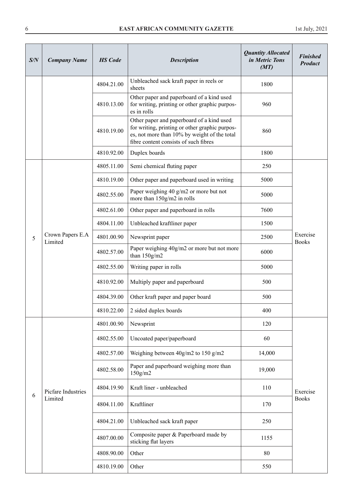| S/N | <b>Company Name</b>         | <b>HS</b> Code | <b>Description</b>                                                                                                                                                                   | <b>Quantity Allocated</b><br>in Metric Tons<br>(MT) | <b>Finished</b><br><b>Product</b> |
|-----|-----------------------------|----------------|--------------------------------------------------------------------------------------------------------------------------------------------------------------------------------------|-----------------------------------------------------|-----------------------------------|
|     |                             | 4804.21.00     | Unbleached sack kraft paper in reels or<br>sheets                                                                                                                                    | 1800                                                |                                   |
|     |                             | 4810.13.00     | Other paper and paperboard of a kind used<br>for writing, printing or other graphic purpos-<br>es in rolls                                                                           | 960                                                 |                                   |
|     |                             | 4810.19.00     | Other paper and paperboard of a kind used<br>for writing, printing or other graphic purpos-<br>es, not more than 10% by weight of the total<br>fibre content consists of such fibres | 860                                                 |                                   |
|     |                             | 4810.92.00     | Duplex boards                                                                                                                                                                        | 1800                                                |                                   |
|     |                             | 4805.11.00     | Semi chemical fluting paper                                                                                                                                                          | 250                                                 |                                   |
|     |                             | 4810.19.00     | Other paper and paperboard used in writing                                                                                                                                           | 5000                                                |                                   |
|     |                             | 4802.55.00     | Paper weighing 40 g/m2 or more but not<br>more than 150g/m2 in rolls                                                                                                                 | 5000                                                |                                   |
|     |                             | 4802.61.00     | Other paper and paperboard in rolls                                                                                                                                                  | 7600                                                |                                   |
| 5   | Crown Papers E.A<br>Limited | 4804.11.00     | Unbleached kraftliner paper                                                                                                                                                          | 1500                                                |                                   |
|     |                             | 4801.00.90     | Newsprint paper                                                                                                                                                                      | 2500                                                | Exercise<br><b>Books</b>          |
|     |                             | 4802.57.00     | Paper weighing 40g/m2 or more but not more<br>than $150g/m2$                                                                                                                         | 6000                                                |                                   |
|     |                             | 4802.55.00     | Writing paper in rolls                                                                                                                                                               | 5000                                                |                                   |
|     |                             | 4810.92.00     | Multiply paper and paperboard                                                                                                                                                        | 500                                                 |                                   |
|     |                             | 4804.39.00     | Other kraft paper and paper board                                                                                                                                                    | 500                                                 |                                   |
|     |                             | 4810.22.00     | 2 sided duplex boards                                                                                                                                                                | 400                                                 |                                   |
|     |                             | 4801.00.90     | Newsprint                                                                                                                                                                            | 120                                                 |                                   |
|     |                             | 4802.55.00     | Uncoated paper/paperboard                                                                                                                                                            | 60                                                  |                                   |
|     |                             | 4802.57.00     | Weighing between $40g/m2$ to 150 g/m2                                                                                                                                                | 14,000                                              |                                   |
|     |                             | 4802.58.00     | Paper and paperboard weighing more than<br>150g/m2                                                                                                                                   | 19,000                                              |                                   |
| 6   | Picfare Industries          | 4804.19.90     | Kraft liner - unbleached                                                                                                                                                             | 110                                                 | Exercise                          |
|     | Limited                     | 4804.11.00     | Kraftliner                                                                                                                                                                           | 170                                                 | <b>Books</b>                      |
|     |                             | 4804.21.00     | Unbleached sack kraft paper                                                                                                                                                          | 250                                                 |                                   |
|     |                             | 4807.00.00     | Composite paper & Paperboard made by<br>sticking flat layers                                                                                                                         | 1155                                                |                                   |
|     |                             | 4808.90.00     | Other                                                                                                                                                                                | 80                                                  |                                   |
|     |                             | 4810.19.00     | Other                                                                                                                                                                                | 550                                                 |                                   |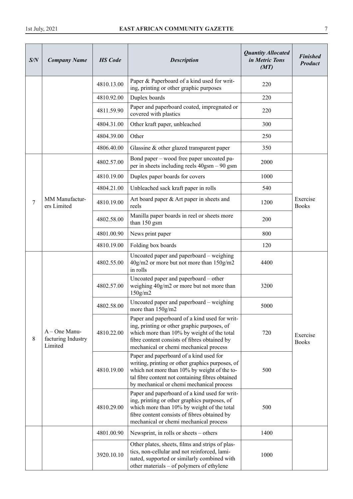| S/N | <b>Company Name</b>                            | <b>HS</b> Code | <b>Description</b>                                                                                                                                                                                                                           | <b>Quantity Allocated</b><br>in Metric Tons<br>(MT) | <b>Finished</b><br><b>Product</b> |
|-----|------------------------------------------------|----------------|----------------------------------------------------------------------------------------------------------------------------------------------------------------------------------------------------------------------------------------------|-----------------------------------------------------|-----------------------------------|
|     |                                                | 4810.13.00     | Paper & Paperboard of a kind used for writ-<br>ing, printing or other graphic purposes                                                                                                                                                       | 220                                                 |                                   |
|     |                                                | 4810.92.00     | Duplex boards                                                                                                                                                                                                                                | 220                                                 |                                   |
|     |                                                | 4811.59.90     | Paper and paperboard coated, impregnated or<br>covered with plastics                                                                                                                                                                         | 220                                                 |                                   |
|     |                                                | 4804.31.00     | Other kraft paper, unbleached                                                                                                                                                                                                                | 300                                                 |                                   |
|     |                                                | 4804.39.00     | Other                                                                                                                                                                                                                                        | 250                                                 |                                   |
|     |                                                | 4806.40.00     | Glassine $&$ other glazed transparent paper                                                                                                                                                                                                  | 350                                                 |                                   |
|     |                                                | 4802.57.00     | Bond paper – wood free paper uncoated pa-<br>per in sheets including reels 40gsm - 90 gsm                                                                                                                                                    | 2000                                                |                                   |
|     |                                                | 4810.19.00     | Duplex paper boards for covers                                                                                                                                                                                                               | 1000                                                |                                   |
|     |                                                | 4804.21.00     | Unbleached sack kraft paper in rolls                                                                                                                                                                                                         | 540                                                 |                                   |
| 7   | MM Manufactur-<br>ers Limited                  | 4810.19.00     | Art board paper & Art paper in sheets and<br>reels                                                                                                                                                                                           | 1200                                                | Exercise<br><b>Books</b>          |
|     |                                                | 4802.58.00     | Manilla paper boards in reel or sheets more<br>than 150 gsm                                                                                                                                                                                  | 200                                                 |                                   |
|     |                                                | 4801.00.90     | News print paper                                                                                                                                                                                                                             | 800                                                 |                                   |
|     |                                                | 4810.19.00     | Folding box boards                                                                                                                                                                                                                           | 120                                                 |                                   |
|     | A – One Manu-<br>facturing Industry<br>Limited | 4802.55.00     | Uncoated paper and paperboard - weighing<br>40g/m2 or more but not more than 150g/m2<br>in rolls                                                                                                                                             | 4400                                                |                                   |
|     |                                                | 4802.57.00     | Uncoated paper and paperboard – other<br>weighing 40g/m2 or more but not more than<br>150g/m2                                                                                                                                                | 3200                                                |                                   |
|     |                                                | 4802.58.00     | Uncoated paper and paperboard – weighing<br>more than 150g/m2                                                                                                                                                                                | 5000                                                |                                   |
| 8   |                                                | 4810.22.00     | Paper and paperboard of a kind used for writ-<br>ing, printing or other graphic purposes, of<br>which more than 10% by weight of the total<br>fibre content consists of fibres obtained by<br>mechanical or chemi mechanical process         | 720                                                 | Exercise<br><b>Books</b>          |
|     |                                                | 4810.19.00     | Paper and paperboard of a kind used for<br>writing, printing or other graphics purposes, of<br>which not more than 10% by weight of the to-<br>tal fibre content not containing fibres obtained<br>by mechanical or chemi mechanical process | 500                                                 |                                   |
|     |                                                | 4810.29.00     | Paper and paperboard of a kind used for writ-<br>ing, printing or other graphics purposes, of<br>which more than 10% by weight of the total<br>fibre content consists of fibres obtained by<br>mechanical or chemi mechanical process        | 500                                                 |                                   |
|     |                                                | 4801.00.90     | Newsprint, in rolls or sheets – others                                                                                                                                                                                                       | 1400                                                |                                   |
|     |                                                | 3920.10.10     | Other plates, sheets, films and strips of plas-<br>tics, non-cellular and not reinforced, lami-<br>nated, supported or similarly combined with<br>other materials – of polymers of ethylene                                                  | 1000                                                |                                   |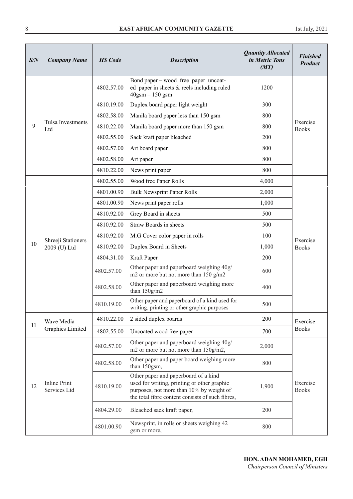| S/N | <b>Company Name</b>                 | <b>HS</b> Code | <b>Description</b>                                                                                                                                                                  | <b>Quantity Allocated</b><br>in Metric Tons<br>(MT) | <b>Finished</b><br><b>Product</b> |
|-----|-------------------------------------|----------------|-------------------------------------------------------------------------------------------------------------------------------------------------------------------------------------|-----------------------------------------------------|-----------------------------------|
|     |                                     | 4802.57.00     | Bond paper – wood free paper uncoat-<br>ed paper in sheets & reels including ruled<br>$40$ gsm $- 150$ gsm                                                                          | 1200                                                |                                   |
|     |                                     | 4810.19.00     | Duplex board paper light weight                                                                                                                                                     | 300                                                 |                                   |
|     |                                     | 4802.58.00     | Manila board paper less than 150 gsm                                                                                                                                                | 800                                                 |                                   |
| 9   | Tulsa Investments<br>Ltd            | 4810.22.00     | Manila board paper more than 150 gsm                                                                                                                                                | 800                                                 | Exercise<br><b>Books</b>          |
|     |                                     | 4802.55.00     | Sack kraft paper bleached                                                                                                                                                           | 200                                                 |                                   |
|     |                                     | 4802.57.00     | Art board paper                                                                                                                                                                     | 800                                                 |                                   |
|     |                                     | 4802.58.00     | Art paper                                                                                                                                                                           | 800                                                 |                                   |
|     |                                     | 4810.22.00     | News print paper                                                                                                                                                                    | 800                                                 |                                   |
|     |                                     | 4802.55.00     | Wood free Paper Rolls                                                                                                                                                               | 4,000                                               |                                   |
|     |                                     | 4801.00.90     | <b>Bulk Newsprint Paper Rolls</b>                                                                                                                                                   | 2,000                                               |                                   |
|     |                                     | 4801.00.90     | News print paper rolls                                                                                                                                                              | 1,000                                               |                                   |
|     | Shreeji Stationers<br>2009 (U) Ltd  | 4810.92.00     | Grey Board in sheets                                                                                                                                                                | 500                                                 |                                   |
|     |                                     | 4810.92.00     | Straw Boards in sheets                                                                                                                                                              | 500                                                 | Exercise<br><b>Books</b>          |
|     |                                     | 4810.92.00     | M.G Cover color paper in rolls                                                                                                                                                      | 100                                                 |                                   |
| 10  |                                     | 4810.92.00     | Duplex Board in Sheets                                                                                                                                                              | 1,000                                               |                                   |
|     |                                     | 4804.31.00     | Kraft Paper                                                                                                                                                                         | 200                                                 |                                   |
|     |                                     | 4802.57.00     | Other paper and paperboard weighing 40g/<br>m2 or more but not more than 150 g/m2                                                                                                   | 600                                                 |                                   |
|     |                                     | 4802.58.00     | Other paper and paperboard weighing more<br>than $150$ g/m2                                                                                                                         | 400                                                 |                                   |
|     |                                     | 4810.19.00     | Other paper and paperboard of a kind used for<br>writing, printing or other graphic purposes                                                                                        | 500                                                 |                                   |
|     | Wave Media                          | 4810.22.00     | 2 sided duplex boards                                                                                                                                                               | 200                                                 | Exercise                          |
| 11  | Graphics Limited                    | 4802.55.00     | Uncoated wood free paper                                                                                                                                                            | 700                                                 | <b>Books</b>                      |
|     |                                     | 4802.57.00     | Other paper and paperboard weighing 40g/<br>m2 or more but not more than 150g/m2,                                                                                                   | 2,000                                               |                                   |
|     |                                     | 4802.58.00     | Other paper and paper board weighing more<br>than 150gsm,                                                                                                                           | 800                                                 |                                   |
| 12  | <b>Inline Print</b><br>Services Ltd | 4810.19.00     | Other paper and paperboard of a kind<br>used for writing, printing or other graphic<br>purposes, not more than 10% by weight of<br>the total fibre content consists of such fibres, | 1,900                                               | Exercise<br><b>Books</b>          |
|     |                                     | 4804.29.00     | Bleached sack kraft paper,                                                                                                                                                          | 200                                                 |                                   |
|     |                                     | 4801.00.90     | Newsprint, in rolls or sheets weighing 42<br>gsm or more,                                                                                                                           | 800                                                 |                                   |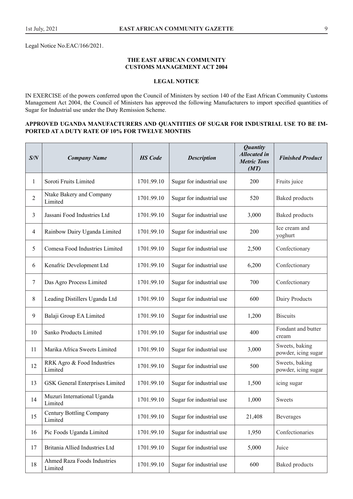Legal Notice No.EAC/166/2021.

#### **THE EAST AFRICAN COMMUNITY CUSTOMS MANAGEMENT ACT 2004**

# **LEGAL NOTICE**

IN EXERCISE of the powers conferred upon the Council of Ministers by section 140 of the East African Community Customs Management Act 2004, the Council of Ministers has approved the following Manufacturers to import specified quantities of Sugar for Industrial use under the Duty Remission Scheme.

#### **APPROVED UGANDA MANUFACTURERS AND QUANTITIES OF SUGAR FOR INDUSTRIAL USE TO BE IM-PORTED AT A DUTY RATE OF 10% FOR TWELVE MONTHS**

| S/N | <b>Company Name</b>                        | <b>HS</b> Code | <b>Description</b>       | <b>Quantity</b><br><b>Allocated in</b><br><b>Metric Tons</b><br>(MT) | <b>Finished Product</b>               |
|-----|--------------------------------------------|----------------|--------------------------|----------------------------------------------------------------------|---------------------------------------|
| 1   | Soroti Fruits Limited                      | 1701.99.10     | Sugar for industrial use | 200                                                                  | Fruits juice                          |
| 2   | Ntake Bakery and Company<br>Limited        | 1701.99.10     | Sugar for industrial use | 520                                                                  | <b>Baked</b> products                 |
| 3   | Jassani Food Industries Ltd                | 1701.99.10     | Sugar for industrial use | 3,000                                                                | <b>Baked</b> products                 |
| 4   | Rainbow Dairy Uganda Limited               | 1701.99.10     | Sugar for industrial use | 200                                                                  | Ice cream and<br>yoghurt              |
| 5   | Comesa Food Industries Limited             | 1701.99.10     | Sugar for industrial use | 2,500                                                                | Confectionary                         |
| 6   | Kenafric Development Ltd                   | 1701.99.10     | Sugar for industrial use | 6,200                                                                | Confectionary                         |
| 7   | Das Agro Process Limited                   | 1701.99.10     | Sugar for industrial use | 700                                                                  | Confectionary                         |
| 8   | Leading Distillers Uganda Ltd              | 1701.99.10     | Sugar for industrial use | 600                                                                  | Dairy Products                        |
| 9   | Balaji Group EA Limited                    | 1701.99.10     | Sugar for industrial use | 1,200                                                                | <b>Biscuits</b>                       |
| 10  | Sanko Products Limited                     | 1701.99.10     | Sugar for industrial use | 400                                                                  | Fondant and butter<br>cream           |
| 11  | Marika Africa Sweets Limited               | 1701.99.10     | Sugar for industrial use | 3,000                                                                | Sweets, baking<br>powder, icing sugar |
| 12  | RRK Agro & Food Industries<br>Limited      | 1701.99.10     | Sugar for industrial use | 500                                                                  | Sweets, baking<br>powder, icing sugar |
| 13  | <b>GSK</b> General Enterprises Limited     | 1701.99.10     | Sugar for industrial use | 1,500                                                                | icing sugar                           |
| 14  | Muzuri International Uganda<br>Limited     | 1701.99.10     | Sugar for industrial use | 1,000                                                                | Sweets                                |
| 15  | <b>Century Bottling Company</b><br>Limited | 1701.99.10     | Sugar for industrial use | 21,408                                                               | <b>Beverages</b>                      |
| 16  | Pic Foods Uganda Limited                   | 1701.99.10     | Sugar for industrial use | 1,950                                                                | Confectionaries                       |
| 17  | Britania Allied Industries Ltd             | 1701.99.10     | Sugar for industrial use | 5,000                                                                | Juice                                 |
| 18  | Ahmed Raza Foods Industries<br>Limited     | 1701.99.10     | Sugar for industrial use | 600                                                                  | <b>Baked</b> products                 |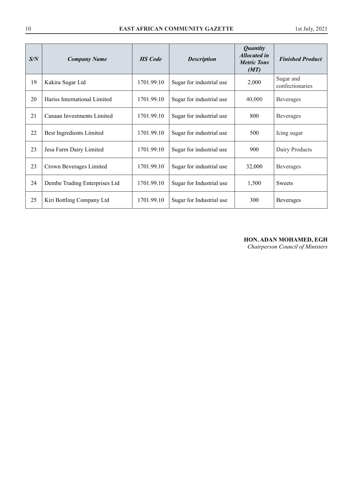| S/N | <b>Company Name</b>           | <b>HS</b> Code | <b>Description</b>       | <i>Quantity</i><br><b>Allocated in</b><br><b>Metric Tons</b><br>(MT) | <b>Finished Product</b>      |
|-----|-------------------------------|----------------|--------------------------|----------------------------------------------------------------------|------------------------------|
| 19  | Kakira Sugar Ltd              | 1701.99.10     | Sugar for industrial use | 2,000                                                                | Sugar and<br>confectionaries |
| 20  | Hariss International Limited  | 1701.99.10     | Sugar for industrial use | 40,000                                                               | <b>Beverages</b>             |
| 21  | Canaan Investments Limited    | 1701.99.10     | Sugar for industrial use | 800                                                                  | <b>Beverages</b>             |
| 22  | Best Ingredients Limited      | 1701.99.10     | Sugar for industrial use | 500                                                                  | Icing sugar                  |
| 23  | Jesa Farm Dairy Limited       | 1701.99.10     | Sugar for industrial use | 900                                                                  | Dairy Products               |
| 23  | Crown Beverages Limited       | 1701.99.10     | Sugar for industrial use | 32,000                                                               | <b>Beverages</b>             |
| 24  | Dembe Trading Enterprises Ltd | 1701.99.10     | Sugar for Industrial use | 1,500                                                                | Sweets                       |
| 25  | Kiri Bottling Company Ltd     | 1701.99.10     | Sugar for Industrial use | 300                                                                  | <b>Beverages</b>             |

# **HON. ADAN MOHAMED, EGH**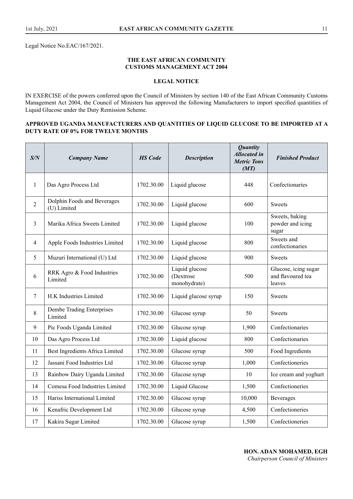Legal Notice No.EAC/167/2021.

#### **THE EAST AFRICAN COMMUNITY CUSTOMS MANAGEMENT ACT 2004**

# **LEGAL NOTICE**

IN EXERCISE of the powers conferred upon the Council of Ministers by section 140 of the East African Community Customs Management Act 2004, the Council of Ministers has approved the following Manufacturers to import specified quantities of Liquid Glucose under the Duty Remission Scheme.

#### **APPROVED UGANDA MANUFACTURERS AND QUANTITIES OF LIQUID GLUCOSE TO BE IMPORTED AT A DUTY RATE OF 0% FOR TWELVE MONTHS**

| S/N            | <b>Company Name</b>                        | <b>HS</b> Code | <b>Description</b>                           | <b>Quantity</b><br><b>Allocated</b> in<br><b>Metric Tons</b><br>(MT) | <b>Finished Product</b>                             |
|----------------|--------------------------------------------|----------------|----------------------------------------------|----------------------------------------------------------------------|-----------------------------------------------------|
| $\mathbf{1}$   | Das Agro Process Ltd                       | 1702.30.00     | Liquid glucose                               | 448                                                                  | Confectionaries                                     |
| $\overline{c}$ | Dolphin Foods and Beverages<br>(U) Limited | 1702.30.00     | Liquid glucose                               | 600                                                                  | <b>Sweets</b>                                       |
| 3              | Marika Africa Sweets Limited               | 1702.30.00     | Liquid glucose                               | 100                                                                  | Sweets, baking<br>powder and icing<br>sugar         |
| 4              | Apple Foods Industries Limited             | 1702.30.00     | Liquid glucose                               | 800                                                                  | Sweets and<br>confectionaries                       |
| 5              | Muzuri International (U) Ltd               | 1702.30.00     | Liquid glucose                               | 900                                                                  | <b>Sweets</b>                                       |
| 6              | RRK Agro & Food Industries<br>Limited      | 1702.30.00     | Liquid glucose<br>(Dextrose)<br>monohydrate) | 500                                                                  | Glucose, icing sugar<br>and flavoured tea<br>leaves |
| 7              | H.K Industries Limited                     | 1702.30.00     | Liquid glucose syrup                         | 150                                                                  | <b>Sweets</b>                                       |
| 8              | Dembe Trading Enterprises<br>Limited       | 1702.30.00     | Glucose syrup                                | 50                                                                   | <b>Sweets</b>                                       |
| 9              | Pic Foods Uganda Limited                   | 1702.30.00     | Glucose syrup                                | 1,900                                                                | Confectionaries                                     |
| 10             | Das Agro Process Ltd                       | 1702.30.00     | Liquid glucose                               | 800                                                                  | Confectionaries                                     |
| 11             | Best Ingredients Africa Limited            | 1702.30.00     | Glucose syrup                                | 500                                                                  | Food Ingredients                                    |
| 12             | Jassani Food Industries Ltd                | 1702.30.00     | Glucose syrup                                | 1,000                                                                | Confectioneries                                     |
| 13             | Rainbow Dairy Uganda Limited               | 1702.30.00     | Glucose syrup                                | 10                                                                   | Ice cream and yoghurt                               |
| 14             | Comesa Food Industries Limited             | 1702.30.00     | Liquid Glucose                               | 1,500                                                                | Confectioneries                                     |
| 15             | Hariss International Limited               | 1702.30.00     | Glucose syrup                                | 10,000                                                               | <b>Beverages</b>                                    |
| 16             | Kenafric Development Ltd                   | 1702.30.00     | Glucose syrup                                | 4,500                                                                | Confectioneries                                     |
| 17             | Kakira Sugar Limited                       | 1702.30.00     | Glucose syrup                                | 1,500                                                                | Confectioneries                                     |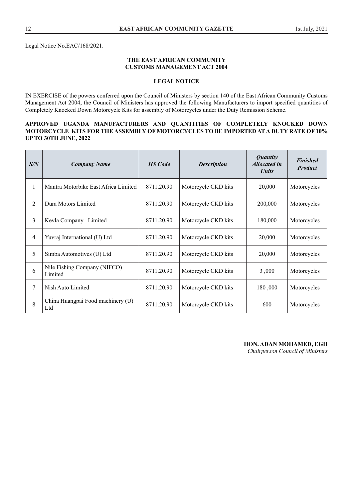Legal Notice No.EAC/168/2021.

#### **THE EAST AFRICAN COMMUNITY CUSTOMS MANAGEMENT ACT 2004**

# **LEGAL NOTICE**

IN EXERCISE of the powers conferred upon the Council of Ministers by section 140 of the East African Community Customs Management Act 2004, the Council of Ministers has approved the following Manufacturers to import specified quantities of Completely Knocked Down Motorcycle Kits for assembly of Motorcycles under the Duty Remission Scheme.

#### **APPROVED UGANDA MANUFACTURERS AND QUANTITIES OF COMPLETELY KNOCKED DOWN MOTORCYCLE KITS FOR THE ASSEMBLY OF MOTORCYCLES TO BE IMPORTED AT A DUTY RATE OF 10% UP TO 30TH JUNE, 2022**

| S/N            | <b>Company Name</b>                      | <b>HS</b> Code | <b>Description</b>  | <b>Quantity</b><br><b>Allocated in</b><br><i>Units</i> | <b>Finished</b><br><b>Product</b> |
|----------------|------------------------------------------|----------------|---------------------|--------------------------------------------------------|-----------------------------------|
| $\mathbf{1}$   | Mantra Motorbike East Africa Limited     | 8711.20.90     | Motorcycle CKD kits | 20,000                                                 | Motorcycles                       |
| $\overline{2}$ | Dura Motors Limited                      | 8711.20.90     | Motorcycle CKD kits | 200,000                                                | Motorcycles                       |
| 3              | Limited<br>Kevla Company                 | 8711.20.90     | Motorcycle CKD kits | 180,000                                                | Motorcycles                       |
| 4              | Yuvraj International (U) Ltd             | 8711.20.90     | Motorcycle CKD kits | 20,000                                                 | Motorcycles                       |
| 5              | Simba Automotives (U) Ltd                | 8711.20.90     | Motorcycle CKD kits | 20,000                                                 | Motorcycles                       |
| 6              | Nile Fishing Company (NIFCO)<br>Limited  | 8711.20.90     | Motorcycle CKD kits | 3,000                                                  | Motorcycles                       |
| 7              | Nish Auto Limited                        | 8711.20.90     | Motorcycle CKD kits | 180,000                                                | Motorcycles                       |
| 8              | China Huangpai Food machinery (U)<br>Ltd | 8711.20.90     | Motorcycle CKD kits | 600                                                    | Motorcycles                       |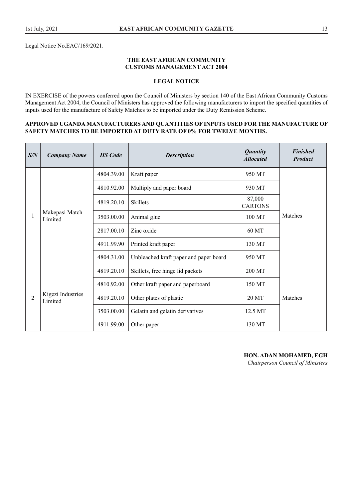Legal Notice No.EAC/169/2021.

#### **THE EAST AFRICAN COMMUNITY CUSTOMS MANAGEMENT ACT 2004**

# **LEGAL NOTICE**

IN EXERCISE of the powers conferred upon the Council of Ministers by section 140 of the East African Community Customs Management Act 2004, the Council of Ministers has approved the following manufacturers to import the specified quantities of inputs used for the manufacture of Safety Matches to be imported under the Duty Remission Scheme.

#### **APPROVED UGANDA MANUFACTURERS AND QUANTITIES OF INPUTS USED FOR THE MANUFACTURE OF SAFETY MATCHES TO BE IMPORTED AT DUTY RATE OF 0% FOR TWELVE MONTHS.**

| S/N | <b>Company Name</b>          | <b>HS</b> Code | <b>Description</b>                     | <b>Quantity</b><br><b>Allocated</b> | <b>Finished</b><br><b>Product</b> |
|-----|------------------------------|----------------|----------------------------------------|-------------------------------------|-----------------------------------|
|     |                              | 4804.39.00     | Kraft paper                            | 950 MT                              |                                   |
|     |                              | 4810.92.00     | Multiply and paper board               | 930 MT                              |                                   |
|     |                              | 4819.20.10     | <b>Skillets</b>                        | 87,000<br><b>CARTONS</b>            |                                   |
|     | Makepasi Match<br>Limited    | 3503.00.00     | Animal glue                            | 100 MT                              | Matches                           |
|     |                              | 2817.00.10     | Zinc oxide                             | 60 MT                               |                                   |
|     |                              | 4911.99.90     | Printed kraft paper                    | 130 MT                              |                                   |
|     |                              | 4804.31.00     | Unbleached kraft paper and paper board | 950 MT                              |                                   |
|     |                              | 4819.20.10     | Skillets, free hinge lid packets       | 200 MT                              |                                   |
|     |                              | 4810.92.00     | Other kraft paper and paperboard       | 150 MT                              |                                   |
| 2   | Kigezi Industries<br>Limited | 4819.20.10     | Other plates of plastic                | 20 MT                               | Matches                           |
|     |                              | 3503.00.00     | Gelatin and gelatin derivatives        | 12.5 MT                             |                                   |
|     |                              | 4911.99.00     | Other paper                            | 130 MT                              |                                   |

#### **HON. ADAN MOHAMED, EGH**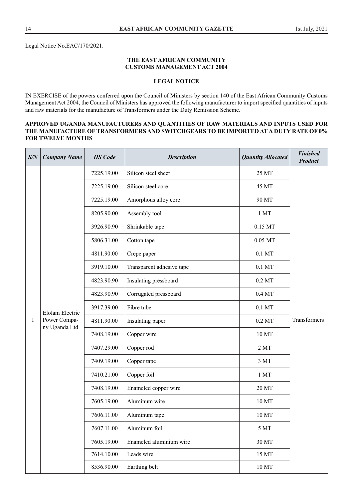Legal Notice No.EAC/170/2021.

#### **THE EAST AFRICAN COMMUNITY CUSTOMS MANAGEMENT ACT 2004**

# **LEGAL NOTICE**

IN EXERCISE of the powers conferred upon the Council of Ministers by section 140 of the East African Community Customs Management Act 2004, the Council of Ministers has approved the following manufacturer to import specified quantities of inputs and raw materials for the manufacture of Transformers under the Duty Remission Scheme.

#### **APPROVED UGANDA MANUFACTURERS AND QUANTITIES OF RAW MATERIALS AND INPUTS USED FOR THE MANUFACTURE OF TRANSFORMERS AND SWITCHGEARS TO BE IMPORTED AT A DUTY RATE OF 0% FOR TWELVE MONTHS**

| S/N          | <b>Company Name</b>                    | <b>HS</b> Code | <b>Description</b>        | <b>Quantity Allocated</b> | <b>Finished</b><br><b>Product</b> |
|--------------|----------------------------------------|----------------|---------------------------|---------------------------|-----------------------------------|
|              |                                        | 7225.19.00     | Silicon steel sheet       | 25 MT                     |                                   |
|              |                                        | 7225.19.00     | Silicon steel core        | 45 MT                     |                                   |
|              |                                        | 7225.19.00     | Amorphous alloy core      | 90 MT                     |                                   |
|              |                                        | 8205.90.00     | Assembly tool             | 1MT                       |                                   |
|              |                                        | 3926.90.90     | Shrinkable tape           | $0.15$ MT                 |                                   |
|              |                                        | 5806.31.00     | Cotton tape               | 0.05 MT                   |                                   |
|              |                                        | 4811.90.00     | Crepe paper               | $0.1$ MT                  |                                   |
|              |                                        | 3919.10.00     | Transparent adhesive tape | $0.1$ MT                  |                                   |
|              | <b>Elolam Electric</b><br>Power Compa- | 4823.90.90     | Insulating pressboard     | $0.2$ MT                  | Transformers                      |
|              |                                        | 4823.90.90     | Corrugated pressboard     | $0.4\,\mathrm{MT}$        |                                   |
|              |                                        | 3917.39.00     | Fibre tube                | $0.1$ MT                  |                                   |
| $\mathbf{1}$ |                                        | 4811.90.00     | Insulating paper          | $0.2$ MT                  |                                   |
|              | ny Uganda Ltd                          | 7408.19.00     | Copper wire               | 10 MT                     |                                   |
|              |                                        | 7407.29.00     | Copper rod                | 2MT                       |                                   |
|              |                                        | 7409.19.00     | Copper tape               | 3 MT                      |                                   |
|              |                                        | 7410.21.00     | Copper foil               | 1 MT                      |                                   |
|              |                                        | 7408.19.00     | Enameled copper wire      | 20 MT                     |                                   |
|              |                                        | 7605.19.00     | Aluminum wire             | 10 MT                     |                                   |
|              |                                        | 7606.11.00     | Aluminum tape             | 10 MT                     |                                   |
|              |                                        | 7607.11.00     | Aluminum foil             | $5\,\mathrm{MT}$          |                                   |
|              |                                        | 7605.19.00     | Enameled aluminium wire   | 30 MT                     |                                   |
|              |                                        | 7614.10.00     | Leads wire                | 15 MT                     |                                   |
|              |                                        | 8536.90.00     | Earthing belt             | 10 MT                     |                                   |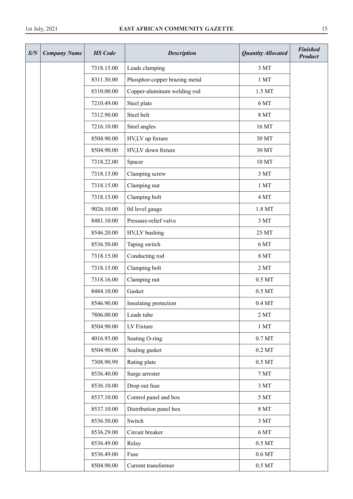| S/N | <b>Company Name</b> | <b>HS</b> Code | <b>Quantity Allocated</b><br><b>Description</b> |                    | <b>Finished</b><br><b>Product</b> |
|-----|---------------------|----------------|-------------------------------------------------|--------------------|-----------------------------------|
|     |                     | 7318.15.00     | Leads clamping                                  | 3 MT               |                                   |
|     |                     | 8311.30.00     | Phosphor-copper brazing metal                   | 1MT                |                                   |
|     |                     | 8310.00.00     | Copper-aluminum welding rod                     | 1.5 MT             |                                   |
|     |                     | 7210.49.00     | Steel plate                                     | 6 MT               |                                   |
|     |                     | 7312.90.00     | Steel belt                                      | <b>8 MT</b>        |                                   |
|     |                     | 7216.10.00     | Steel angles                                    | 16 MT              |                                   |
|     |                     | 8504.90.00     | HV,LV up fixture                                | 30 MT              |                                   |
|     |                     | 8504.90.00     | HV,LV down fixture                              | 30 MT              |                                   |
|     |                     | 7318.22.00     | Spacer                                          | 10 MT              |                                   |
|     |                     | 7318.15.00     | Clamping screw                                  | 3 MT               |                                   |
|     |                     | 7318.15.00     | Clamping nut                                    | 1MT                |                                   |
|     |                     | 7318.15.00     | Clamping bolt                                   | 4 MT               |                                   |
|     |                     | 9026.10.00     | 0il level gauge                                 | 1.8 MT             |                                   |
|     |                     | 8481.10.00     | Pressure-relief valve                           | $3MT$              |                                   |
|     |                     | 8546.20.00     | HV,LV bushing                                   | 25 MT              |                                   |
|     |                     | 8536.50.00     | Taping switch                                   | 6 MT               |                                   |
|     |                     | 7318.15.00     | Conducting rod                                  | <b>8 MT</b>        |                                   |
|     |                     | 7318.15.00     | Clamping bolt                                   | 2MT                |                                   |
|     |                     | 7318.16.00     | Clamping nut                                    | $0.5\,\mathrm{MT}$ |                                   |
|     |                     | 8484.10.00     | Gasket                                          | $0.5\ \mathrm{MT}$ |                                   |
|     |                     | 8546.90.00     | Insulating protection                           | $0.4\,\mathrm{MT}$ |                                   |
|     |                     | 7806.00.00     | Leads tube                                      | 2MT                |                                   |
|     |                     | 8504.90.00     | LV Fixture                                      | 1MT                |                                   |
|     |                     | 4016.93.00     | Seating O-ring                                  | $0.7\,\mathrm{MT}$ |                                   |
|     |                     | 8504.90.00     | Sealing gasket                                  | $0.2$ MT           |                                   |
|     |                     | 7308.90.99     | Rating plate                                    | $0.5\;\mathrm{MT}$ |                                   |
|     |                     | 8536.40.00     | Surge arrester                                  | $7\,\mathrm{MT}$   |                                   |
|     |                     | 8536.10.00     | Drop out fuse                                   | $3MT$              |                                   |
|     |                     | 8537.10.00     | Control panel and box                           | $5\,\mathrm{MT}$   |                                   |
|     |                     | 8537.10.00     | Distribution panel box                          | <b>8 MT</b>        |                                   |
|     |                     | 8536.50.00     | Switch                                          | $3MT$              |                                   |
|     |                     | 8536.29.00     | Circuit breaker                                 | 6 MT               |                                   |
|     |                     | 8536.49.00     | Relay                                           | $0.5\,\mathrm{MT}$ |                                   |
|     |                     | 8536.49.00     | Fuse                                            | $0.6\,\mathrm{MT}$ |                                   |
|     |                     | 8504.90.00     | Current transformer                             | $0.5\;\mathrm{MT}$ |                                   |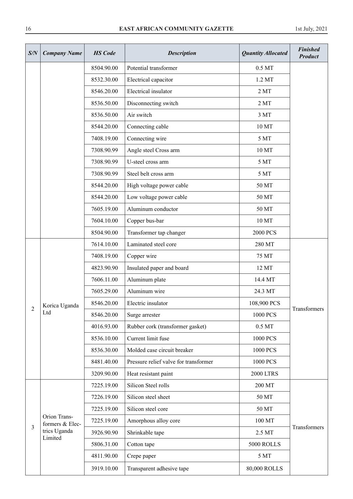| S/N            | <b>Company Name</b>             | <b>HS</b> Code | <b>Quantity Allocated</b><br><b>Description</b> |                  | <b>Finished</b><br><b>Product</b> |
|----------------|---------------------------------|----------------|-------------------------------------------------|------------------|-----------------------------------|
|                |                                 | 8504.90.00     | Potential transformer                           | 0.5 MT           |                                   |
|                |                                 | 8532.30.00     | Electrical capacitor                            | 1.2 MT           |                                   |
|                |                                 | 8546.20.00     | Electrical insulator                            | 2MT              |                                   |
|                |                                 | 8536.50.00     | Disconnecting switch                            | 2MT              |                                   |
|                |                                 | 8536.50.00     | Air switch                                      | 3 MT             |                                   |
|                |                                 | 8544.20.00     | Connecting cable                                | 10 MT            |                                   |
|                |                                 | 7408.19.00     | Connecting wire                                 | 5 MT             |                                   |
|                |                                 | 7308.90.99     | Angle steel Cross arm                           | 10 MT            |                                   |
|                |                                 | 7308.90.99     | U-steel cross arm                               | 5 MT             |                                   |
|                |                                 | 7308.90.99     | Steel belt cross arm                            | 5 MT             |                                   |
|                |                                 | 8544.20.00     | High voltage power cable                        | 50 MT            |                                   |
|                |                                 | 8544.20.00     | Low voltage power cable                         | 50 MT            |                                   |
|                |                                 | 7605.19.00     | Aluminum conductor                              | 50 MT            |                                   |
|                |                                 | 7604.10.00     | Copper bus-bar                                  | 10 MT            |                                   |
|                |                                 | 8504.90.00     | Transformer tap changer                         | <b>2000 PCS</b>  |                                   |
|                |                                 | 7614.10.00     | Laminated steel core                            | 280 MT           |                                   |
|                |                                 | 7408.19.00     | Copper wire                                     | 75 MT            |                                   |
|                |                                 | 4823.90.90     | Insulated paper and board                       | 12 MT            |                                   |
|                |                                 | 7606.11.00     | Aluminum plate                                  | 14.4 MT          |                                   |
|                |                                 | 7605.29.00     | Aluminum wire                                   | 24.3 MT          |                                   |
| $\overline{2}$ | Korica Uganda                   | 8546.20.00     | Electric insulator                              | 108,900 PCS      | Transformers                      |
|                | Ltd                             | 8546.20.00     | Surge arrester                                  | 1000 PCS         |                                   |
|                |                                 | 4016.93.00     | Rubber cork (transformer gasket)                | 0.5 MT           |                                   |
|                |                                 | 8536.10.00     | Current limit fuse                              | 1000 PCS         |                                   |
|                |                                 | 8536.30.00     | Molded case circuit breaker                     | 1000 PCS         |                                   |
|                |                                 | 8481.40.00     | Pressure relief valve for transformer           | 1000 PCS         |                                   |
|                |                                 | 3209.90.00     | Heat resistant paint                            | <b>2000 LTRS</b> |                                   |
|                |                                 | 7225.19.00     | Silicon Steel rolls                             | 200 MT           |                                   |
|                |                                 | 7226.19.00     | Silicon steel sheet                             | 50 MT            |                                   |
|                |                                 | 7225.19.00     | Silicon steel core                              | 50 MT            |                                   |
|                | Orion Trans-<br>formers & Elec- | 7225.19.00     | Amorphous alloy core                            | 100 MT           |                                   |
| $\overline{3}$ | trics Uganda<br>Limited         | 3926.90.90     | Shrinkable tape                                 | 2.5 MT           | Transformers                      |
|                |                                 | 5806.31.00     | Cotton tape                                     | 5000 ROLLS       |                                   |
|                |                                 | 4811.90.00     | Crepe paper                                     | 5 MT             |                                   |
|                |                                 | 3919.10.00     | Transparent adhesive tape                       | 80,000 ROLLS     |                                   |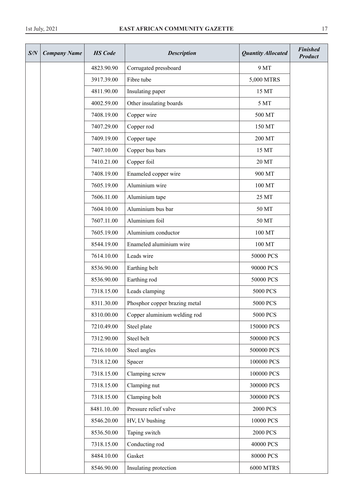| S/N | <b>Company Name</b> | <b>HS</b> Code | <b>Quantity Allocated</b><br><b>Description</b> |                  | <b>Finished</b><br><b>Product</b> |
|-----|---------------------|----------------|-------------------------------------------------|------------------|-----------------------------------|
|     |                     | 4823.90.90     | Corrugated pressboard                           | 9 MT             |                                   |
|     |                     | 3917.39.00     | Fibre tube                                      | 5,000 MTRS       |                                   |
|     |                     | 4811.90.00     | Insulating paper                                | 15 MT            |                                   |
|     |                     | 4002.59.00     | Other insulating boards                         | 5 MT             |                                   |
|     |                     | 7408.19.00     | Copper wire                                     | 500 MT           |                                   |
|     |                     | 7407.29.00     | Copper rod                                      | 150 MT           |                                   |
|     |                     | 7409.19.00     | Copper tape                                     | 200 MT           |                                   |
|     |                     | 7407.10.00     | Copper bus bars                                 | 15 MT            |                                   |
|     |                     | 7410.21.00     | Copper foil                                     | 20 MT            |                                   |
|     |                     | 7408.19.00     | Enameled copper wire                            | 900 MT           |                                   |
|     |                     | 7605.19.00     | Aluminium wire                                  | 100 MT           |                                   |
|     |                     | 7606.11.00     | Aluminium tape                                  | 25 MT            |                                   |
|     |                     | 7604.10.00     | Aluminium bus bar                               | 50 MT            |                                   |
|     |                     | 7607.11.00     | Aluminium foil                                  | 50 MT            |                                   |
|     |                     | 7605.19.00     | Aluminium conductor                             | 100 MT           |                                   |
|     |                     | 8544.19.00     | Enameled aluminium wire                         | 100 MT           |                                   |
|     |                     | 7614.10.00     | Leads wire                                      | 50000 PCS        |                                   |
|     |                     | 8536.90.00     | Earthing belt                                   | 90000 PCS        |                                   |
|     |                     | 8536.90.00     | Earthing rod                                    | 50000 PCS        |                                   |
|     |                     | 7318.15.00     | Leads clamping                                  | 5000 PCS         |                                   |
|     |                     | 8311.30.00     | Phosphor copper brazing metal                   | 5000 PCS         |                                   |
|     |                     | 8310.00.00     | Copper aluminium welding rod                    | 5000 PCS         |                                   |
|     |                     | 7210.49.00     | Steel plate                                     | 150000 PCS       |                                   |
|     |                     | 7312.90.00     | Steel belt                                      | 500000 PCS       |                                   |
|     |                     | 7216.10.00     | Steel angles                                    | 500000 PCS       |                                   |
|     |                     | 7318.12.00     | Spacer                                          | 100000 PCS       |                                   |
|     |                     | 7318.15.00     | Clamping screw                                  | 100000 PCS       |                                   |
|     |                     | 7318.15.00     | Clamping nut                                    | 300000 PCS       |                                   |
|     |                     | 7318.15.00     | Clamping bolt                                   | 300000 PCS       |                                   |
|     |                     | 8481.1000      | Pressure relief valve                           | <b>2000 PCS</b>  |                                   |
|     |                     | 8546.20.00     | HV, LV bushing                                  | 10000 PCS        |                                   |
|     |                     | 8536.50.00     | Taping switch                                   | <b>2000 PCS</b>  |                                   |
|     |                     | 7318.15.00     | Conducting rod                                  | 40000 PCS        |                                   |
|     |                     | 8484.10.00     | Gasket                                          | 80000 PCS        |                                   |
|     |                     | 8546.90.00     | Insulating protection                           | <b>6000 MTRS</b> |                                   |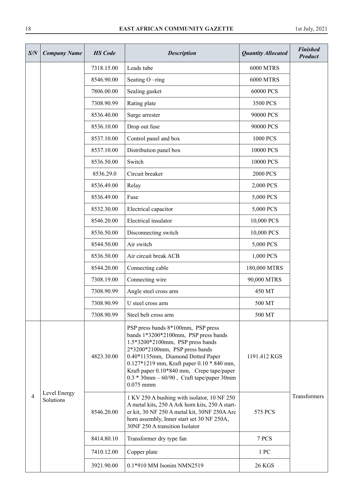| S/N | <b>Company Name</b>       | <b>HS</b> Code | <b>Description</b>                                                                                                                                                                                                                                                                                                                               | <b>Quantity Allocated</b> | <b>Finished</b><br><b>Product</b> |
|-----|---------------------------|----------------|--------------------------------------------------------------------------------------------------------------------------------------------------------------------------------------------------------------------------------------------------------------------------------------------------------------------------------------------------|---------------------------|-----------------------------------|
|     |                           | 7318.15.00     | Leads tube                                                                                                                                                                                                                                                                                                                                       | <b>6000 MTRS</b>          |                                   |
|     |                           | 8546.90.00     | Seating O-ring                                                                                                                                                                                                                                                                                                                                   | <b>6000 MTRS</b>          |                                   |
|     |                           | 7806.00.00     | Sealing gasket                                                                                                                                                                                                                                                                                                                                   | 60000 PCS                 |                                   |
|     |                           | 7308.90.99     | Rating plate                                                                                                                                                                                                                                                                                                                                     | 3500 PCS                  |                                   |
|     |                           | 8536.40.00     | Surge arrester                                                                                                                                                                                                                                                                                                                                   | 90000 PCS                 |                                   |
|     |                           | 8536.10.00     | Drop out fuse                                                                                                                                                                                                                                                                                                                                    | 90000 PCS                 |                                   |
|     |                           | 8537.10.00     | Control panel and box                                                                                                                                                                                                                                                                                                                            | 1000 PCS                  |                                   |
|     |                           | 8537.10.00     | Distribution panel box                                                                                                                                                                                                                                                                                                                           | 10000 PCS                 |                                   |
|     |                           | 8536.50.00     | Switch                                                                                                                                                                                                                                                                                                                                           | 10000 PCS                 |                                   |
|     |                           | 8536.29.0      | Circuit breaker                                                                                                                                                                                                                                                                                                                                  | <b>2000 PCS</b>           |                                   |
|     |                           | 8536.49.00     | Relay                                                                                                                                                                                                                                                                                                                                            | 2,000 PCS                 |                                   |
|     |                           | 8536.49.00     | Fuse                                                                                                                                                                                                                                                                                                                                             | 5,000 PCS                 |                                   |
|     |                           | 8532.30.00     | Electrical capacitor                                                                                                                                                                                                                                                                                                                             | 5,000 PCS                 |                                   |
|     |                           | 8546.20.00     | Electrical insulator                                                                                                                                                                                                                                                                                                                             | 10,000 PCS                |                                   |
|     |                           | 8536.50.00     | Disconnecting switch                                                                                                                                                                                                                                                                                                                             | 10,000 PCS                |                                   |
|     |                           | 8544.50.00     | Air switch                                                                                                                                                                                                                                                                                                                                       | 5,000 PCS                 |                                   |
|     |                           | 8536.50.00     | Air circuit break ACB                                                                                                                                                                                                                                                                                                                            | 1,000 PCS                 |                                   |
|     |                           | 8544.20.00     | Connecting cable                                                                                                                                                                                                                                                                                                                                 | 180,000 MTRS              |                                   |
|     |                           | 7308.19.00     | Connecting wire                                                                                                                                                                                                                                                                                                                                  | 90,000 MTRS               |                                   |
|     |                           | 7308.90.99     | Angle steel cross arm                                                                                                                                                                                                                                                                                                                            | 450 MT                    |                                   |
|     |                           | 7308.90.99     | U steel cross arm                                                                                                                                                                                                                                                                                                                                | 500 MT                    |                                   |
|     |                           | 7308.90.99     | Steel belt cross arm                                                                                                                                                                                                                                                                                                                             | 500 MT                    |                                   |
| 4   |                           | 4823.30.00     | PSP press bands 8*100mm, PSP press<br>bands 1*3200*2100mm, PSP press bands<br>1.5*3200*2100mm, PSP press bands<br>2*3200*2100mm, PSP press bands<br>0.40*1135mm, Diamond Dotted Paper<br>0.127*1219 mm, Kraft paper 0.10 * 840 mm,<br>Kraft paper 0.10*840 mm, Crepe tape/paper<br>$0.3 * 30$ mm $-60/90$ , Craft tape/paper 30mm<br>$0.075$ mmm | 1191.412 KGS              |                                   |
|     | Level Energy<br>Solutions | 8546.20.00     | 1 KV 250 A bushing with isolator, 10 NF 250<br>A metal kits, 250 A Ark horn kits, 250 A start-<br>er kit, 30 NF 250 A metal kit, 30NF 250A Arc<br>horn assembly, Inner start set 30 NF 250A,<br>30NF 250 A transition Isolator                                                                                                                   | 575 PCS                   | Transformers                      |
|     |                           | 8414.80.10     | Transformer dry type fan                                                                                                                                                                                                                                                                                                                         | 7 PCS                     |                                   |
|     |                           | 7410.12.00     | Copper plate                                                                                                                                                                                                                                                                                                                                     | 1 PC                      |                                   |
|     |                           | 3921.90.00     | 0.1*910 MM Isonim NMN2519                                                                                                                                                                                                                                                                                                                        | <b>26 KGS</b>             |                                   |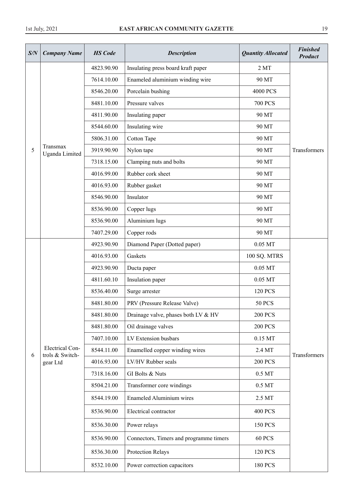| S/N | <b>Company Name</b>                       | <b>HS</b> Code | <b>Description</b>                      | <b>Quantity Allocated</b> | <b>Finished</b><br><b>Product</b> |
|-----|-------------------------------------------|----------------|-----------------------------------------|---------------------------|-----------------------------------|
|     |                                           | 4823.90.90     | Insulating press board kraft paper      | 2MT                       |                                   |
|     |                                           | 7614.10.00     | Enameled aluminium winding wire         | 90 MT                     |                                   |
|     |                                           | 8546.20.00     | Porcelain bushing                       | <b>4000 PCS</b>           |                                   |
|     |                                           | 8481.10.00     | Pressure valves                         | <b>700 PCS</b>            |                                   |
|     |                                           | 4811.90.00     | Insulating paper                        | 90 MT                     |                                   |
|     |                                           | 8544.60.00     | Insulating wire                         | 90 MT                     |                                   |
|     |                                           | 5806.31.00     | <b>Cotton Tape</b>                      | 90 MT                     |                                   |
| 5   | Transmax<br>Uganda Limited                | 3919.90.90     | Nylon tape                              | 90 MT                     | Transformers                      |
|     |                                           | 7318.15.00     | Clamping nuts and bolts                 | 90 MT                     |                                   |
|     |                                           | 4016.99.00     | Rubber cork sheet                       | 90 MT                     |                                   |
|     |                                           | 4016.93.00     | Rubber gasket                           | 90 MT                     |                                   |
|     |                                           | 8546.90.00     | Insulator                               | 90 MT                     |                                   |
|     |                                           | 8536.90.00     | Copper lugs                             | 90 MT                     |                                   |
|     |                                           | 8536.90.00     | Aluminium lugs                          | 90 MT                     |                                   |
|     |                                           | 7407.29.00     | Copper rods                             | 90 MT                     |                                   |
|     |                                           | 4923.90.90     | Diamond Paper (Dotted paper)            | 0.05 MT                   |                                   |
|     |                                           | 4016.93.00     | Gaskets                                 | 100 SQ. MTRS              |                                   |
|     |                                           | 4923.90.90     | Ducta paper                             | $0.05$ MT                 |                                   |
|     |                                           | 4811.60.10     | Insulation paper                        | 0.05 MT                   |                                   |
|     |                                           | 8536.40.00     | Surge arrester                          | <b>120 PCS</b>            |                                   |
|     |                                           | 8481.80.00     | PRV (Pressure Release Valve)            | <b>50 PCS</b>             |                                   |
|     |                                           | 8481.80.00     | Drainage valve, phases both LV & HV     | <b>200 PCS</b>            |                                   |
|     |                                           | 8481.80.00     | Oil drainage valves                     | <b>200 PCS</b>            |                                   |
|     |                                           | 7407.10.00     | LV Extension busbars                    | $0.15$ MT                 |                                   |
| 6   | <b>Electrical Con-</b><br>trols & Switch- | 8544.11.00     | Enamelled copper winding wires          | 2.4 MT                    | Transformers                      |
|     | gear Ltd                                  | 4016.93.00     | LV/HV Rubber seals                      | <b>200 PCS</b>            |                                   |
|     |                                           | 7318.16.00     | GI Bolts & Nuts                         | 0.5 MT                    |                                   |
|     |                                           | 8504.21.00     | Transformer core windings               | $0.5\ \mathrm{MT}$        |                                   |
|     |                                           | 8544.19.00     | <b>Enameled Aluminium wires</b>         | 2.5 MT                    |                                   |
|     |                                           | 8536.90.00     | Electrical contractor                   | <b>400 PCS</b>            |                                   |
|     |                                           | 8536.30.00     | Power relays                            | <b>150 PCS</b>            |                                   |
|     |                                           | 8536.90.00     | Connectors, Timers and programme timers | 60 PCS                    |                                   |
|     |                                           | 8536.30.00     | Protection Relays                       | <b>120 PCS</b>            |                                   |
|     |                                           | 8532.10.00     | Power correction capacitors             | <b>180 PCS</b>            |                                   |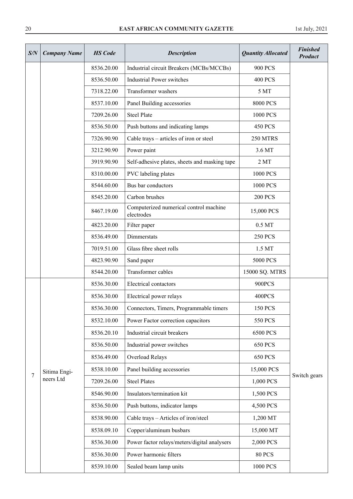| S/N | <b>Company Name</b> | <b>HS</b> Code | <b>Description</b>                                   | <b>Quantity Allocated</b> | <b>Finished</b><br><b>Product</b> |
|-----|---------------------|----------------|------------------------------------------------------|---------------------------|-----------------------------------|
|     |                     | 8536.20.00     | Industrial circuit Breakers (MCBs/MCCBs)             | <b>900 PCS</b>            |                                   |
|     |                     | 8536.50.00     | <b>Industrial Power switches</b>                     | <b>400 PCS</b>            |                                   |
|     |                     | 7318.22.00     | Transformer washers                                  | 5 MT                      |                                   |
|     |                     | 8537.10.00     | Panel Building accessories                           | 8000 PCS                  |                                   |
|     |                     | 7209.26.00     | <b>Steel Plate</b>                                   | 1000 PCS                  |                                   |
|     |                     | 8536.50.00     | Push buttons and indicating lamps                    | <b>450 PCS</b>            |                                   |
|     |                     | 7326.90.90     | Cable trays - articles of iron or steel              | 250 MTRS                  |                                   |
|     |                     | 3212.90.90     | Power paint                                          | 3.6 MT                    |                                   |
|     |                     | 3919.90.90     | Self-adhesive plates, sheets and masking tape        | 2MT                       |                                   |
|     |                     | 8310.00.00     | PVC labeling plates                                  | 1000 PCS                  |                                   |
|     |                     | 8544.60.00     | Bus bar conductors                                   | 1000 PCS                  |                                   |
|     |                     | 8545.20.00     | Carbon brushes                                       | <b>200 PCS</b>            |                                   |
|     |                     | 8467.19.00     | Computerized numerical control machine<br>electrodes | 15,000 PCS                |                                   |
|     |                     | 4823.20.00     | Filter paper                                         | 0.5 MT                    |                                   |
|     |                     | 8536.49.00     | Dimmerstats                                          | <b>250 PCS</b>            |                                   |
|     |                     | 7019.51.00     | Glass fibre sheet rolls                              | 1.5 MT                    |                                   |
|     |                     | 4823.90.90     | Sand paper                                           | 5000 PCS                  |                                   |
|     |                     | 8544.20.00     | Transformer cables                                   | 15000 SQ. MTRS            |                                   |
|     |                     | 8536.30.00     | Electrical contactors                                | 900PCS                    |                                   |
|     |                     | 8536.30.00     | Electrical power relays                              | 400PCS                    |                                   |
|     |                     | 8536.30.00     | Connectors, Timers, Programmable timers              | <b>150 PCS</b>            |                                   |
|     |                     | 8532.10.00     | Power Factor correction capacitors                   | 550 PCS                   |                                   |
|     |                     | 8536.20.10     | Industrial circuit breakers                          | 6500 PCS                  |                                   |
|     |                     | 8536.50.00     | Industrial power switches                            | <b>650 PCS</b>            |                                   |
|     |                     | 8536.49.00     | Overload Relays                                      | <b>650 PCS</b>            |                                   |
|     | Sitima Engi-        | 8538.10.00     | Panel building accessories                           | 15,000 PCS                |                                   |
| 7   | neers Ltd           | 7209.26.00     | <b>Steel Plates</b>                                  | 1,000 PCS                 | Switch gears                      |
|     |                     | 8546.90.00     | Insulators/termination kit                           | 1,500 PCS                 |                                   |
|     |                     | 8536.50.00     | Push buttons, indicator lamps                        | 4,500 PCS                 |                                   |
|     |                     | 8538.90.00     | Cable trays - Articles of iron/steel                 | 1,200 MT                  |                                   |
|     |                     | 8538.09.10     | Copper/aluminum busbars                              | 15,000 MT                 |                                   |
|     |                     | 8536.30.00     | Power factor relays/meters/digital analysers         | 2,000 PCS                 |                                   |
|     |                     | 8536.30.00     | Power harmonic filters                               | <b>80 PCS</b>             |                                   |
|     |                     | 8539.10.00     | Sealed beam lamp units                               | 1000 PCS                  |                                   |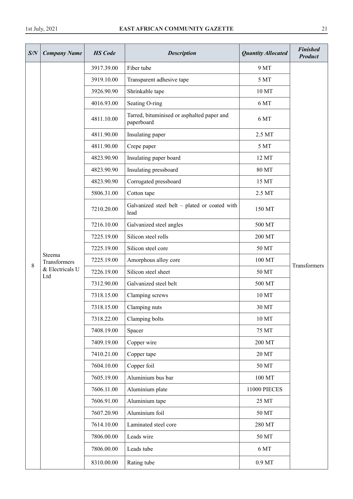| S/N | <b>Company Name</b>                              | <b>HS</b> Code | <b>Description</b>                                       | <b>Quantity Allocated</b> | <b>Finished</b><br>Product |
|-----|--------------------------------------------------|----------------|----------------------------------------------------------|---------------------------|----------------------------|
|     |                                                  | 3917.39.00     | Fiber tube                                               | 9 MT                      |                            |
|     |                                                  | 3919.10.00     | Transparent adhesive tape                                | 5 MT                      |                            |
|     |                                                  | 3926.90.90     | Shrinkable tape                                          | 10 MT                     |                            |
|     |                                                  | 4016.93.00     | Seating O-ring                                           | 6 MT                      |                            |
|     |                                                  | 4811.10.00     | Tarred, bituminised or asphalted paper and<br>paperboard | 6 MT                      |                            |
|     |                                                  | 4811.90.00     | Insulating paper                                         | 2.5 MT                    |                            |
|     |                                                  | 4811.90.00     | Crepe paper                                              | 5 MT                      |                            |
|     |                                                  | 4823.90.90     | Insulating paper board                                   | 12 MT                     |                            |
|     |                                                  | 4823.90.90     | Insulating pressboard                                    | 80 MT                     |                            |
|     |                                                  | 4823.90.90     | Corrugated pressboard                                    | 15 MT                     |                            |
|     |                                                  | 5806.31.00     | Cotton tape                                              | 2.5 MT                    |                            |
|     |                                                  | 7210.20.00     | Galvanized steel belt - plated or coated with<br>lead    | 150 MT                    |                            |
|     | Steema<br>Transformers<br>& Electricals U<br>Ltd | 7216.10.00     | Galvanized steel angles                                  | 500 MT                    |                            |
|     |                                                  | 7225.19.00     | Silicon steel rolls                                      | 200 MT                    |                            |
|     |                                                  | 7225.19.00     | Silicon steel core                                       | 50 MT                     |                            |
| 8   |                                                  | 7225.19.00     | Amorphous alloy core                                     | 100 MT                    |                            |
|     |                                                  | 7226.19.00     | Silicon steel sheet                                      | 50 MT                     | Transformers               |
|     |                                                  | 7312.90.00     | Galvanized steel belt                                    | 500 MT                    |                            |
|     |                                                  | 7318.15.00     | Clamping screws                                          | 10 MT                     |                            |
|     |                                                  | 7318.15.00     | Clamping nuts                                            | 30 MT                     |                            |
|     |                                                  | 7318.22.00     | Clamping bolts                                           | 10 MT                     |                            |
|     |                                                  | 7408.19.00     | Spacer                                                   | 75 MT                     |                            |
|     |                                                  | 7409.19.00     | Copper wire                                              | 200 MT                    |                            |
|     |                                                  | 7410.21.00     | Copper tape                                              | 20 MT                     |                            |
|     |                                                  | 7604.10.00     | Copper foil                                              | 50 MT                     |                            |
|     |                                                  | 7605.19.00     | Aluminium bus bar                                        | $100\,\mathrm{MT}$        |                            |
|     |                                                  | 7606.11.00     | Aluminium plate                                          | 11000 PIECES              |                            |
|     |                                                  | 7606.91.00     | Aluminium tape                                           | 25 MT                     |                            |
|     |                                                  | 7607.20.90     | Aluminium foil                                           | 50 MT                     |                            |
|     |                                                  | 7614.10.00     | Laminated steel core                                     | 280 MT                    |                            |
|     |                                                  | 7806.00.00     | Leads wire                                               | 50 MT                     |                            |
|     |                                                  | 7806.00.00     | Leads tube                                               | 6 MT                      |                            |
|     |                                                  | 8310.00.00     | Rating tube                                              | 0.9 MT                    |                            |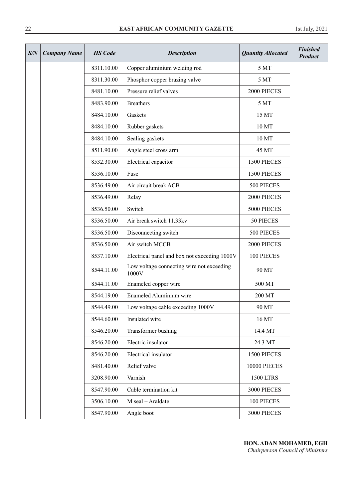| S/N | <b>Company Name</b> | <b>HS</b> Code | <b>Description</b>                                 | <b>Quantity Allocated</b> | <b>Finished</b><br><b>Product</b> |
|-----|---------------------|----------------|----------------------------------------------------|---------------------------|-----------------------------------|
|     |                     | 8311.10.00     | Copper aluminium welding rod                       | 5 MT                      |                                   |
|     |                     | 8311.30.00     | Phosphor copper brazing valve                      | 5 MT                      |                                   |
|     |                     | 8481.10.00     | Pressure relief valves                             | 2000 PIECES               |                                   |
|     |                     | 8483.90.00     | <b>Breathers</b>                                   | 5 MT                      |                                   |
|     |                     | 8484.10.00     | Gaskets                                            | 15 MT                     |                                   |
|     |                     | 8484.10.00     | Rubber gaskets                                     | 10 MT                     |                                   |
|     |                     | 8484.10.00     | Sealing gaskets                                    | 10 MT                     |                                   |
|     |                     | 8511.90.00     | Angle steel cross arm                              | 45 MT                     |                                   |
|     |                     | 8532.30.00     | Electrical capacitor                               | 1500 PIECES               |                                   |
|     |                     | 8536.10.00     | Fuse                                               | 1500 PIECES               |                                   |
|     |                     | 8536.49.00     | Air circuit break ACB                              | 500 PIECES                |                                   |
|     |                     | 8536.49.00     | Relay                                              | 2000 PIECES               |                                   |
|     |                     | 8536.50.00     | Switch                                             | 5000 PIECES               |                                   |
|     |                     | 8536.50.00     | Air break switch 11.33kv                           | 50 PIECES                 |                                   |
|     |                     | 8536.50.00     | Disconnecting switch                               | 500 PIECES                |                                   |
|     |                     | 8536.50.00     | Air switch MCCB                                    | 2000 PIECES               |                                   |
|     |                     | 8537.10.00     | Electrical panel and box not exceeding 1000V       | 100 PIECES                |                                   |
|     |                     | 8544.11.00     | Low voltage connecting wire not exceeding<br>1000V | 90 MT                     |                                   |
|     |                     | 8544.11.00     | Enameled copper wire                               | 500 MT                    |                                   |
|     |                     | 8544.19.00     | Enameled Aluminium wire                            | 200 MT                    |                                   |
|     |                     | 8544.49.00     | Low voltage cable exceeding 1000V                  | 90 MT                     |                                   |
|     |                     | 8544.60.00     | Insulated wire                                     | 16 MT                     |                                   |
|     |                     | 8546.20.00     | Transformer bushing                                | 14.4 MT                   |                                   |
|     |                     | 8546.20.00     | Electric insulator                                 | 24.3 MT                   |                                   |
|     |                     | 8546.20.00     | Electrical insulator                               | 1500 PIECES               |                                   |
|     |                     | 8481.40.00     | Relief valve                                       | 10000 PIECES              |                                   |
|     |                     | 3208.90.00     | Varnish                                            | <b>1500 LTRS</b>          |                                   |
|     |                     | 8547.90.00     | Cable termination kit                              | 3000 PIECES               |                                   |
|     |                     | 3506.10.00     | M seal - Araldate                                  | 100 PIECES                |                                   |
|     |                     | 8547.90.00     | Angle boot                                         | 3000 PIECES               |                                   |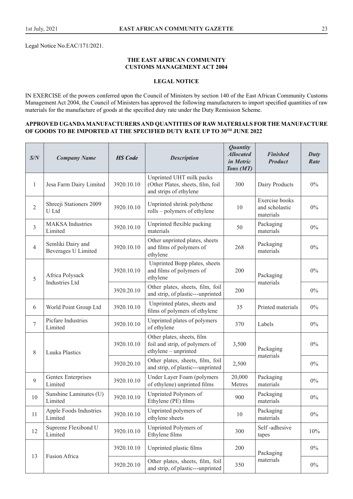Legal Notice No.EAC/171/2021.

#### **THE EAST AFRICAN COMMUNITY CUSTOMS MANAGEMENT ACT 2004**

# **LEGAL NOTICE**

IN EXERCISE of the powers conferred upon the Council of Ministers by section 140 of the East African Community Customs Management Act 2004, the Council of Ministers has approved the following manufacturers to import specified quantities of raw materials for the manufacture of goods at the specified duty rate under the Duty Remission Scheme.

#### **APPROVED UGANDA MANUFACTURERS AND QUANTITIES OF RAW MATERIALS FOR THE MANUFACTURE**  OF GOODS TO BE IMPORTED AT THE SPECIFIED DUTY RATE UP TO 30TH JUNE 2022

| S/N            | <b>Company Name</b>                             | <b>HS</b> Code | <b>Description</b>                                                                      | <b>Quantity</b><br><b>Allocated</b><br>in Metric<br>Tons (MT) | <b>Finished</b><br><b>Product</b>             | Duty<br>Rate |
|----------------|-------------------------------------------------|----------------|-----------------------------------------------------------------------------------------|---------------------------------------------------------------|-----------------------------------------------|--------------|
| $\mathbf{1}$   | Jesa Farm Dairy Limited                         | 3920.10.10     | Unprinted UHT milk packs<br>(Other Plates, sheets, film, foil<br>and strips of ethylene | 300                                                           | Dairy Products                                | $0\%$        |
| $\mathfrak{2}$ | Shreeji Stationers 2009<br>U Ltd                | 3920.10.10     | Unprinted shrink polythene<br>rolls - polymers of ethylene                              | 10                                                            | Exercise books<br>and scholastic<br>materials | $0\%$        |
| 3              | <b>MAKSA</b> Industries<br>Limited              | 3920.10.10     | Unprinted flexible packing<br>materials                                                 | 50                                                            | Packaging<br>materials                        | $0\%$        |
| $\overline{4}$ | Semliki Dairy and<br><b>Beverages U Limited</b> | 3920.10.10     | Other unprinted plates, sheets<br>and films of polymers of<br>ethylene                  | 268                                                           | Packaging<br>materials                        | $0\%$        |
| 5              | Africa Polysack                                 | 3920.10.10     | Unprinted Bopp plates, sheets<br>and films of polymers of<br>ethylene                   | 200                                                           | Packaging                                     | $0\%$        |
|                | <b>Industries Ltd</b>                           | 3920.20.10     | Other plates, sheets, film, foil<br>and strip, of plastic---unprinted                   | 200                                                           | materials                                     | $0\%$        |
| 6              | World Point Group Ltd                           | 3920.10.10     | Unprinted plates, sheets and<br>films of polymers of ethylene                           | 35                                                            | Printed materials                             | $0\%$        |
| $\overline{7}$ | Picfare Industries<br>Limited                   | 3920.10.10     | Unprinted plates of polymers<br>of ethylene                                             | 370                                                           | Labels                                        | $0\%$        |
| 8              | <b>Luuka Plastics</b>                           | 3920.10.10     | Other plates, sheets, film<br>foil and strip, of polymers of<br>ethylene - unprinted    | 3,500                                                         | Packaging<br>materials                        | $0\%$        |
|                |                                                 | 3920.20.10     | Other plates, sheets, film, foil<br>and strip, of plastic---unprinted                   | 2,500                                                         |                                               | $0\%$        |
| 9              | Gentex Enterprises<br>Limited                   | 3920.10.10     | Under Layer Foam (polymers<br>of ethylene) unprinted films                              | 20,000<br>Metres                                              | Packaging<br>materials                        | $0\%$        |
| 10             | Sunshine Laminates (U)<br>Limited               | 3920.10.10     | Unprinted Polymers of<br>Ethylene (PE) films                                            | 900                                                           | Packaging<br>materials                        | $0\%$        |
| 11             | Apple Foods Industries<br>Limited               | 3920.10.10     | Unprinted polymers of<br>ethylene sheets                                                | $10\,$                                                        | Packaging<br>materials                        | $0\%$        |
| 12             | Supreme Flexibond U<br>Limited                  | 3920.10.10     | Unprinted Polymers of<br>Ethylene films                                                 | 300                                                           | Self-adhesive<br>tapes                        | 10%          |
| 13             | Fusion Africa                                   | 3920.10.10     | Unprinted plastic films                                                                 | 200                                                           | Packaging                                     | $0\%$        |
|                |                                                 | 3920.20.10     | Other plates, sheets, film, foil<br>and strip, of plastic---unprinted                   | 350                                                           | materials                                     | $0\%$        |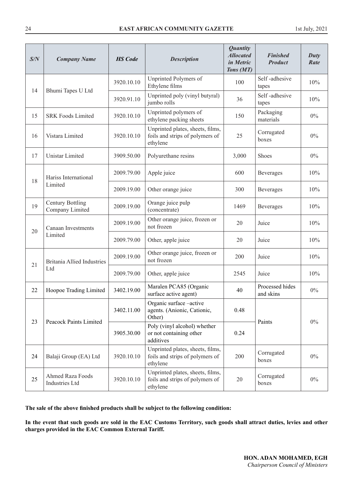| S/N | <b>Company Name</b>                              | <b>HS</b> Code | <b>Description</b>                                                              | <b>Quantity</b><br><b>Allocated</b><br>in Metric<br>Tons (MT) | <b>Finished</b><br><b>Product</b> | Duty<br>Rate |
|-----|--------------------------------------------------|----------------|---------------------------------------------------------------------------------|---------------------------------------------------------------|-----------------------------------|--------------|
|     |                                                  | 3920.10.10     | Unprinted Polymers of<br>Ethylene films                                         | 100                                                           | Self-adhesive<br>tapes            | 10%          |
| 14  | Bhumi Tapes U Ltd                                | 3920.91.10     | Unprinted poly (vinyl butyral)<br>jumbo rolls                                   | 36                                                            | Self-adhesive<br>tapes            | 10%          |
| 15  | <b>SRK Foods Limited</b>                         | 3920.10.10     | Unprinted polymers of<br>ethylene packing sheets                                | 150                                                           | Packaging<br>materials            | $0\%$        |
| 16  | Vistara Limited                                  | 3920.10.10     | Unprinted plates, sheets, films,<br>foils and strips of polymers of<br>ethylene | 25                                                            | Corrugated<br>boxes               | $0\%$        |
| 17  | Unistar Limited                                  | 3909.50.00     | Polyurethane resins                                                             | 3,000                                                         | <b>Shoes</b>                      | $0\%$        |
|     | Hariss International                             | 2009.79.00     | Apple juice                                                                     | 600                                                           | Beverages                         | 10%          |
|     | 18<br>Limited                                    | 2009.19.00     | Other orange juice                                                              | 300                                                           | Beverages                         | 10%          |
| 19  | <b>Century Bottling</b><br>Company Limited       | 2009.19.00     | Orange juice pulp<br>(concentrate)                                              | 1469                                                          | Beverages                         | 10%          |
| 20  | Canaan Investments<br>Limited                    | 2009.19.00     | Other orange juice, frozen or<br>not frozen                                     | 20                                                            | Juice                             | 10%          |
|     |                                                  | 2009.79.00     | Other, apple juice                                                              | 20                                                            | Juice                             | 10%          |
| 21  | <b>Britania Allied Industries</b>                | 2009.19.00     | Other orange juice, frozen or<br>not frozen                                     | 200                                                           | Juice                             | 10%          |
|     | Ltd                                              | 2009.79.00     | Other, apple juice                                                              | 2545                                                          | Juice                             | 10%          |
| 22  | Hoopoe Trading Limited                           | 3402.19.00     | Maralen PCA85 (Organic<br>surface active agent)                                 | 40                                                            | Processed hides<br>and skins      | $0\%$        |
| 23  | Peacock Paints Limited                           | 3402.11.00     | Organic surface -active<br>agents. (Anionic, Cationic,<br>Other)                | 0.48                                                          | Paints                            | $0\%$        |
|     |                                                  | 3905.30.00     | Poly (vinyl alcohol) whether<br>or not containing other<br>additives            | 0.24                                                          |                                   |              |
| 24  | Balaji Group (EA) Ltd                            | 3920.10.10     | Unprinted plates, sheets, films,<br>foils and strips of polymers of<br>ethylene | 200                                                           | Corrugated<br>boxes               | $0\%$        |
| 25  | <b>Ahmed Raza Foods</b><br><b>Industries Ltd</b> | 3920.10.10     | Unprinted plates, sheets, films,<br>foils and strips of polymers of<br>ethylene | 20                                                            | Corrugated<br>boxes               | $0\%$        |

**The sale of the above finished products shall be subject to the following condition:**

**In the event that such goods are sold in the EAC Customs Territory, such goods shall attract duties, levies and other charges provided in the EAC Common External Tariff.**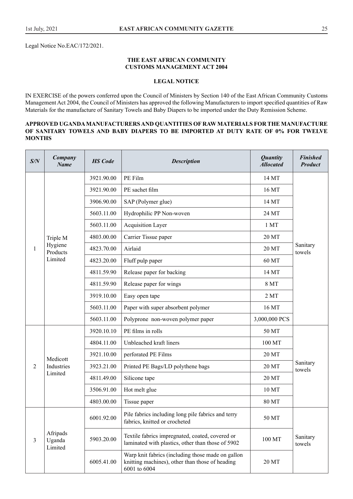#### **THE EAST AFRICAN COMMUNITY CUSTOMS MANAGEMENT ACT 2004**

# **LEGAL NOTICE**

IN EXERCISE of the powers conferred upon the Council of Ministers by Section 140 of the East African Community Customs Management Act 2004, the Council of Ministers has approved the following Manufacturers to import specified quantities of Raw Materials for the manufacture of Sanitary Towels and Baby Diapers to be imported under the Duty Remission Scheme.

#### **APPROVED UGANDA MANUFACTURERS AND QUANTITIES OF RAW MATERIALS FOR THE MANUFACTURE OF SANITARY TOWELS AND BABY DIAPERS TO BE IMPORTED AT DUTY RATE OF 0% FOR TWELVE MONTHS**

| S/N            | Company<br><b>Name</b>        | <b>HS</b> Code | <b>Description</b>                                                                                                   | <b>Quantity</b><br><b>Allocated</b> | <b>Finished</b><br><b>Product</b> |
|----------------|-------------------------------|----------------|----------------------------------------------------------------------------------------------------------------------|-------------------------------------|-----------------------------------|
|                |                               | 3921.90.00     | PE Film                                                                                                              | 14 MT                               |                                   |
|                |                               | 3921.90.00     | PE sachet film                                                                                                       | 16 MT                               |                                   |
|                |                               | 3906.90.00     | SAP (Polymer glue)                                                                                                   | 14 MT                               |                                   |
|                |                               | 5603.11.00     | Hydrophilic PP Non-woven                                                                                             | 24 MT                               |                                   |
|                |                               | 5603.11.00     | <b>Acquisition Layer</b>                                                                                             | 1 MT                                |                                   |
| $\mathbf{1}$   | Triple M                      | 4803.00.00     | Carrier Tissue paper                                                                                                 | 20 MT                               |                                   |
|                | Hygiene<br>Products           | 4823.70.00     | Airlaid                                                                                                              | 20 MT                               | Sanitary<br>towels                |
|                | Limited                       | 4823.20.00     | Fluff pulp paper                                                                                                     | 60 MT                               |                                   |
|                |                               | 4811.59.90     | Release paper for backing                                                                                            | 14 MT                               |                                   |
|                |                               | 4811.59.90     | Release paper for wings                                                                                              | <b>8 MT</b>                         |                                   |
|                |                               | 3919.10.00     | Easy open tape                                                                                                       | 2MT                                 |                                   |
|                |                               | 5603.11.00     | Paper with super absorbent polymer                                                                                   | 16 MT                               |                                   |
|                |                               | 5603.11.00     | Polyprone non-woven polymer paper                                                                                    | 3,000,000 PCS                       |                                   |
|                |                               | 3920.10.10     | PE films in rolls                                                                                                    | 50 MT                               |                                   |
|                |                               | 4804.11.00     | Unbleached kraft liners                                                                                              | 100 MT                              |                                   |
|                | Medicott                      | 3921.10.00     | perforated PE Films                                                                                                  | 20 MT                               |                                   |
| 2              | Industries                    | 3923.21.00     | Printed PE Bags/LD polythene bags                                                                                    | 20 MT                               | Sanitary<br>towels                |
|                | Limited                       | 4811.49.00     | Silicone tape                                                                                                        | 20 MT                               |                                   |
|                |                               | 3506.91.00     | Hot melt glue                                                                                                        | 10 MT                               |                                   |
|                |                               | 4803.00.00     | Tissue paper                                                                                                         | 80 MT                               |                                   |
|                |                               | 6001.92.00     | Pile fabrics including long pile fabrics and terry<br>fabrics, knitted or crocheted                                  | 50 MT                               |                                   |
| $\overline{3}$ | Afripads<br>Uganda<br>Limited | 5903.20.00     | Textile fabrics impregnated, coated, covered or<br>laminated with plastics, other than those of 5902                 | 100 MT                              | Sanitary<br>towels                |
|                |                               | 6005.41.00     | Warp knit fabrics (including those made on gallon<br>knitting machines), other than those of heading<br>6001 to 6004 | 20 MT                               |                                   |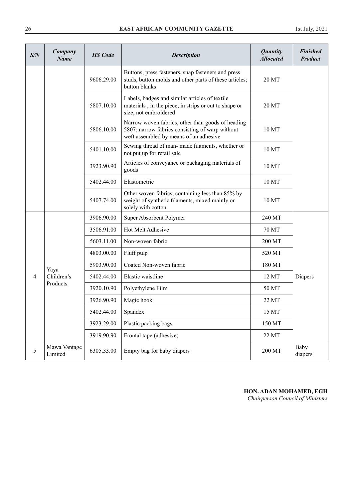| S/N | Company<br><b>Name</b>  | <b>HS</b> Code | <b>Description</b>                                                                                                                             | <b>Quantity</b><br><b>Allocated</b> | <b>Finished</b><br><b>Product</b> |
|-----|-------------------------|----------------|------------------------------------------------------------------------------------------------------------------------------------------------|-------------------------------------|-----------------------------------|
|     |                         | 9606.29.00     | Buttons, press fasteners, snap fasteners and press<br>studs, button molds and other parts of these articles;<br>button blanks                  | 20 MT                               |                                   |
|     |                         | 5807.10.00     | Labels, badges and similar articles of textile<br>materials, in the piece, in strips or cut to shape or<br>size, not embroidered               | 20 MT                               |                                   |
|     |                         | 5806.10.00     | Narrow woven fabrics, other than goods of heading<br>5807; narrow fabrics consisting of warp without<br>weft assembled by means of an adhesive | 10 MT                               |                                   |
|     |                         | 5401.10.00     | Sewing thread of man- made filaments, whether or<br>not put up for retail sale                                                                 | 10 MT                               |                                   |
|     |                         | 3923.90.90     | Articles of conveyance or packaging materials of<br>goods                                                                                      | 10 MT                               |                                   |
|     |                         | 5402.44.00     | Elastometric                                                                                                                                   | 10 MT                               |                                   |
|     |                         | 5407.74.00     | Other woven fabrics, containing less than 85% by<br>weight of synthetic filaments, mixed mainly or<br>solely with cotton                       | 10 MT                               |                                   |
|     |                         | 3906.90.00     | Super Absorbent Polymer                                                                                                                        | 240 MT                              |                                   |
|     |                         | 3506.91.00     | Hot Melt Adhesive                                                                                                                              | 70 MT                               |                                   |
|     |                         | 5603.11.00     | Non-woven fabric                                                                                                                               | 200 MT                              |                                   |
|     |                         | 4803.00.00     | Fluff pulp                                                                                                                                     | 520 MT                              |                                   |
|     | Yaya                    | 5903.90.00     | Coated Non-woven fabric                                                                                                                        | 180 MT                              |                                   |
| 4   | Children's              | 5402.44.00     | Elastic waistline                                                                                                                              | 12 MT                               | Diapers                           |
|     | Products                | 3920.10.90     | Polyethylene Film                                                                                                                              | 50 MT                               |                                   |
|     |                         | 3926.90.90     | Magic hook                                                                                                                                     | 22 MT                               |                                   |
|     |                         | 5402.44.00     | Spandex                                                                                                                                        | 15 MT                               |                                   |
|     |                         | 3923.29.00     | Plastic packing bags                                                                                                                           | 150 MT                              |                                   |
|     |                         | 3919.90.90     | Frontal tape (adhesive)                                                                                                                        | 22 MT                               |                                   |
| 5   | Mawa Vantage<br>Limited | 6305.33.00     | Empty bag for baby diapers                                                                                                                     | 200 MT                              | Baby<br>diapers                   |

# **HON. ADAN MOHAMED, EGH**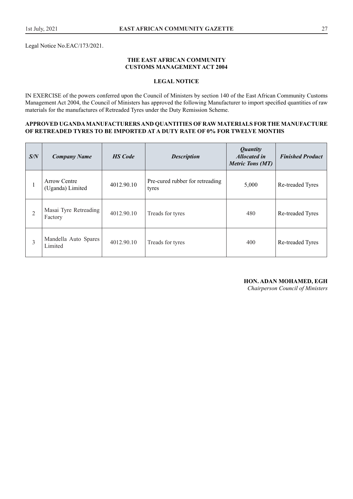Legal Notice No.EAC/173/2021.

#### **THE EAST AFRICAN COMMUNITY CUSTOMS MANAGEMENT ACT 2004**

# **LEGAL NOTICE**

IN EXERCISE of the powers conferred upon the Council of Ministers by section 140 of the East African Community Customs Management Act 2004, the Council of Ministers has approved the following Manufacturer to import specified quantities of raw materials for the manufactures of Retreaded Tyres under the Duty Remission Scheme.

#### **APPROVED UGANDA MANUFACTURERS AND QUANTITIES OF RAW MATERIALS FOR THE MANUFACTURE OF RETREADED TYRES TO BE IMPORTED AT A DUTY RATE OF 0% FOR TWELVE MONTHS**

| S/N            | <b>Company Name</b>                     | <b>HS</b> Code | <b>Description</b>                       | <b>Quantity</b><br><b>Allocated in</b><br><b>Metric Tons (MT)</b> | <b>Finished Product</b> |
|----------------|-----------------------------------------|----------------|------------------------------------------|-------------------------------------------------------------------|-------------------------|
| 1              | <b>Arrow Centre</b><br>(Uganda) Limited | 4012.90.10     | Pre-cured rubber for retreading<br>tyres | 5,000                                                             | Re-treaded Tyres        |
| $\overline{2}$ | Masai Tyre Retreading<br>Factory        | 4012.90.10     | Treads for tyres                         | 480                                                               | Re-treaded Tyres        |
| 3              | Mandella Auto Spares<br>Limited         | 4012.90.10     | Treads for tyres                         | 400                                                               | Re-treaded Tyres        |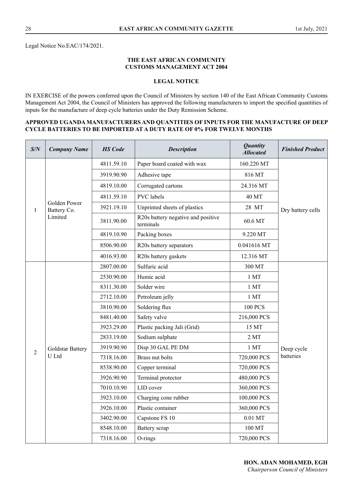#### **THE EAST AFRICAN COMMUNITY CUSTOMS MANAGEMENT ACT 2004**

# **LEGAL NOTICE**

IN EXERCISE of the powers conferred upon the Council of Ministers by section 140 of the East African Community Customs Management Act 2004, the Council of Ministers has approved the following manufacturers to import the specified quantities of inputs for the manufacture of deep cycle batteries under the Duty Remission Scheme.

#### **APPROVED UGANDA MANUFACTURERS AND QUANTITIES OF INPUTS FOR THE MANUFACTURE OF DEEP CYCLE BATTERIES TO BE IMPORTED AT A DUTY RATE OF 0% FOR TWELVE MONTHS**

| S/N            | <b>Company Name</b>         | <b>HS</b> Code | <b>Description</b>                              | <b>Quantity</b><br><b>Allocated</b> | <b>Finished Product</b> |  |
|----------------|-----------------------------|----------------|-------------------------------------------------|-------------------------------------|-------------------------|--|
|                |                             | 4811.59.10     | Paper board coated with wax                     | 160.220 MT                          |                         |  |
|                |                             | 3919.90.90     | Adhesive tape                                   | 816 MT                              |                         |  |
|                |                             | 4819.10.00     | Corrugated cartons                              | 24.316 MT                           |                         |  |
|                |                             | 4811.59.10     | <b>PVC</b> labels                               | 40 MT                               |                         |  |
| 1              | Golden Power<br>Battery Co. | 3921.19.10     | Unprinted sheets of plastics                    | 28 MT                               | Dry battery cells       |  |
|                | Limited                     | 3811.90.00     | R20s battery negative and positive<br>terminals | 60.6 MT                             |                         |  |
|                |                             | 4819.10.90     | Packing boxes                                   | 9.220 MT                            |                         |  |
|                |                             | 8506.90.00     | R20s battery separators                         | 0.041616 MT                         |                         |  |
|                |                             | 4016.93.00     | R20s battery gaskets                            | 12.316 MT                           |                         |  |
|                |                             | 2807.00.00     | Sulfuric acid                                   | 300 MT                              |                         |  |
|                |                             | 2530.90.00     | Humic acid                                      | 1 MT                                |                         |  |
|                |                             | 8311.30.00     | Solder wire                                     | $1$ MT $\,$                         |                         |  |
|                |                             | 2712.10.00     | Petroleum jelly                                 | 1 <sub>MT</sub>                     |                         |  |
|                |                             | 3810.90.00     | Soldering flux                                  | <b>100 PCS</b>                      |                         |  |
|                |                             | 8481.40.00     | Safety valve                                    | 216,000 PCS                         |                         |  |
|                |                             | 3923.29.00     | Plastic packing Jali (Grid)                     | 15 MT                               |                         |  |
|                |                             | 2833.19.00     | Sodium sulphate                                 | 2MT                                 |                         |  |
| $\overline{2}$ | Goldstar Battery            | 3919.90.90     | Disp 30 GAL PE DM                               | 1 MT                                | Deep cycle              |  |
|                | U Ltd                       | 7318.16.00     | Brass nut bolts                                 | 720,000 PCS                         | batteries               |  |
|                |                             | 8538.90.00     | Copper terminal                                 | 720,000 PCS                         |                         |  |
|                |                             | 3926.90.90     | Terminal protector                              | 480,000 PCS                         |                         |  |
|                |                             | 7010.10.90     | LID cover                                       | 360,000 PCS                         |                         |  |
|                |                             | 3923.10.00     | Charging cone rubber                            | 100,000 PCS                         |                         |  |
|                |                             | 3926.10.00     | Plastic container                               | 360,000 PCS                         |                         |  |
|                |                             | 3402.90.00     | Capstone FS 10                                  | $0.01$ MT                           |                         |  |
|                |                             | 8548.10.00     | Battery scrap                                   | 100 MT                              |                         |  |
|                |                             | 7318.16.00     | O-rings                                         | 720,000 PCS                         |                         |  |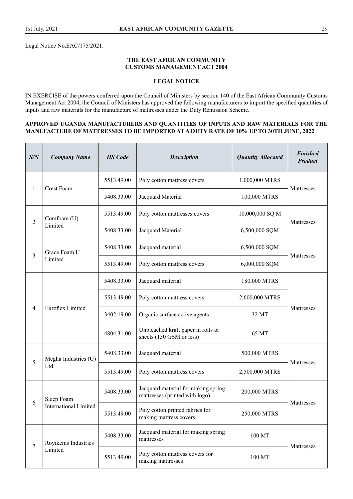Legal Notice No.EAC/175/2021.

#### **THE EAST AFRICAN COMMUNITY CUSTOMS MANAGEMENT ACT 2004**

# **LEGAL NOTICE**

IN EXERCISE of the powers conferred upon the Council of Ministers by section 140 of the East African Community Customs Management Act 2004, the Council of Ministers has approved the following manufacturers to import the specified quantities of inputs and raw materials for the manufacture of mattresses under the Duty Remission Scheme.

#### **APPROVED UGANDA MANUFACTURERS AND QUANTITIES OF INPUTS AND RAW MATERIALS FOR THE MANUFACTURE OF MATTRESSES TO BE IMPORTED AT A DUTY RATE OF 10% UP TO 30TH JUNE, 2022**

| S/N          | <b>Company Name</b>          | <b>HS</b> Code | <b>Description</b>                                                    | <b>Quantity Allocated</b> | <b>Finished</b><br><b>Product</b> |
|--------------|------------------------------|----------------|-----------------------------------------------------------------------|---------------------------|-----------------------------------|
|              | Crest Foam                   | 5513.49.00     | Poly cotton mattress covers                                           | 1,000,000 MTRS            |                                   |
| $\mathbf{1}$ |                              | 5408.33.00     | Jacquard Material                                                     | 100,000 MTRS              | Mattresses                        |
| 2            | Comfoam (U)                  | 5513.49.00     | Poly cotton mattresses covers                                         | 10,000,000 SQ M           | Mattresses                        |
|              | Limited                      | 5408.33.00     | Jacquard Material                                                     | 6,500,000 SQM             |                                   |
| 3            | Grace Foam U                 | 5408.33.00     | Jacquard material                                                     | 6,500,000 SQM             | Mattresses                        |
|              | Limited                      | 5513.49.00     | Poly cotton mattress covers                                           | 6,000,000 SQM             |                                   |
|              |                              | 5408.33.00     | Jacquard material                                                     | 180,000 MTRS              |                                   |
|              | <b>Euroflex Limited</b>      | 5513.49.00     | Poly cotton mattress covers                                           | 2,600,000 MTRS            |                                   |
| 4            |                              | 3402.19.00     | Organic surface active agents                                         | 32 MT                     | Mattresses                        |
|              |                              | 4804.31.00     | Unbleached kraft paper in rolls or<br>sheets (150 GSM or less)        | 65 MT                     |                                   |
|              | Megha Industries (U)         | 5408.33.00     | Jacquard material                                                     | 500,000 MTRS              |                                   |
| 5            | Ltd                          | 5513.49.00     | Poly cotton mattress covers                                           | 2,500,000 MTRS            | Mattresses                        |
|              | Sleep Foam                   | 5408.33.00     | Jacquard material for making spring<br>mattresses (printed with logo) | 200,000 MTRS              |                                   |
| 6            | <b>International Limited</b> | 5513.49.00     | Poly cotton printed fabrics for<br>making mattress covers             | 250,000 MTRS              | Mattresses                        |
|              | Royikems Industries          | 5408.33.00     | Jacquard material for making spring<br>mattresses                     | 100 MT                    |                                   |
| 7            | Limited                      | 5513.49.00     | Poly cotton mattress covers for<br>making mattresses                  | 100 MT                    | Mattresses                        |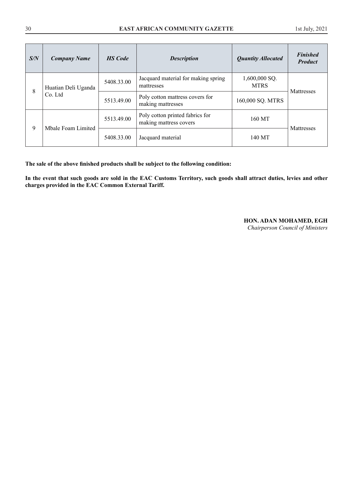| S/N | <b>Company Name</b>            | <b>HS</b> Code | <b>Description</b>                                        | <b>Quantity Allocated</b>    | <b>Finished</b><br><b>Product</b> |
|-----|--------------------------------|----------------|-----------------------------------------------------------|------------------------------|-----------------------------------|
| 8   | Huatian Deli Uganda<br>Co. Ltd | 5408.33.00     | Jacquard material for making spring<br>mattresses         | 1,600,000 SQ.<br><b>MTRS</b> | Mattresses                        |
|     |                                | 5513.49.00     | Poly cotton mattress covers for<br>making mattresses      | 160,000 SQ. MTRS             |                                   |
| 9   | Mbale Foam Limited             | 5513.49.00     | Poly cotton printed fabrics for<br>making mattress covers | 160 MT                       | Mattresses                        |
|     |                                | 5408.33.00     | Jacquard material                                         | 140 MT                       |                                   |

**The sale of the above finished products shall be subject to the following condition:** 

**In the event that such goods are sold in the EAC Customs Territory, such goods shall attract duties, levies and other charges provided in the EAC Common External Tariff.** 

# **HON. ADAN MOHAMED, EGH**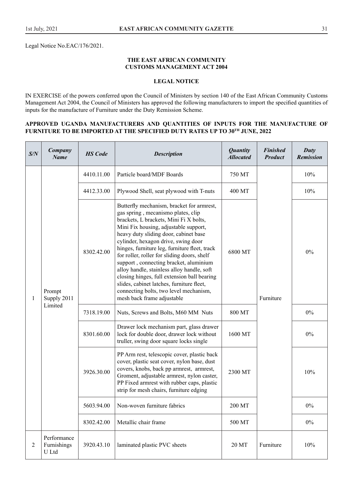Legal Notice No.EAC/176/2021.

#### **THE EAST AFRICAN COMMUNITY CUSTOMS MANAGEMENT ACT 2004**

# **LEGAL NOTICE**

IN EXERCISE of the powers conferred upon the Council of Ministers by section 140 of the East African Community Customs Management Act 2004, the Council of Ministers has approved the following manufacturers to import the specified quantities of inputs for the manufacture of Furniture under the Duty Remission Scheme.

#### **APPROVED UGANDA MANUFACTURERS AND QUANTITIES OF INPUTS FOR THE MANUFACTURE OF**  FURNITURE TO BE IMPORTED AT THE SPECIFIED DUTY RATES UP TO  $30^{\text{TH}}$  JUNE, 2022

| S/N            | Company<br><b>Name</b>              | <b>HS</b> Code | <b>Description</b>                                                                                                                                                                                                                                                                                                                                                                                                                                                                                                                                                                                             | <b>Quantity</b><br><b>Allocated</b> | <b>Finished</b><br><b>Product</b> | Duty<br><b>Remission</b> |
|----------------|-------------------------------------|----------------|----------------------------------------------------------------------------------------------------------------------------------------------------------------------------------------------------------------------------------------------------------------------------------------------------------------------------------------------------------------------------------------------------------------------------------------------------------------------------------------------------------------------------------------------------------------------------------------------------------------|-------------------------------------|-----------------------------------|--------------------------|
|                |                                     | 4410.11.00     | Particle board/MDF Boards                                                                                                                                                                                                                                                                                                                                                                                                                                                                                                                                                                                      | 750 MT                              |                                   | 10%                      |
| 1              |                                     | 4412.33.00     | Plywood Shell, seat plywood with T-nuts                                                                                                                                                                                                                                                                                                                                                                                                                                                                                                                                                                        | 400 MT                              |                                   | 10%                      |
|                | Prompt<br>Supply 2011<br>Limited    | 8302.42.00     | Butterfly mechanism, bracket for armrest,<br>gas spring, mecanismo plates, clip<br>brackets, L brackets, Mini Fi X bolts,<br>Mini Fix housing, adjustable support,<br>heavy duty sliding door, cabinet base<br>cylinder, hexagon drive, swing door<br>hinges, furniture leg, furniture fleet, track<br>for roller, roller for sliding doors, shelf<br>support, connecting bracket, aluminium<br>alloy handle, stainless alloy handle, soft<br>closing hinges, full extension ball bearing<br>slides, cabinet latches, furniture fleet,<br>connecting bolts, two level mechanism,<br>mesh back frame adjustable | 6800 MT                             | Furniture                         | $0\%$                    |
|                |                                     | 7318.19.00     | Nuts, Screws and Bolts, M60 MM Nuts                                                                                                                                                                                                                                                                                                                                                                                                                                                                                                                                                                            | 800 MT                              |                                   | $0\%$                    |
|                |                                     | 8301.60.00     | Drawer lock mechanism part, glass drawer<br>lock for double door, drawer lock without<br>truller, swing door square locks single                                                                                                                                                                                                                                                                                                                                                                                                                                                                               | 1600 MT                             |                                   | $0\%$                    |
|                |                                     | 3926.30.00     | PP Arm rest, telescopic cover, plastic back<br>cover, plastic seat cover, nylon base, dust<br>covers, knobs, back pp armrest, armrest,<br>Groment, adjustable armrest, nylon caster,<br>PP Fixed armrest with rubber caps, plastic<br>strip for mesh chairs, furniture edging                                                                                                                                                                                                                                                                                                                                  | 2300 MT                             |                                   | 10%                      |
|                |                                     | 5603.94.00     | Non-woven furniture fabrics                                                                                                                                                                                                                                                                                                                                                                                                                                                                                                                                                                                    | 200 MT                              |                                   | 0%                       |
|                |                                     | 8302.42.00     | Metallic chair frame                                                                                                                                                                                                                                                                                                                                                                                                                                                                                                                                                                                           | 500 MT                              |                                   | $0\%$                    |
| $\overline{2}$ | Performance<br>Furnishings<br>U Ltd | 3920.43.10     | laminated plastic PVC sheets                                                                                                                                                                                                                                                                                                                                                                                                                                                                                                                                                                                   | 20 MT                               | Furniture                         | 10%                      |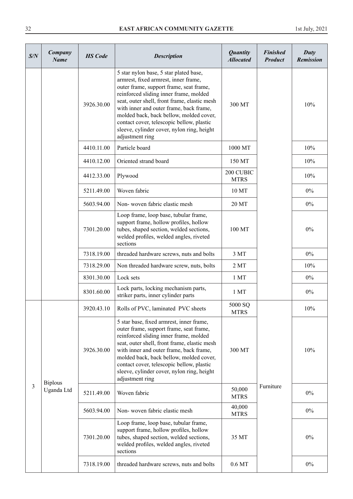| S/N            | Company<br><b>Name</b>       | <b>HS</b> Code | <b>Description</b>                                                                                                                                                                                                                                                                                                                                                                                                      | <b>Quantity</b><br><b>Allocated</b> | <b>Finished</b><br><b>Product</b> | Duty<br>Remission |
|----------------|------------------------------|----------------|-------------------------------------------------------------------------------------------------------------------------------------------------------------------------------------------------------------------------------------------------------------------------------------------------------------------------------------------------------------------------------------------------------------------------|-------------------------------------|-----------------------------------|-------------------|
|                |                              | 3926.30.00     | 5 star nylon base, 5 star plated base,<br>armrest, fixed armrest, inner frame,<br>outer frame, support frame, seat frame,<br>reinforced sliding inner frame, molded<br>seat, outer shell, front frame, elastic mesh<br>with inner and outer frame, back frame,<br>molded back, back bellow, molded cover,<br>contact cover, telescopic bellow, plastic<br>sleeve, cylinder cover, nylon ring, height<br>adjustment ring | 300 MT                              |                                   | 10%               |
|                |                              | 4410.11.00     | Particle board                                                                                                                                                                                                                                                                                                                                                                                                          | 1000 MT                             |                                   | 10%               |
|                |                              | 4410.12.00     | Oriented strand board                                                                                                                                                                                                                                                                                                                                                                                                   | 150 MT                              |                                   | 10%               |
|                |                              | 4412.33.00     | Plywood                                                                                                                                                                                                                                                                                                                                                                                                                 | 200 CUBIC<br><b>MTRS</b>            |                                   | 10%               |
|                |                              | 5211.49.00     | Woven fabric                                                                                                                                                                                                                                                                                                                                                                                                            | 10 MT                               |                                   | $0\%$             |
|                |                              | 5603.94.00     | Non-woven fabric elastic mesh                                                                                                                                                                                                                                                                                                                                                                                           | 20 MT                               |                                   | $0\%$             |
|                |                              | 7301.20.00     | Loop frame, loop base, tubular frame,<br>support frame, hollow profiles, hollow<br>tubes, shaped section, welded sections,<br>welded profiles, welded angles, riveted<br>sections                                                                                                                                                                                                                                       | 100 MT                              |                                   | $0\%$             |
|                |                              | 7318.19.00     | threaded hardware screws, nuts and bolts                                                                                                                                                                                                                                                                                                                                                                                | 3 MT                                |                                   | $0\%$             |
|                |                              | 7318.29.00     | Non threaded hardware screw, nuts, bolts                                                                                                                                                                                                                                                                                                                                                                                | 2MT                                 |                                   | 10%               |
|                |                              | 8301.30.00     | Lock sets                                                                                                                                                                                                                                                                                                                                                                                                               | 1 MT                                |                                   | $0\%$             |
|                |                              | 8301.60.00     | Lock parts, locking mechanism parts,<br>striker parts, inner cylinder parts                                                                                                                                                                                                                                                                                                                                             | 1 MT                                |                                   | $0\%$             |
|                |                              | 3920.43.10     | Rolls of PVC, laminated PVC sheets                                                                                                                                                                                                                                                                                                                                                                                      | 5000 SQ<br><b>MTRS</b>              |                                   | 10%               |
|                |                              | 3926.30.00     | 5 star base, fixed armrest, inner frame,<br>outer frame, support frame, seat frame,<br>reinforced sliding inner frame, molded<br>seat, outer shell, front frame, elastic mesh<br>with inner and outer frame, back frame,<br>molded back, back bellow, molded cover,<br>contact cover, telescopic bellow, plastic<br>sleeve, cylinder cover, nylon ring, height<br>adjustment ring                                       | 300 MT                              |                                   | 10%               |
| $\mathfrak{Z}$ | <b>Biplous</b><br>Uganda Ltd | 5211.49.00     | Woven fabric                                                                                                                                                                                                                                                                                                                                                                                                            | 50,000<br><b>MTRS</b>               | Furniture                         | $0\%$             |
|                |                              | 5603.94.00     | Non-woven fabric elastic mesh                                                                                                                                                                                                                                                                                                                                                                                           | 40,000<br><b>MTRS</b>               |                                   | $0\%$             |
|                |                              | 7301.20.00     | Loop frame, loop base, tubular frame,<br>support frame, hollow profiles, hollow<br>tubes, shaped section, welded sections,<br>welded profiles, welded angles, riveted<br>sections                                                                                                                                                                                                                                       | 35 MT                               |                                   | $0\%$             |
|                |                              | 7318.19.00     | threaded hardware screws, nuts and bolts                                                                                                                                                                                                                                                                                                                                                                                | $0.6\,\mathrm{MT}$                  |                                   | $0\%$             |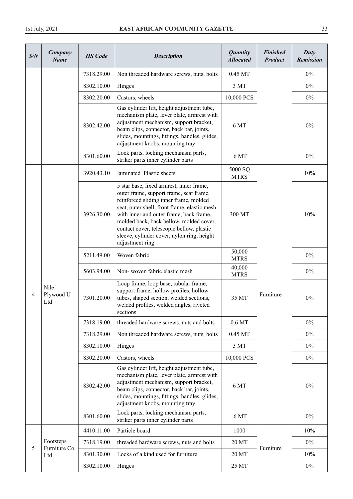| S/N | Company<br><b>Name</b>                                        | <b>HS</b> Code | <b>Description</b>                                                                                                                                                                                                                                                                                                                                                                | <b>Quantity</b><br><b>Allocated</b> | <b>Finished</b><br><b>Product</b> | Duty<br><b>Remission</b> |
|-----|---------------------------------------------------------------|----------------|-----------------------------------------------------------------------------------------------------------------------------------------------------------------------------------------------------------------------------------------------------------------------------------------------------------------------------------------------------------------------------------|-------------------------------------|-----------------------------------|--------------------------|
|     |                                                               | 7318.29.00     | Non threaded hardware screws, nuts, bolts                                                                                                                                                                                                                                                                                                                                         | 0.45 MT                             |                                   | $0\%$                    |
|     | Nile<br>Plywood U<br>Ltd<br>Footsteps<br>Furniture Co.<br>Ltd | 8302.10.00     | Hinges                                                                                                                                                                                                                                                                                                                                                                            | 3 MT                                |                                   | $0\%$                    |
|     |                                                               | 8302.20.00     | Castors, wheels                                                                                                                                                                                                                                                                                                                                                                   | 10,000 PCS                          |                                   | $0\%$                    |
|     |                                                               | 8302.42.00     | Gas cylinder lift, height adjustment tube,<br>mechanism plate, lever plate, armrest with<br>adjustment mechanism, support bracket,<br>beam clips, connector, back bar, joints,<br>slides, mountings, fittings, handles, glides,<br>adjustment knobs, mounting tray                                                                                                                | 6 MT                                |                                   | $0\%$                    |
|     |                                                               | 8301.60.00     | Lock parts, locking mechanism parts,<br>striker parts inner cylinder parts                                                                                                                                                                                                                                                                                                        | 6 MT                                |                                   | $0\%$                    |
|     |                                                               | 3920.43.10     | laminated Plastic sheets                                                                                                                                                                                                                                                                                                                                                          | 5000 SQ<br><b>MTRS</b>              |                                   | 10%                      |
|     |                                                               | 3926.30.00     | 5 star base, fixed armrest, inner frame,<br>outer frame, support frame, seat frame,<br>reinforced sliding inner frame, molded<br>seat, outer shell, front frame, elastic mesh<br>with inner and outer frame, back frame,<br>molded back, back bellow, molded cover,<br>contact cover, telescopic bellow, plastic<br>sleeve, cylinder cover, nylon ring, height<br>adjustment ring | 300 MT                              |                                   | 10%                      |
|     |                                                               | 5211.49.00     | Woven fabric                                                                                                                                                                                                                                                                                                                                                                      | 50,000<br><b>MTRS</b>               |                                   | $0\%$                    |
|     |                                                               | 5603.94.00     | Non-woven fabric elastic mesh                                                                                                                                                                                                                                                                                                                                                     | 40,000<br><b>MTRS</b>               |                                   | $0\%$                    |
| 4   |                                                               | 7301.20.00     | Loop frame, loop base, tubular frame,<br>support frame, hollow profiles, hollow<br>tubes, shaped section, welded sections,<br>welded profiles, welded angles, riveted<br>sections                                                                                                                                                                                                 | 35 MT                               | Furniture                         | $0\%$                    |
|     |                                                               | 7318.19.00     | threaded hardware screws, nuts and bolts                                                                                                                                                                                                                                                                                                                                          | $0.6\,\mathrm{MT}$                  |                                   | $0\%$                    |
|     |                                                               | 7318.29.00     | Non threaded hardware screws, nuts, bolts                                                                                                                                                                                                                                                                                                                                         | 0.45 MT                             |                                   | $0\%$                    |
|     |                                                               | 8302.10.00     | Hinges                                                                                                                                                                                                                                                                                                                                                                            | 3 MT                                |                                   | $0\%$                    |
|     |                                                               | 8302.20.00     | Castors, wheels                                                                                                                                                                                                                                                                                                                                                                   | 10,000 PCS                          |                                   | $0\%$                    |
|     |                                                               | 8302.42.00     | Gas cylinder lift, height adjustment tube,<br>mechanism plate, lever plate, armrest with<br>adjustment mechanism, support bracket,<br>beam clips, connector, back bar, joints,<br>slides, mountings, fittings, handles, glides,<br>adjustment knobs, mounting tray                                                                                                                | 6 MT                                |                                   | 0%                       |
|     |                                                               | 8301.60.00     | Lock parts, locking mechanism parts,<br>striker parts inner cylinder parts                                                                                                                                                                                                                                                                                                        | 6 MT                                |                                   | $0\%$                    |
|     |                                                               | 4410.11.00     | Particle board                                                                                                                                                                                                                                                                                                                                                                    | 1000                                |                                   | 10%                      |
| 5   |                                                               | 7318.19.00     | threaded hardware screws, nuts and bolts                                                                                                                                                                                                                                                                                                                                          | 20 MT                               | Furniture                         | $0\%$                    |
|     |                                                               | 8301.30.00     | Locks of a kind used for furniture                                                                                                                                                                                                                                                                                                                                                | 20 MT                               |                                   | 10%                      |
|     |                                                               | 8302.10.00     | Hinges                                                                                                                                                                                                                                                                                                                                                                            | 25 MT                               |                                   | $0\%$                    |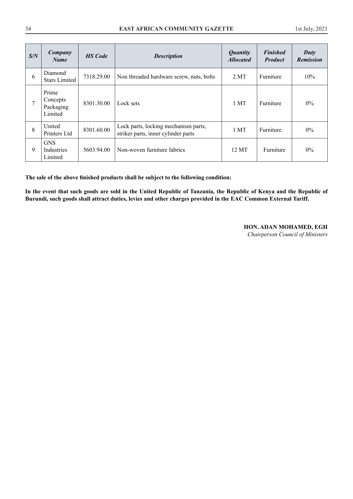| S/N | Company<br><b>Name</b>                    | <b>HS</b> Code | <b>Description</b>                                                          | <b>Quantity</b><br><b>Allocated</b> | <b>Finished</b><br><b>Product</b> | $_{\text{Duty}}$<br><b>Remission</b> |
|-----|-------------------------------------------|----------------|-----------------------------------------------------------------------------|-------------------------------------|-----------------------------------|--------------------------------------|
| 6   | Diamond<br><b>Stars Limited</b>           | 7318.29.00     | Non threaded hardware screw, nuts, bolts                                    | 2MT                                 | Furniture                         | 10%                                  |
| 7   | Prime<br>Concepts<br>Packaging<br>Limited | 8301.30.00     | Lock sets                                                                   | 1 MT                                | Furniture                         | $0\%$                                |
| 8   | United<br>Printers Ltd                    | 8301.60.00     | Lock parts, locking mechanism parts,<br>striker parts, inner cylinder parts | 1 MT                                | Furniture                         | $0\%$                                |
| 9   | <b>GNS</b><br>Industries<br>Limited       | 5603.94.00     | Non-woven furniture fabrics                                                 | 12 MT                               | Furniture                         | $0\%$                                |

**The sale of the above finished products shall be subject to the following condition:** 

**In the event that such goods are sold in the United Republic of Tanzania, the Republic of Kenya and the Republic of Burundi, such goods shall attract duties, levies and other charges provided in the EAC Common External Tariff.**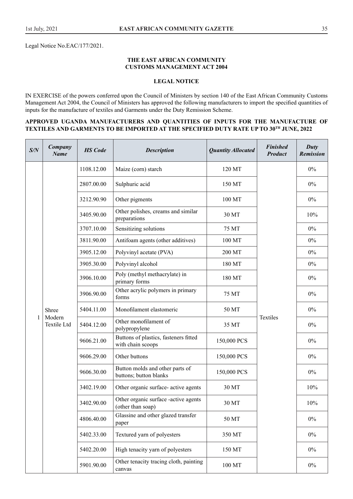Legal Notice No.EAC/177/2021.

#### **THE EAST AFRICAN COMMUNITY CUSTOMS MANAGEMENT ACT 2004**

# **LEGAL NOTICE**

IN EXERCISE of the powers conferred upon the Council of Ministers by section 140 of the East African Community Customs Management Act 2004, the Council of Ministers has approved the following manufacturers to import the specified quantities of inputs for the manufacture of textiles and Garments under the Duty Remission Scheme.

#### **APPROVED UGANDA MANUFACTURERS AND QUANTITIES OF INPUTS FOR THE MANUFACTURE OF TEXTILES AND GARMENTS TO BE IMPORTED AT THE SPECIFIED DUTY RATE UP TO 30TH JUNE, 2022**

| S/N          | Company<br><b>Name</b>         | <b>HS</b> Code | <b>Description</b>                                         | <b>Quantity Allocated</b>              | <b>Finished</b><br><b>Product</b> | Duty<br><b>Remission</b> |       |
|--------------|--------------------------------|----------------|------------------------------------------------------------|----------------------------------------|-----------------------------------|--------------------------|-------|
|              |                                | 1108.12.00     | Maize (corn) starch                                        | 120 MT                                 |                                   | $0\%$                    |       |
|              |                                | 2807.00.00     | Sulphuric acid                                             | 150 MT                                 |                                   | $0\%$                    |       |
|              |                                | 3212.90.90     | Other pigments                                             | 100 MT                                 |                                   | $0\%$                    |       |
|              |                                | 3405.90.00     | Other polishes, creams and similar<br>preparations         | 30 MT                                  |                                   | 10%                      |       |
|              |                                | 3707.10.00     | Sensitizing solutions                                      | 75 MT                                  |                                   | $0\%$                    |       |
|              |                                | 3811.90.00     | Antifoam agents (other additives)                          | 100 MT                                 |                                   | $0\%$                    |       |
|              |                                | 3905.12.00     | Polyvinyl acetate (PVA)                                    | 200 MT                                 |                                   | $0\%$                    |       |
|              |                                | 3905.30.00     | Polyvinyl alcohol                                          | 180 MT                                 |                                   | $0\%$                    |       |
|              |                                | 3906.10.00     | Poly (methyl methacrylate) in<br>primary forms             | 180 MT                                 |                                   | 0%                       |       |
|              | Shree<br>Modern<br>Textile Ltd | 3906.90.00     | Other acrylic polymers in primary<br>forms                 | 75 MT                                  |                                   | $0\%$                    |       |
|              |                                |                | 5404.11.00                                                 | Monofilament elastomeric               | 50 MT                             | Textiles                 | $0\%$ |
| $\mathbf{1}$ |                                |                | 5404.12.00                                                 | Other monofilament of<br>polypropylene | 35 MT                             |                          | $0\%$ |
|              |                                | 9606.21.00     | Buttons of plastics, fasteners fitted<br>with chain scoops | 150,000 PCS                            |                                   | $0\%$                    |       |
|              |                                | 9606.29.00     | Other buttons                                              | 150,000 PCS                            |                                   | $0\%$                    |       |
|              |                                | 9606.30.00     | Button molds and other parts of<br>buttons; button blanks  | 150,000 PCS                            |                                   | $0\%$                    |       |
|              |                                | 3402.19.00     | Other organic surface- active agents                       | 30 MT                                  |                                   | 10%                      |       |
|              |                                | 3402.90.00     | Other organic surface -active agents<br>(other than soap)  | 30 MT                                  |                                   | 10%                      |       |
|              |                                | 4806.40.00     | Glassine and other glazed transfer<br>paper                | 50 MT                                  |                                   | $0\%$                    |       |
|              |                                | 5402.33.00     | Textured yarn of polyesters                                | 350 MT                                 |                                   | $0\%$                    |       |
|              |                                | 5402.20.00     | High tenacity yarn of polyesters                           | 150 MT                                 |                                   | $0\%$                    |       |
|              |                                | 5901.90.00     | Other tenacity tracing cloth, painting<br>canvas           | 100 MT                                 |                                   | $0\%$                    |       |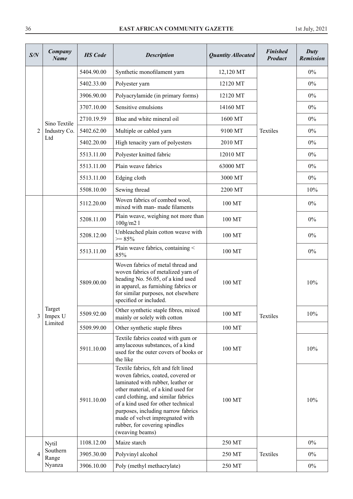| S/N                      | Company<br><b>Name</b>                 | <b>HS</b> Code                                                                                                                                                                                                        | <b>Description</b>                                                                                                                                                                                                                                                                                                                                            | <b>Quantity Allocated</b> | <b>Finished</b><br><b>Product</b> | Duty<br><b>Remission</b> |
|--------------------------|----------------------------------------|-----------------------------------------------------------------------------------------------------------------------------------------------------------------------------------------------------------------------|---------------------------------------------------------------------------------------------------------------------------------------------------------------------------------------------------------------------------------------------------------------------------------------------------------------------------------------------------------------|---------------------------|-----------------------------------|--------------------------|
|                          |                                        | 5404.90.00                                                                                                                                                                                                            | Synthetic monofilament yarn                                                                                                                                                                                                                                                                                                                                   | 12,120 MT                 |                                   | $0\%$                    |
|                          |                                        | 5402.33.00                                                                                                                                                                                                            | Polyester yarn                                                                                                                                                                                                                                                                                                                                                | 12120 MT                  |                                   | $0\%$                    |
| 2<br>3<br>$\overline{4}$ |                                        | 3906.90.00                                                                                                                                                                                                            | Polyacrylamide (in primary forms)                                                                                                                                                                                                                                                                                                                             | 12120 MT                  |                                   | $0\%$                    |
|                          |                                        | 3707.10.00                                                                                                                                                                                                            | Sensitive emulsions                                                                                                                                                                                                                                                                                                                                           | 14160 MT                  |                                   | $0\%$                    |
|                          | Sino Textile                           | 2710.19.59                                                                                                                                                                                                            | Blue and white mineral oil                                                                                                                                                                                                                                                                                                                                    | 1600 MT                   |                                   | $0\%$                    |
|                          | Industry Co.                           | 5402.62.00                                                                                                                                                                                                            | Multiple or cabled yarn                                                                                                                                                                                                                                                                                                                                       | 9100 MT                   | Textiles                          | $0\%$                    |
|                          | Ltd                                    | 5402.20.00                                                                                                                                                                                                            | High tenacity yarn of polyesters                                                                                                                                                                                                                                                                                                                              | 2010 MT                   |                                   | $0\%$                    |
|                          |                                        | 5513.11.00                                                                                                                                                                                                            | Polyester knitted fabric                                                                                                                                                                                                                                                                                                                                      | 12010 MT                  |                                   | $0\%$                    |
|                          |                                        | 5513.11.00                                                                                                                                                                                                            | Plain weave fabrics                                                                                                                                                                                                                                                                                                                                           | 63000 MT                  |                                   | $0\%$                    |
|                          |                                        | 5513.11.00                                                                                                                                                                                                            | Edging cloth                                                                                                                                                                                                                                                                                                                                                  | 3000 MT                   |                                   | $0\%$                    |
|                          |                                        | 5508.10.00                                                                                                                                                                                                            | Sewing thread                                                                                                                                                                                                                                                                                                                                                 | 2200 MT                   |                                   | 10%                      |
|                          |                                        | 5112.20.00                                                                                                                                                                                                            | Woven fabrics of combed wool,<br>mixed with man-made filaments                                                                                                                                                                                                                                                                                                | 100 MT                    | Textiles<br>Textiles              | $0\%$                    |
|                          |                                        | 5208.11.00                                                                                                                                                                                                            | Plain weave, weighing not more than<br>$100$ g/m $21$                                                                                                                                                                                                                                                                                                         | 100 MT                    |                                   | $0\%$                    |
|                          | 5208.12.00<br>5513.11.00<br>5809.00.00 |                                                                                                                                                                                                                       | Unbleached plain cotton weave with<br>$>= 85%$                                                                                                                                                                                                                                                                                                                | 100 MT                    |                                   | $0\%$                    |
|                          |                                        |                                                                                                                                                                                                                       | Plain weave fabrics, containing <<br>85%                                                                                                                                                                                                                                                                                                                      | 100 MT                    |                                   | $0\%$                    |
|                          |                                        | Woven fabrics of metal thread and<br>woven fabrics of metalized yarn of<br>heading No. 56.05, of a kind used<br>in apparel, as furnishing fabrics or<br>for similar purposes, not elsewhere<br>specified or included. | 100 MT                                                                                                                                                                                                                                                                                                                                                        |                           | 10%                               |                          |
|                          | Target<br>Impex U                      | 5509.92.00                                                                                                                                                                                                            | Other synthetic staple fibres, mixed<br>mainly or solely with cotton                                                                                                                                                                                                                                                                                          | 100 MT                    |                                   | 10%                      |
|                          | Limited                                | 5509.99.00                                                                                                                                                                                                            | Other synthetic staple fibres                                                                                                                                                                                                                                                                                                                                 | 100 MT                    |                                   |                          |
|                          |                                        | 5911.10.00                                                                                                                                                                                                            | Textile fabrics coated with gum or<br>amylaceous substances, of a kind<br>used for the outer covers of books or<br>the like                                                                                                                                                                                                                                   | 100 MT                    |                                   | 10%                      |
|                          |                                        | 5911.10.00                                                                                                                                                                                                            | Textile fabrics, felt and felt lined<br>woven fabrics, coated, covered or<br>laminated with rubber, leather or<br>other material, of a kind used for<br>card clothing, and similar fabrics<br>of a kind used for other technical<br>purposes, including narrow fabrics<br>made of velvet impregnated with<br>rubber, for covering spindles<br>(weaving beams) | 100 MT                    |                                   | 10%                      |
|                          | <b>Nytil</b>                           | 1108.12.00                                                                                                                                                                                                            | Maize starch                                                                                                                                                                                                                                                                                                                                                  | 250 MT                    |                                   | $0\%$                    |
|                          | Southern<br>Range                      | 3905.30.00                                                                                                                                                                                                            | Polyvinyl alcohol                                                                                                                                                                                                                                                                                                                                             | 250 MT                    |                                   | $0\%$                    |
|                          | Nyanza                                 | 3906.10.00                                                                                                                                                                                                            | Poly (methyl methacrylate)                                                                                                                                                                                                                                                                                                                                    | 250 MT                    |                                   | $0\%$                    |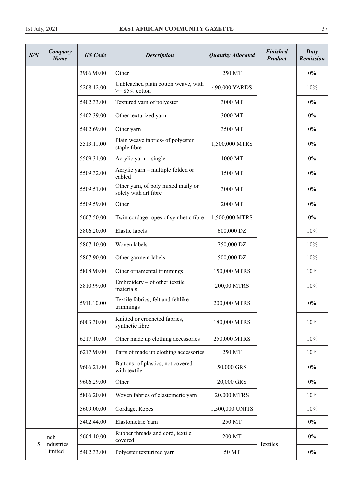| S/N | Company<br><b>Name</b> | <b>HS</b> Code | <b>Description</b>                                          | <b>Quantity Allocated</b> | <b>Finished</b><br><b>Product</b> | Duty<br><b>Remission</b> |
|-----|------------------------|----------------|-------------------------------------------------------------|---------------------------|-----------------------------------|--------------------------|
|     |                        | 3906.90.00     | Other                                                       | 250 MT                    |                                   | $0\%$                    |
|     | 5208.12.00             |                | Unbleached plain cotton weave, with<br>$>= 85\%$ cotton     | 490,000 YARDS             |                                   | 10%                      |
|     |                        | 5402.33.00     | Textured yarn of polyester                                  | 3000 MT                   |                                   | $0\%$                    |
|     |                        | 5402.39.00     | Other texturized yarn                                       | 3000 MT                   |                                   | $0\%$                    |
|     |                        | 5402.69.00     | Other yarn                                                  | 3500 MT                   |                                   | $0\%$                    |
|     |                        | 5513.11.00     | Plain weave fabrics- of polyester<br>staple fibre           | 1,500,000 MTRS            |                                   | $0\%$                    |
|     |                        | 5509.31.00     | Acrylic yarn – single                                       | 1000 MT                   |                                   | $0\%$                    |
|     |                        | 5509.32.00     | Acrylic yarn – multiple folded or<br>cabled                 | 1500 MT                   |                                   | $0\%$                    |
|     |                        | 5509.51.00     | Other yarn, of poly mixed maily or<br>solely with art fibre | 3000 MT                   |                                   | $0\%$                    |
|     |                        | 5509.59.00     | Other                                                       | 2000 MT                   |                                   | $0\%$                    |
|     |                        | 5607.50.00     | Twin cordage ropes of synthetic fibre                       | 1,500,000 MTRS            |                                   | $0\%$                    |
|     |                        | 5806.20.00     | Elastic labels                                              | 600,000 DZ                |                                   | 10%                      |
|     |                        | 5807.10.00     | Woven labels                                                | 750,000 DZ                |                                   | 10%                      |
|     |                        | 5807.90.00     | Other garment labels                                        | 500,000 DZ                |                                   | 10%                      |
|     |                        | 5808.90.00     | Other ornamental trimmings                                  | 150,000 MTRS              |                                   | 10%                      |
|     |                        | 5810.99.00     | Embroidery – of other textile<br>materials                  | 200,00 MTRS               |                                   | 10%                      |
|     |                        | 5911.10.00     | Textile fabrics, felt and feltlike<br>trimmings             | 200,000 MTRS              |                                   | $0\%$                    |
|     |                        | 6003.30.00     | Knitted or crocheted fabrics,<br>synthetic fibre            | 180,000 MTRS              |                                   | 10%                      |
|     |                        | 6217.10.00     | Other made up clothing accessories                          | 250,000 MTRS              |                                   | 10%                      |
|     |                        | 6217.90.00     | Parts of made up clothing accessories                       | 250 MT                    |                                   | 10%                      |
|     |                        | 9606.21.00     | Buttons- of plastics, not covered<br>with textile           | 50,000 GRS                |                                   | $0\%$                    |
|     | 9606.29.00             |                | Other                                                       | 20,000 GRS                |                                   | $0\%$                    |
|     |                        | 5806.20.00     | Woven fabrics of elastomeric yarn                           | 20,000 MTRS               |                                   | 10%                      |
|     |                        | 5609.00.00     | Cordage, Ropes                                              | 1,500,000 UNITS           |                                   | 10%                      |
|     |                        | 5402.44.00     | Elastometric Yarn                                           | 250 MT                    |                                   | $0\%$                    |
| 5   | Inch<br>Industries     | 5604.10.00     | Rubber threads and cord, textile<br>covered                 | 200 MT                    | Textiles                          | $0\%$                    |
|     | Limited                | 5402.33.00     | Polyester texturized yarn                                   | 50 MT                     |                                   | $0\%$                    |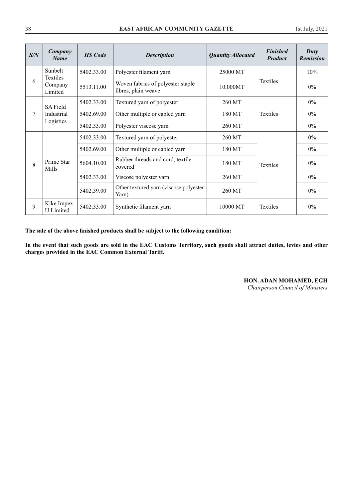| S/N | Company<br><b>Name</b>         | <b>HS</b> Code | <b>Description</b>                                       | <b>Quantity Allocated</b> | <b>Finished</b><br><b>Product</b> | Duty<br><b>Remission</b> |
|-----|--------------------------------|----------------|----------------------------------------------------------|---------------------------|-----------------------------------|--------------------------|
|     | Sunbelt                        | 5402.33.00     | Polyester filament yarn                                  | 25000 MT                  |                                   | 10%                      |
| 6   | Textiles<br>Company<br>Limited | 5513.11.00     | Woven fabrics of polyester staple<br>fibres, plain weave | 10,000MT                  | <b>Textiles</b>                   | $0\%$                    |
|     | <b>SA Field</b>                | 5402.33.00     | Textured yarn of polyester                               | 260 MT                    |                                   | $0\%$                    |
| 7   | Industrial<br>Logistics        | 5402.69.00     | Other multiple or cabled yarn                            | 180 MT                    | <b>Textiles</b>                   | $0\%$                    |
|     |                                | 5402.33.00     | Polyester viscose yarn                                   | 260 MT                    |                                   | $0\%$                    |
|     |                                | 5402.33.00     | Textured yarn of polyester                               | 260 MT                    |                                   | $0\%$                    |
|     |                                | 5402.69.00     | Other multiple or cabled yarn                            | 180 MT                    |                                   | $0\%$                    |
| 8   | Prime Star<br>Mills            | 5604.10.00     | Rubber threads and cord, textile<br>covered              | 180 MT                    | Textiles                          | $0\%$                    |
|     |                                | 5402.33.00     | Viscose polyester yarn                                   | 260 MT                    |                                   | $0\%$                    |
|     |                                | 5402.39.00     | Other textured yarn (viscose polyester<br>Yarn)          | 260 MT                    |                                   | $0\%$                    |
| 9   | Kike Impex<br>U Limited        | 5402.33.00     | Synthetic filament yarn                                  | 10000 MT                  | <b>Textiles</b>                   | $0\%$                    |

**The sale of the above finished products shall be subject to the following condition:** 

**In the event that such goods are sold in the EAC Customs Territory, such goods shall attract duties, levies and other charges provided in the EAC Common External Tariff.**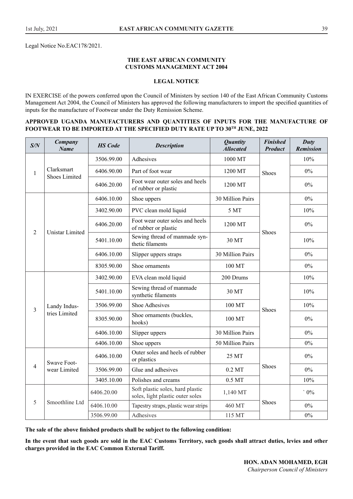Legal Notice No.EAC178/2021.

#### **THE EAST AFRICAN COMMUNITY CUSTOMS MANAGEMENT ACT 2004**

#### **LEGAL NOTICE**

IN EXERCISE of the powers conferred upon the Council of Ministers by section 140 of the East African Community Customs Management Act 2004, the Council of Ministers has approved the following manufacturers to import the specified quantities of inputs for the manufacture of Footwear under the Duty Remission Scheme.

#### **APPROVED UGANDA MANUFACTURERS AND QUANTITIES OF INPUTS FOR THE MANUFACTURE OF FOOTWEAR TO BE IMPORTED AT THE SPECIFIED DUTY RATE UP TO 30TH JUNE, 2022**

| S/N            | Company<br><b>Name</b>             | <b>HS</b> Code | <b>Description</b>                                                   | <b>Quantity</b><br><b>Allocated</b> | <b>Finished</b><br><b>Product</b> | Duty<br><b>Remission</b> |
|----------------|------------------------------------|----------------|----------------------------------------------------------------------|-------------------------------------|-----------------------------------|--------------------------|
|                |                                    | 3506.99.00     | Adhesives                                                            | 1000 MT                             |                                   | 10%                      |
| $\mathbf{1}$   | Clarksmart<br><b>Shoes Limited</b> | 6406.90.00     | Part of foot wear                                                    | 1200 MT<br>Shoes                    |                                   | $0\%$                    |
|                |                                    | 6406.20.00     | Foot wear outer soles and heels<br>of rubber or plastic              | 1200 MT                             |                                   | $0\%$                    |
|                |                                    | 6406.10.00     | Shoe uppers                                                          | 30 Million Pairs                    |                                   | $0\%$                    |
|                |                                    | 3402.90.00     | PVC clean mold liquid                                                | 5 MT                                |                                   | 10%                      |
| $\overline{2}$ | <b>Unistar Limited</b>             | 6406.20.00     | Foot wear outer soles and heels<br>of rubber or plastic              | 1200 MT                             | Shoes                             | 0%                       |
|                |                                    | 5401.10.00     | Sewing thread of manmade syn-<br>thetic filaments                    | 30 MT                               |                                   | 10%                      |
|                |                                    | 6406.10.00     | Slipper uppers straps                                                | 30 Million Pairs                    |                                   | $0\%$                    |
|                |                                    | 8305.90.00     | Shoe ornaments                                                       | 100 MT                              |                                   | $0\%$                    |
|                |                                    | 3402.90.00     | EVA clean mold liquid                                                | 200 Drums                           |                                   | 10%                      |
|                |                                    | 5401.10.00     | Sewing thread of manmade<br>synthetic filaments                      | 30 MT                               |                                   | 10%                      |
| 3              | Landy Indus-                       | 3506.99.00     | <b>Shoe Adhesives</b>                                                | 100 MT                              | Shoes                             | 10%                      |
|                | tries Limited                      | 8305.90.00     | Shoe ornaments (buckles,<br>hooks)                                   | 100 MT                              |                                   | $0\%$                    |
|                |                                    | 6406.10.00     | Slipper uppers                                                       | 30 Million Pairs                    |                                   | $0\%$                    |
|                |                                    | 6406.10.00     | Shoe uppers                                                          | 50 Million Pairs                    |                                   | 0%                       |
|                | Swave Foot-                        | 6406.10.00     | Outer soles and heels of rubber<br>or plastics                       | 25 MT                               |                                   | $0\%$                    |
| $\overline{4}$ | wear Limited                       | 3506.99.00     | Glue and adhesives                                                   | $0.2$ MT                            | Shoes                             | 0%                       |
|                |                                    | 3405.10.00     | Polishes and creams                                                  | $0.5\ \mathrm{MT}$                  |                                   | 10%                      |
|                |                                    | 6406.20.00     | Soft plastic soles, hard plastic<br>soles, light plastic outer soles | 1,140 MT                            |                                   | $\cdot$ 0%               |
| 5              | Smoothline Ltd                     | 6406.10.00     | Tapestry straps, plastic wear strips                                 | 460 MT                              | <b>Shoes</b>                      | 0%                       |
|                |                                    | 3506.99.00     | Adhesives                                                            | 115 MT                              |                                   | $0\%$                    |

**The sale of the above finished products shall be subject to the following condition:** 

**In the event that such goods are sold in the EAC Customs Territory, such goods shall attract duties, levies and other charges provided in the EAC Common External Tariff.**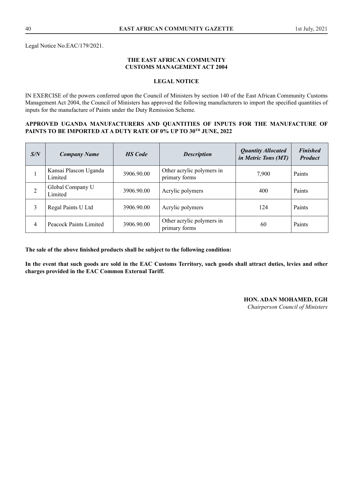Legal Notice No.EAC/179/2021.

#### **THE EAST AFRICAN COMMUNITY CUSTOMS MANAGEMENT ACT 2004**

#### **LEGAL NOTICE**

IN EXERCISE of the powers conferred upon the Council of Ministers by section 140 of the East African Community Customs Management Act 2004, the Council of Ministers has approved the following manufacturers to import the specified quantities of inputs for the manufacture of Paints under the Duty Remission Scheme.

#### **APPROVED UGANDA MANUFACTURERS AND QUANTITIES OF INPUTS FOR THE MANUFACTURE OF PAINTS TO BE IMPORTED AT A DUTY RATE OF 0% UP TO 30TH JUNE, 2022**

| S/N | <b>Company Name</b>              | <b>HS</b> Code | <b>Description</b>                         | <b>Quantity Allocated</b><br>in Metric Tons (MT) | <b>Finished</b><br><b>Product</b> |
|-----|----------------------------------|----------------|--------------------------------------------|--------------------------------------------------|-----------------------------------|
|     | Kansai Plascon Uganda<br>Limited | 3906.90.00     | Other acrylic polymers in<br>primary forms | 7,900                                            | Paints                            |
| 2   | Global Company U<br>Limited      | 3906.90.00     | Acrylic polymers                           | 400                                              | Paints                            |
| 3   | Regal Paints U Ltd               | 3906.90.00     | Acrylic polymers                           | 124                                              | Paints                            |
| 4   | Peacock Paints Limited           | 3906.90.00     | Other acrylic polymers in<br>primary forms | 60                                               | Paints                            |

**The sale of the above finished products shall be subject to the following condition:**

**In the event that such goods are sold in the EAC Customs Territory, such goods shall attract duties, levies and other charges provided in the EAC Common External Tariff.** 

**HON. ADAN MOHAMED, EGH**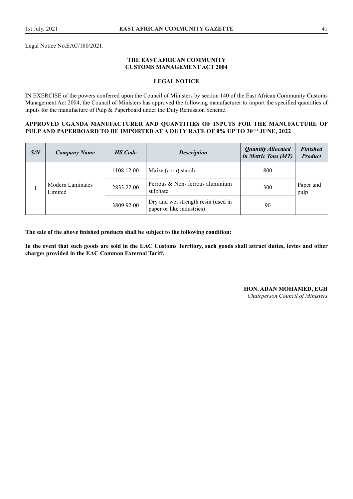Legal Notice No.EAC/180/2021.

#### **THE EAST AFRICAN COMMUNITY CUSTOMS MANAGEMENT ACT 2004**

#### **LEGAL NOTICE**

IN EXERCISE of the powers conferred upon the Council of Ministers by section 140 of the East African Community Customs Management Act 2004, the Council of Ministers has approved the following manufacturer to import the specified quantities of inputs for the manufacture of Pulp & Paperboard under the Duty Remission Scheme.

#### **APPROVED UGANDA MANUFACTURER AND QUANTITIES OF INPUTS FOR THE MANUFACTURE OF PULP AND PAPERBOARD TO BE IMPORTED AT A DUTY RATE OF 0% UP TO 30TH JUNE, 2022**

| S/N | <b>Company Name</b>                | <b>HS</b> Code | <b>Description</b>                                               | <b>Quantity Allocated</b><br>in Metric Tons (MT) | <b>Finished</b><br><b>Product</b> |
|-----|------------------------------------|----------------|------------------------------------------------------------------|--------------------------------------------------|-----------------------------------|
|     |                                    | 1108.12.00     | Maize (corn) starch                                              | 800                                              |                                   |
|     | <b>Modern Laminates</b><br>Limited | 2833.22.00     | Ferrous $& Non-$ ferrous aluminium<br>sulphate                   | 300                                              | Paper and<br>pulp                 |
|     |                                    | 3809.92.00     | Dry and wet strength resin (used in<br>paper or like industries) | 90                                               |                                   |

**The sale of the above finished products shall be subject to the following condition:**

**In the event that such goods are sold in the EAC Customs Territory, such goods shall attract duties, levies and other charges provided in the EAC Common External Tariff.**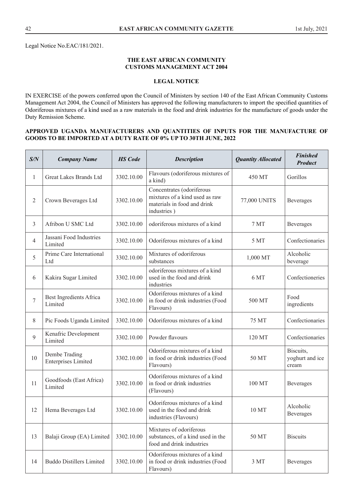Legal Notice No.EAC/181/2021.

#### **THE EAST AFRICAN COMMUNITY CUSTOMS MANAGEMENT ACT 2004**

# **LEGAL NOTICE**

IN EXERCISE of the powers conferred upon the Council of Ministers by section 140 of the East African Community Customs Management Act 2004, the Council of Ministers has approved the following manufacturers to import the specified quantities of Odoriferous mixtures of a kind used as a raw materials in the food and drink industries for the manufacture of goods under the Duty Remission Scheme.

#### **APPROVED UGANDA MANUFACTURERS AND QUANTITIES OF INPUTS FOR THE MANUFACTURE OF GOODS TO BE IMPORTED AT A DUTY RATE OF 0% UP TO 30TH JUNE, 2022**

| S/N            | <b>Company Name</b>                         | <b>HS</b> Code | <b>Description</b>                                                                                        | <b>Quantity Allocated</b> | <b>Finished</b><br><b>Product</b>     |
|----------------|---------------------------------------------|----------------|-----------------------------------------------------------------------------------------------------------|---------------------------|---------------------------------------|
| 1              | Great Lakes Brands Ltd                      | 3302.10.00     | Flavours (odoriferous mixtures of<br>a kind)                                                              | 450 MT                    | Gorillos                              |
| $\overline{2}$ | Crown Beverages Ltd                         | 3302.10.00     | Concentrates (odoriferous<br>mixtures of a kind used as raw<br>materials in food and drink<br>industries) | 77,000 UNITS              |                                       |
| 3              | Afribon U SMC Ltd                           | 3302.10.00     | odoriferous mixtures of a kind                                                                            | 7 MT                      | Beverages                             |
| $\overline{4}$ | Jassani Food Industries<br>Limited          | 3302.10.00     | Odoriferous mixtures of a kind                                                                            | 5 MT                      | Confectionaries                       |
| 5              | Prime Care International<br>Ltd             | 3302.10.00     | Mixtures of odoriferous<br>substances                                                                     | 1,000 MT                  | Alcoholic<br>beverage                 |
| 6              | Kakira Sugar Limited                        | 3302.10.00     | odoriferous mixtures of a kind<br>used in the food and drink<br>industries                                | 6 MT                      | Confectioneries                       |
| $\overline{7}$ | Best Ingredients Africa<br>Limited          | 3302.10.00     | Odoriferous mixtures of a kind<br>in food or drink industries (Food<br>Flavours)                          | 500 MT                    | Food<br>ingredients                   |
| 8              | Pic Foods Uganda Limited                    | 3302.10.00     | Odoriferous mixtures of a kind                                                                            | 75 MT                     | Confectionaries                       |
| 9              | Kenafric Development<br>Limited             | 3302.10.00     | Powder flavours                                                                                           | 120 MT                    | Confectionaries                       |
| 10             | Dembe Trading<br><b>Enterprises Limited</b> | 3302.10.00     | Odoriferous mixtures of a kind<br>in food or drink industries (Food<br>Flavours)                          | 50 MT                     | Biscuits,<br>yoghurt and ice<br>cream |
| 11             | Goodfoods (East Africa)<br>Limited          | 3302.10.00     | Odoriferous mixtures of a kind<br>in food or drink industries<br>(Flavours)                               | 100 MT                    | Beverages                             |
| 12             | Hema Beverages Ltd                          | 3302.10.00     | Odoriferous mixtures of a kind<br>used in the food and drink<br>industries (Flavours)                     | 10 MT                     | Alcoholic<br><b>Beverages</b>         |
| 13             | Balaji Group (EA) Limited                   | 3302.10.00     | Mixtures of odoriferous<br>substances, of a kind used in the<br>food and drink industries                 | 50 MT                     | <b>Biscuits</b>                       |
| 14             | <b>Buddo Distillers Limited</b>             | 3302.10.00     | Odoriferous mixtures of a kind<br>in food or drink industries (Food<br>Flavours)                          | 3 MT                      | Beverages                             |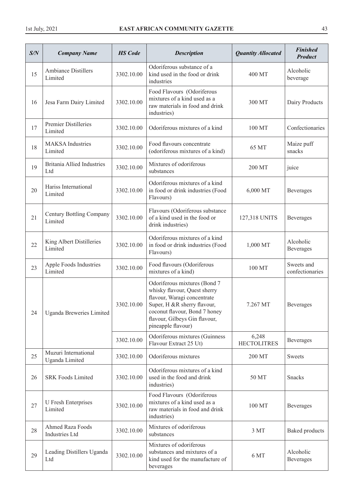| S/N | <b>Company Name</b>                        | <b>HS</b> Code | <b>Description</b>                                                                                                                                                                                                 | <b>Quantity Allocated</b>   | <b>Finished</b><br><b>Product</b> |
|-----|--------------------------------------------|----------------|--------------------------------------------------------------------------------------------------------------------------------------------------------------------------------------------------------------------|-----------------------------|-----------------------------------|
| 15  | <b>Ambiance Distillers</b><br>Limited      | 3302.10.00     | Odoriferous substance of a<br>kind used in the food or drink<br>industries                                                                                                                                         | 400 MT                      | Alcoholic<br>beverage             |
| 16  | Jesa Farm Dairy Limited                    | 3302.10.00     | Food Flavours (Odoriferous<br>mixtures of a kind used as a<br>raw materials in food and drink<br>industries)                                                                                                       | 300 MT                      | Dairy Products                    |
| 17  | Premier Distilleries<br>Limited            | 3302.10.00     | Odoriferous mixtures of a kind                                                                                                                                                                                     | 100 MT                      | Confectionaries                   |
| 18  | <b>MAKSA</b> Industries<br>Limited         | 3302.10.00     | Food flavours concentrate<br>(odoriferous mixtures of a kind)                                                                                                                                                      | 65 MT                       | Maize puff<br>snacks              |
| 19  | <b>Britania Allied Industries</b><br>Ltd   | 3302.10.00     | Mixtures of odoriferous<br>substances                                                                                                                                                                              | 200 MT                      | juice                             |
| 20  | Hariss International<br>Limited            | 3302.10.00     | Odoriferous mixtures of a kind<br>in food or drink industries (Food<br>Flavours)                                                                                                                                   | 6,000 MT                    | Beverages                         |
| 21  | <b>Century Bottling Company</b><br>Limited | 3302.10.00     | Flavours (Odoriferous substance<br>of a kind used in the food or<br>drink industries)                                                                                                                              | 127,318 UNITS               | Beverages                         |
| 22  | King Albert Distilleries<br>Limited        | 3302.10.00     | Odoriferous mixtures of a kind<br>in food or drink industries (Food<br>Flavours)                                                                                                                                   | 1,000 MT                    | Alcoholic<br>Beverages            |
| 23  | Apple Foods Industries<br>Limited          | 3302.10.00     | Food flavours (Odoriferous<br>mixtures of a kind)                                                                                                                                                                  | 100 MT                      | Sweets and<br>confectionaries     |
| 24  | Uganda Breweries Limited                   | 3302.10.00     | Odoriferous mixtures (Bond 7<br>whisky flavour, Quest sherry<br>flavour, Waragi concentrate<br>Super, H &R sherry flavour,<br>coconut flavour, Bond 7 honey<br>flavour, Gilbeys Gin flavour,<br>pineapple flavour) | 7.267 MT                    | <b>Beverages</b>                  |
|     |                                            | 3302.10.00     | Odoriferous mixtures (Guinness<br>Flavour Extract 25 Ut)                                                                                                                                                           | 6,248<br><b>HECTOLITRES</b> | Beverages                         |
| 25  | Muzuri International<br>Uganda Limited     | 3302.10.00     | Odoriferous mixtures                                                                                                                                                                                               | 200 MT                      | <b>Sweets</b>                     |
| 26  | <b>SRK Foods Limited</b>                   | 3302.10.00     | Odoriferous mixtures of a kind<br>used in the food and drink<br>industries)                                                                                                                                        | 50 MT                       | <b>Snacks</b>                     |
| 27  | <b>U</b> Fresh Enterprises<br>Limited      | 3302.10.00     | Food Flavours (Odoriferous<br>mixtures of a kind used as a<br>raw materials in food and drink<br>industries)                                                                                                       | 100 MT                      | Beverages                         |
| 28  | Ahmed Raza Foods<br><b>Industries Ltd</b>  | 3302.10.00     | Mixtures of odoriferous<br>substances                                                                                                                                                                              | 3 MT                        | <b>Baked</b> products             |
| 29  | Leading Distillers Uganda<br>Ltd           | 3302.10.00     | Mixtures of odoriferous<br>substances and mixtures of a<br>kind used for the manufacture of<br>beverages                                                                                                           | 6 MT                        | Alcoholic<br>Beverages            |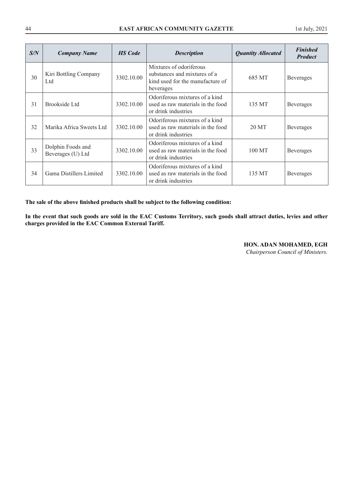| S/N | <b>Company Name</b>                    | <b>HS</b> Code | <b>Description</b>                                                                                       | <b>Quantity Allocated</b> | <b>Finished</b><br><b>Product</b> |
|-----|----------------------------------------|----------------|----------------------------------------------------------------------------------------------------------|---------------------------|-----------------------------------|
| 30  | Kiri Bottling Company<br>Ltd           | 3302.10.00     | Mixtures of odoriferous<br>substances and mixtures of a<br>kind used for the manufacture of<br>beverages | 685 MT                    | <b>Beverages</b>                  |
| 31  | Brookside Ltd                          | 3302.10.00     | Odoriferous mixtures of a kind<br>used as raw materials in the food<br>or drink industries               | 135 MT                    | <b>Beverages</b>                  |
| 32  | Marika Africa Sweets Ltd               | 3302.10.00     | Odoriferous mixtures of a kind<br>used as raw materials in the food<br>or drink industries               | 20 MT                     | <b>Beverages</b>                  |
| 33  | Dolphin Foods and<br>Beverages (U) Ltd | 3302.10.00     | Odoriferous mixtures of a kind<br>used as raw materials in the food<br>or drink industries               | 100 MT                    | Beverages                         |
| 34  | Gama Distillers Limited                | 3302.10.00     | Odoriferous mixtures of a kind<br>used as raw materials in the food<br>or drink industries               | 135 MT                    | <b>Beverages</b>                  |

**The sale of the above finished products shall be subject to the following condition:**

**In the event that such goods are sold in the EAC Customs Territory, such goods shall attract duties, levies and other charges provided in the EAC Common External Tariff.**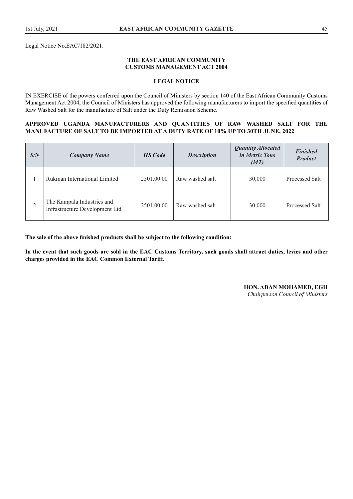Legal Notice No.EAC/182/2021.

#### **THE EAST AFRICAN COMMUNITY CUSTOMS MANAGEMENT ACT 2004**

#### **LEGAL NOTICE**

IN EXERCISE of the powers conferred upon the Council of Ministers by section 140 of the East African Community Customs Management Act 2004, the Council of Ministers has approved the following manufacturers to import the specified quantities of Raw Washed Salt for the manufacture of Salt under the Duty Remission Scheme.

#### **APPROVED UGANDA MANUFACTURERS AND QUANTITIES OF RAW WASHED SALT FOR THE MANUFACTURE OF SALT TO BE IMPORTED AT A DUTY RATE OF 10% UP TO 30TH JUNE, 2022**

| S/N | <b>Company Name</b>                                          | <b>HS</b> Code | <b>Description</b> | <b>Quantity Allocated</b><br><i>in Metric Tons</i><br>(MT) | <b>Finished</b><br><b>Product</b> |
|-----|--------------------------------------------------------------|----------------|--------------------|------------------------------------------------------------|-----------------------------------|
|     | Rukman International Limited                                 | 2501.00.00     | Raw washed salt    | 30,000                                                     | Processed Salt                    |
| 2   | The Kampala Industries and<br>Infrastructure Development Ltd | 2501.00.00     | Raw washed salt    | 30,000                                                     | Processed Salt                    |

**The sale of the above finished products shall be subject to the following condition:**

**In the event that such goods are sold in the EAC Customs Territory, such goods shall attract duties, levies and other charges provided in the EAC Common External Tariff.** 

**HON. ADAN MOHAMED, EGH**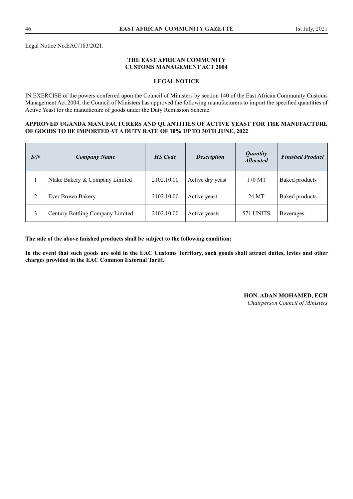Legal Notice No.EAC/183/2021.

#### **THE EAST AFRICAN COMMUNITY CUSTOMS MANAGEMENT ACT 2004**

#### **LEGAL NOTICE**

IN EXERCISE of the powers conferred upon the Council of Ministers by section 140 of the East African Community Customs Management Act 2004, the Council of Ministers has approved the following manufacturers to import the specified quantities of Active Yeast for the manufacture of goods under the Duty Remission Scheme.

#### **APPROVED UGANDA MANUFACTURERS AND QUANTITIES OF ACTIVE YEAST FOR THE MANUFACTURE OF GOODS TO BE IMPORTED AT A DUTY RATE OF 10% UP TO 30TH JUNE, 2022**

| S/N | <b>Company Name</b>              | <b>HS</b> Code | <b>Description</b> | <i>Quantity</i><br><b>Allocated</b> | <b>Finished Product</b> |
|-----|----------------------------------|----------------|--------------------|-------------------------------------|-------------------------|
|     | Ntake Bakery & Company Limited   | 2102.10.00     | Active dry yeast   | 170 MT                              | <b>Baked products</b>   |
| 2   | Ever Brown Bakery                | 2102.10.00     | Active yeast       | 24 MT                               | <b>Baked products</b>   |
| 3   | Century Bottling Company Limited | 2102.10.00     | Active yeasts      | 571 UNITS                           | <b>Beverages</b>        |

**The sale of the above finished products shall be subject to the following condition:**

**In the event that such goods are sold in the EAC Customs Territory, such goods shall attract duties, levies and other charges provided in the EAC Common External Tariff.** 

#### **HON. ADAN MOHAMED, EGH**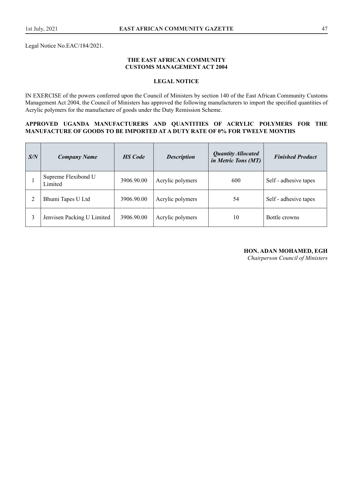#### **THE EAST AFRICAN COMMUNITY CUSTOMS MANAGEMENT ACT 2004**

#### **LEGAL NOTICE**

IN EXERCISE of the powers conferred upon the Council of Ministers by section 140 of the East African Community Customs Management Act 2004, the Council of Ministers has approved the following manufacturers to import the specified quantities of Acrylic polymers for the manufacture of goods under the Duty Remission Scheme.

#### **APPROVED UGANDA MANUFACTURERS AND QUANTITIES OF ACRYLIC POLYMERS FOR THE MANUFACTURE OF GOODS TO BE IMPORTED AT A DUTY RATE OF 0% FOR TWELVE MONTHS**

| S/N | <b>Company Name</b>            | <b>HS</b> Code | <b>Description</b> | <b>Quantity Allocated</b><br>in Metric Tons (MT) | <b>Finished Product</b> |
|-----|--------------------------------|----------------|--------------------|--------------------------------------------------|-------------------------|
|     | Supreme Flexibond U<br>Limited | 3906.90.00     | Acrylic polymers   | 600                                              | Self - adhesive tapes   |
|     | Bhumi Tapes U Ltd              | 3906.90.00     | Acrylic polymers   | 54                                               | Self - adhesive tapes   |
|     | Jenvisen Packing U Limited     | 3906.90.00     | Acrylic polymers   | 10                                               | Bottle crowns           |

#### **HON. ADAN MOHAMED, EGH**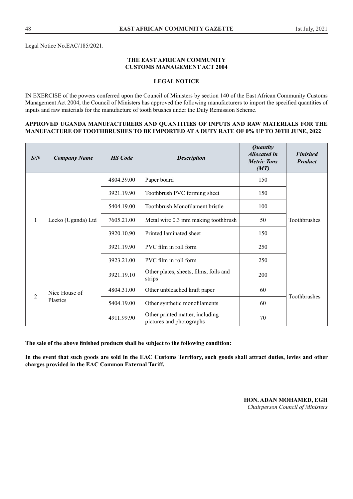Legal Notice No.EAC/185/2021.

#### **THE EAST AFRICAN COMMUNITY CUSTOMS MANAGEMENT ACT 2004**

#### **LEGAL NOTICE**

IN EXERCISE of the powers conferred upon the Council of Ministers by section 140 of the East African Community Customs Management Act 2004, the Council of Ministers has approved the following manufacturers to import the specified quantities of inputs and raw materials for the manufacture of tooth brushes under the Duty Remission Scheme.

#### **APPROVED UGANDA MANUFACTURERS AND QUANTITIES OF INPUTS AND RAW MATERIALS FOR THE MANUFACTURE OF TOOTHBRUSHES TO BE IMPORTED AT A DUTY RATE OF 0% UP TO 30TH JUNE, 2022**

| S/N            | <b>Company Name</b> | <b>HS</b> Code | <b>Description</b>                                          | <b>Quantity</b><br><b>Allocated in</b><br><b>Metric Tons</b><br>(MT) | <b>Finished</b><br><b>Product</b> |                       |     |  |
|----------------|---------------------|----------------|-------------------------------------------------------------|----------------------------------------------------------------------|-----------------------------------|-----------------------|-----|--|
|                |                     | 4804.39.00     | Paper board                                                 | 150                                                                  |                                   |                       |     |  |
|                |                     | 3921.19.90     | Toothbrush PVC forming sheet                                | 150                                                                  |                                   |                       |     |  |
|                |                     | 5404.19.00     | Toothbrush Monofilament bristle                             | 100                                                                  |                                   |                       |     |  |
| 1              | Leeko (Uganda) Ltd  |                | 7605.21.00                                                  | Metal wire 0.3 mm making toothbrush                                  | 50                                | Toothbrushes          |     |  |
|                |                     | 3920.10.90     | Printed laminated sheet                                     | 150                                                                  |                                   |                       |     |  |
|                |                     |                |                                                             |                                                                      | 3921.19.90                        | PVC film in roll form | 250 |  |
|                |                     |                | 3923.21.00                                                  | PVC film in roll form                                                | 250                               |                       |     |  |
|                |                     | 3921.19.10     | Other plates, sheets, films, foils and<br>strips            | 200                                                                  |                                   |                       |     |  |
| $\overline{2}$ | Nice House of       | 4804.31.00     | Other unbleached kraft paper                                | 60                                                                   |                                   |                       |     |  |
|                | Plastics            | 5404.19.00     | Other synthetic monofilaments                               | 60                                                                   | Toothbrushes                      |                       |     |  |
|                |                     | 4911.99.90     | Other printed matter, including<br>pictures and photographs | 70                                                                   |                                   |                       |     |  |

**The sale of the above finished products shall be subject to the following condition:**

**In the event that such goods are sold in the EAC Customs Territory, such goods shall attract duties, levies and other charges provided in the EAC Common External Tariff.**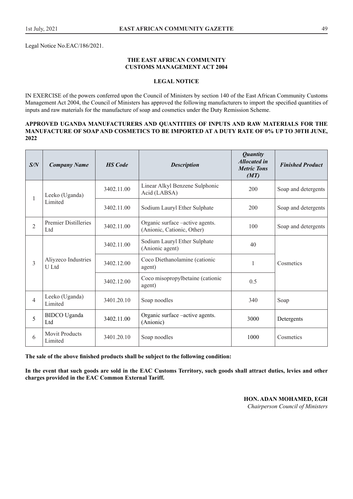Legal Notice No.EAC/186/2021.

#### **THE EAST AFRICAN COMMUNITY CUSTOMS MANAGEMENT ACT 2004**

#### **LEGAL NOTICE**

IN EXERCISE of the powers conferred upon the Council of Ministers by section 140 of the East African Community Customs Management Act 2004, the Council of Ministers has approved the following manufacturers to import the specified quantities of inputs and raw materials for the manufacture of soap and cosmetics under the Duty Remission Scheme.

#### **APPROVED UGANDA MANUFACTURERS AND QUANTITIES OF INPUTS AND RAW MATERIALS FOR THE MANUFACTURE OF SOAP AND COSMETICS TO BE IMPORTED AT A DUTY RATE OF 0% UP TO 30TH JUNE, 2022**

| S/N            | <b>Company Name</b>                    | <b>HS</b> Code | <b>Description</b>                                                    | <b>Quantity</b><br><b>Allocated in</b><br><b>Metric Tons</b><br>(MT) | <b>Finished Product</b> |
|----------------|----------------------------------------|----------------|-----------------------------------------------------------------------|----------------------------------------------------------------------|-------------------------|
| $\mathbf{1}$   | Leeko (Uganda)                         | 3402.11.00     | Linear Alkyl Benzene Sulphonic<br>Acid (LABSA)                        | 200                                                                  | Soap and detergents     |
|                | Limited                                | 3402.11.00     | Sodium Lauryl Ether Sulphate                                          | 200                                                                  | Soap and detergents     |
| $\overline{2}$ | <b>Premier Distilleries</b><br>Ltd     | 3402.11.00     | Organic surface – active agents.<br>100<br>(Anionic, Cationic, Other) |                                                                      | Soap and detergents     |
|                | Aliyzeco Industries<br>U Ltd           | 3402.11.00     | Sodium Lauryl Ether Sulphate<br>(Anionic agent)                       | 40                                                                   |                         |
| 3              |                                        | 3402.12.00     | Coco Diethanolamine (cationic<br>agent)                               | 1                                                                    | Cosmetics               |
|                |                                        | 3402.12.00     | Coco misopropylbetaine (cationic<br>agent)                            | 0.5                                                                  |                         |
| $\overline{4}$ | Leeko (Uganda)<br>Limited              | 3401.20.10     | Soap noodles                                                          | 340                                                                  | Soap                    |
| 5              | <b>BIDCO</b> Uganda<br>L <sub>td</sub> | 3402.11.00     | Organic surface – active agents.<br>3000<br>(Anionic)                 |                                                                      | Detergents              |
| 6              | <b>Movit Products</b><br>Limited       | 3401.20.10     | Soap noodles                                                          | 1000                                                                 | Cosmetics               |

**The sale of the above finished products shall be subject to the following condition:**

**In the event that such goods are sold in the EAC Customs Territory, such goods shall attract duties, levies and other charges provided in the EAC Common External Tariff.**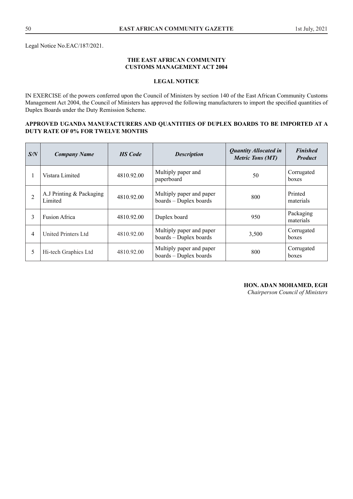#### **THE EAST AFRICAN COMMUNITY CUSTOMS MANAGEMENT ACT 2004**

# **LEGAL NOTICE**

IN EXERCISE of the powers conferred upon the Council of Ministers by section 140 of the East African Community Customs Management Act 2004, the Council of Ministers has approved the following manufacturers to import the specified quantities of Duplex Boards under the Duty Remission Scheme.

#### **APPROVED UGANDA MANUFACTURERS AND QUANTITIES OF DUPLEX BOARDS TO BE IMPORTED AT A DUTY RATE OF 0% FOR TWELVE MONTHS**

| S/N | <b>Company Name</b>                 | <b>HS</b> Code | <b>Description</b>                                 | <b>Quantity Allocated in</b><br><b>Metric Tons (MT)</b> | <b>Finished</b><br><b>Product</b> |
|-----|-------------------------------------|----------------|----------------------------------------------------|---------------------------------------------------------|-----------------------------------|
|     | Vistara Limited                     | 4810.92.00     | Multiply paper and<br>paperboard                   | 50                                                      | Corrugated<br>boxes               |
| 2   | A.J Printing & Packaging<br>Limited | 4810.92.00     | Multiply paper and paper<br>boards - Duplex boards | 800                                                     | Printed<br>materials              |
| 3   | <b>Fusion Africa</b>                | 4810.92.00     | Duplex board                                       | 950                                                     | Packaging<br>materials            |
| 4   | United Printers Ltd                 | 4810.92.00     | Multiply paper and paper<br>boards - Duplex boards | 3,500                                                   | Corrugated<br>boxes               |
| 5   | Hi-tech Graphics Ltd                | 4810.92.00     | Multiply paper and paper<br>boards - Duplex boards | 800                                                     | Corrugated<br>boxes               |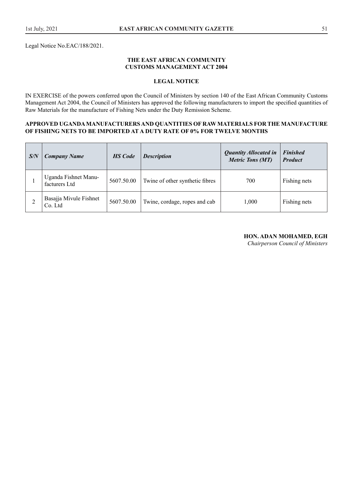Legal Notice No.EAC/188/2021.

#### **THE EAST AFRICAN COMMUNITY CUSTOMS MANAGEMENT ACT 2004**

# **LEGAL NOTICE**

IN EXERCISE of the powers conferred upon the Council of Ministers by section 140 of the East African Community Customs Management Act 2004, the Council of Ministers has approved the following manufacturers to import the specified quantities of Raw Materials for the manufacture of Fishing Nets under the Duty Remission Scheme.

#### **APPROVED UGANDA MANUFACTURERS AND QUANTITIES OF RAW MATERIALS FOR THE MANUFACTURE OF FISHING NETS TO BE IMPORTED AT A DUTY RATE OF 0% FOR TWELVE MONTHS**

| S/N | <b>Company Name</b>                   | <b>HS</b> Code | <b>Description</b>              | <b>Quantity Allocated in</b><br><b>Metric Tons (MT)</b> | <b>Finished</b><br><b>Product</b> |
|-----|---------------------------------------|----------------|---------------------------------|---------------------------------------------------------|-----------------------------------|
|     | Uganda Fishnet Manu-<br>facturers Ltd | 5607.50.00     | Twine of other synthetic fibres | 700                                                     | Fishing nets                      |
|     | Basajja Mivule Fishnet<br>Co. Ltd     | 5607.50.00     | Twine, cordage, ropes and cab   | 1,000                                                   | Fishing nets                      |

#### **HON. ADAN MOHAMED, EGH**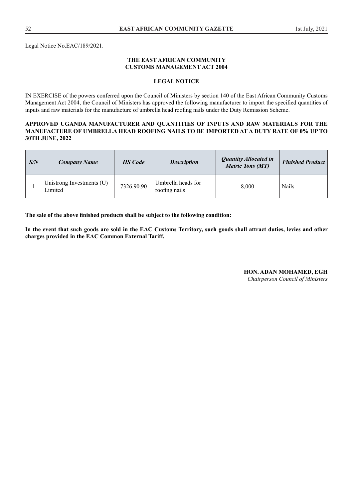Legal Notice No.EAC/189/2021.

#### **THE EAST AFRICAN COMMUNITY CUSTOMS MANAGEMENT ACT 2004**

#### **LEGAL NOTICE**

IN EXERCISE of the powers conferred upon the Council of Ministers by section 140 of the East African Community Customs Management Act 2004, the Council of Ministers has approved the following manufacturer to import the specified quantities of inputs and raw materials for the manufacture of umbrella head roofing nails under the Duty Remission Scheme.

#### **APPROVED UGANDA MANUFACTURER AND QUANTITIES OF INPUTS AND RAW MATERIALS FOR THE MANUFACTURE OF UMBRELLA HEAD ROOFING NAILS TO BE IMPORTED AT A DUTY RATE OF 0% UP TO 30TH JUNE, 2022**

| S/N | <b>Company Name</b>                  | <b>HS</b> Code | <b>Description</b>                  | <b>Quantity Allocated in</b><br><b>Metric Tons (MT)</b> | <b>Finished Product</b> |
|-----|--------------------------------------|----------------|-------------------------------------|---------------------------------------------------------|-------------------------|
|     | Unistrong Investments (U)<br>Limited | 7326.90.90     | Umbrella heads for<br>roofing nails | 8.000                                                   | <b>Nails</b>            |

**The sale of the above finished products shall be subject to the following condition:**

**In the event that such goods are sold in the EAC Customs Territory, such goods shall attract duties, levies and other charges provided in the EAC Common External Tariff.**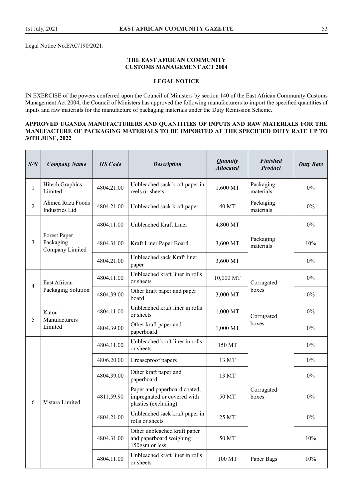Legal Notice No.EAC/190/2021.

#### **THE EAST AFRICAN COMMUNITY CUSTOMS MANAGEMENT ACT 2004**

# **LEGAL NOTICE**

IN EXERCISE of the powers conferred upon the Council of Ministers by section 140 of the East African Community Customs Management Act 2004, the Council of Ministers has approved the following manufacturers to import the specified quantities of inputs and raw materials for the manufacture of packaging materials under the Duty Remission Scheme.

#### **APPROVED UGANDA MANUFACTURERS AND QUANTITIES OF INPUTS AND RAW MATERIALS FOR THE MANUFACTURE OF PACKAGING MATERIALS TO BE IMPORTED AT THE SPECIFIED DUTY RATE UP TO 30TH JUNE, 2022**

| S/N            | <b>Company Name</b>                              | <b>HS</b> Code | <b>Description</b>                                                                  | <b>Quantity</b><br><b>Allocated</b> | <b>Finished</b><br><b>Product</b> | <b>Duty Rate</b> |
|----------------|--------------------------------------------------|----------------|-------------------------------------------------------------------------------------|-------------------------------------|-----------------------------------|------------------|
| 1              | <b>Hitech Graphics</b><br>Limited                | 4804.21.00     | Unbleached sack kraft paper in<br>reels or sheets                                   | 1,600 MT                            | Packaging<br>materials            | $0\%$            |
| $\overline{2}$ | <b>Ahmed Raza Foods</b><br><b>Industries Ltd</b> | 4804.21.00     | Unbleached sack kraft paper                                                         | 40 MT                               | Packaging<br>materials            | $0\%$            |
|                |                                                  | 4804.11.00     | Unbleached Kraft Liner                                                              | 4,800 MT                            |                                   | $0\%$            |
| 3              | Forest Paper<br>Packaging<br>Company Limited     | 4804.31.00     | Kraft Liner Paper Board                                                             | 3,600 MT                            | Packaging<br>materials            | 10%              |
|                |                                                  | 4804.21.00     | Unbleached sack Kraft liner<br>paper                                                | 3,600 MT                            |                                   | $0\%$            |
|                | East African                                     | 4804.11.00     | Unbleached kraft liner in rolls<br>or sheets                                        | 10,000 MT                           | Corrugated                        |                  |
| $\overline{4}$ | Packaging Solution                               | 4804.39.00     | Other kraft paper and paper<br>board                                                | 3,000 MT                            | boxes                             | $0\%$            |
| 5              | Katon                                            | 4804.11.00     | Unbleached kraft liner in rolls<br>or sheets                                        | 1,000 MT                            | Corrugated                        | $0\%$            |
|                | Manufacturers<br>Limited                         | 4804.39.00     | Other kraft paper and<br>paperboard                                                 | 1,000 MT                            | boxes                             | $0\%$            |
|                |                                                  | 4804.11.00     | Unbleached kraft liner in rolls<br>or sheets                                        | 150 MT                              |                                   | $0\%$            |
|                |                                                  | 4806.20.00     | Greaseproof papers                                                                  | 13 MT                               |                                   | $0\%$            |
|                |                                                  | 4804.39.00     | Other kraft paper and<br>paperboard                                                 | 13 MT                               |                                   | $0\%$            |
| 6              | Vistara Limited                                  | 4811.59.90     | Paper and paperboard coated,<br>impregnated or covered with<br>plastics (excluding) | 50 MT                               | Corrugated<br>boxes               | $0\%$            |
|                |                                                  | 4804.21.00     | Unbleached sack kraft paper in<br>rolls or sheets                                   | 25 MT                               |                                   | $0\%$            |
|                |                                                  | 4804.31.00     | Other unbleached kraft paper<br>and paperboard weighing<br>150gsm or less           | 50 MT                               |                                   | 10%              |
|                |                                                  | 4804.11.00     | Unbleached kraft liner in rolls<br>or sheets                                        | 100 MT                              | Paper Bags                        | 10%              |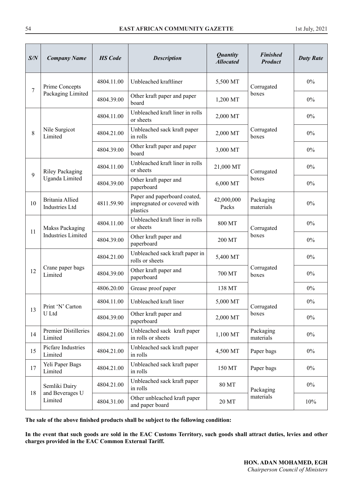| S/N            | <b>Company Name</b>                      | <b>HS</b> Code | <b>Description</b>                                                                             | <b>Quantity</b><br><b>Allocated</b> | <b>Finished</b><br><b>Product</b> | <b>Duty Rate</b> |
|----------------|------------------------------------------|----------------|------------------------------------------------------------------------------------------------|-------------------------------------|-----------------------------------|------------------|
| $\overline{7}$ | Prime Concepts                           | 4804.11.00     | Unbleached kraftliner                                                                          | 5,500 MT                            | Corrugated                        | $0\%$            |
|                | Packaging Limited                        | 4804.39.00     | Other kraft paper and paper<br>board                                                           | 1,200 MT                            | boxes                             | 0%               |
|                |                                          | 4804.11.00     | Unbleached kraft liner in rolls<br>or sheets                                                   | 2,000 MT                            |                                   | $0\%$            |
| 8              | Nile Surgicot<br>Limited                 | 4804.21.00     | Unbleached sack kraft paper<br>in rolls                                                        | 2,000 MT                            | Corrugated<br>boxes               | $0\%$            |
|                |                                          | 4804.39.00     | Other kraft paper and paper<br>board                                                           | 3,000 MT                            |                                   | $0\%$            |
| 9              | <b>Riley Packaging</b>                   | 4804.11.00     | Unbleached kraft liner in rolls<br>or sheets                                                   | 21,000 MT                           | Corrugated                        | $0\%$            |
|                | Uganda Limited                           | 4804.39.00     | Other kraft paper and<br>paperboard                                                            | 6,000 MT                            | boxes                             | $0\%$            |
| 10             | Britania Allied<br><b>Industries Ltd</b> | 4811.59.90     | Paper and paperboard coated,<br>42,000,000<br>impregnated or covered with<br>Packs<br>plastics |                                     | Packaging<br>materials            | 0%               |
|                | Makss Packaging                          | 4804.11.00     | Unbleached kraft liner in rolls<br>or sheets                                                   | 800 MT                              |                                   | $0\%$            |
| 11             | <b>Industries Limited</b>                | 4804.39.00     | Other kraft paper and<br>paperboard                                                            | 200 MT                              | Corrugated<br>boxes               | $0\%$            |
|                |                                          | 4804.21.00     | Unbleached sack kraft paper in<br>rolls or sheets                                              | 5,400 MT                            |                                   | $0\%$            |
| 12             | Crane paper bags<br>Limited              | 4804.39.00     | Other kraft paper and<br>paperboard                                                            | 700 MT                              | Corrugated<br>boxes               | $0\%$            |
|                |                                          | 4806.20.00     | Grease proof paper                                                                             | 138 MT                              |                                   | $0\%$            |
| 13             | Print 'N' Carton                         | 4804.11.00     | Unbleached kraft liner                                                                         | 5,000 MT                            | Corrugated                        | $0\%$            |
|                | U Ltd                                    | 4804.39.00     | Other kraft paper and<br>paperboard                                                            | 2,000 MT                            | boxes                             | $0\%$            |
| 14             | Premier Distilleries<br>Limited          | 4804.21.00     | Unbleached sack kraft paper<br>in rolls or sheets                                              | 1,100 MT                            | Packaging<br>materials            | $0\%$            |
| 15             | Picfare Industries<br>Limited            | 4804.21.00     | Unbleached sack kraft paper<br>in rolls                                                        | 4,500 MT                            | Paper bags                        | $0\%$            |
| 17             | Yeli Paper Bags<br>Limited               | 4804.21.00     | Unbleached sack kraft paper<br>in rolls                                                        | 150 MT                              | Paper bags                        | $0\%$            |
|                | Semliki Dairy                            | 4804.21.00     | Unbleached sack kraft paper<br>in rolls                                                        | 80 MT                               | Packaging                         | $0\%$            |
| 18             | and Beverages U<br>Limited               | 4804.31.00     | Other unbleached kraft paper<br>and paper board                                                | 20 MT                               | materials                         | 10%              |

**The sale of the above finished products shall be subject to the following condition:**

**In the event that such goods are sold in the EAC Customs Territory, such goods shall attract duties, levies and other charges provided in the EAC Common External Tariff.**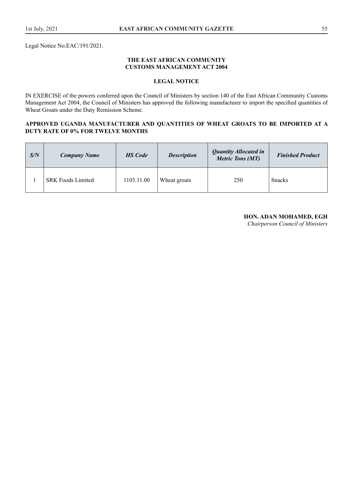#### **THE EAST AFRICAN COMMUNITY CUSTOMS MANAGEMENT ACT 2004**

# **LEGAL NOTICE**

IN EXERCISE of the powers conferred upon the Council of Ministers by section 140 of the East African Community Customs Management Act 2004, the Council of Ministers has approved the following manufacturer to import the specified quantities of Wheat Groats under the Duty Remission Scheme.

### **APPROVED UGANDA MANUFACTURER AND QUANTITIES OF WHEAT GROATS TO BE IMPORTED AT A DUTY RATE OF 0% FOR TWELVE MONTHS**

| S/N | <b>Company Name</b>      | <b>HS</b> Code | <b>Description</b> | <b>Quantity Allocated in</b><br><b>Metric Tons (MT)</b> | <b>Finished Product</b> |
|-----|--------------------------|----------------|--------------------|---------------------------------------------------------|-------------------------|
|     | <b>SRK Foods Limited</b> | 1103.11.00     | Wheat groats       | 250                                                     | <b>Snacks</b>           |

#### **HON. ADAN MOHAMED, EGH**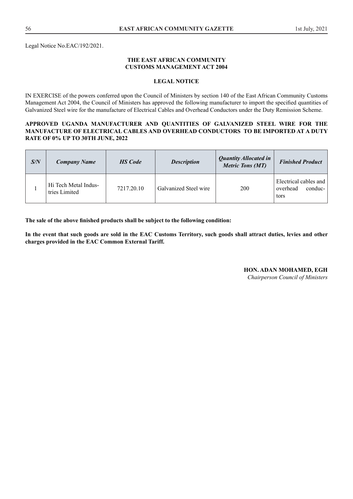Legal Notice No.EAC/192/2021.

#### **THE EAST AFRICAN COMMUNITY CUSTOMS MANAGEMENT ACT 2004**

#### **LEGAL NOTICE**

IN EXERCISE of the powers conferred upon the Council of Ministers by section 140 of the East African Community Customs Management Act 2004, the Council of Ministers has approved the following manufacturer to import the specified quantities of Galvanized Steel wire for the manufacture of Electrical Cables and Overhead Conductors under the Duty Remission Scheme.

#### **APPROVED UGANDA MANUFACTURER AND QUANTITIES OF GALVANIZED STEEL WIRE FOR THE MANUFACTURE OF ELECTRICAL CABLES AND OVERHEAD CONDUCTORS TO BE IMPORTED AT A DUTY RATE OF 0% UP TO 30TH JUNE, 2022**

| S/N | <b>Company Name</b>                   | <b>HS</b> Code | <b>Description</b>    | <b>Quantity Allocated in</b><br><b>Metric Tons (MT)</b> | <b>Finished Product</b>                              |
|-----|---------------------------------------|----------------|-----------------------|---------------------------------------------------------|------------------------------------------------------|
|     | Hi Tech Metal Indus-<br>tries Limited | 7217.20.10     | Galvanized Steel wire | 200                                                     | Electrical cables and<br>conduc-<br>overhead<br>tors |

**The sale of the above finished products shall be subject to the following condition:**

**In the event that such goods are sold in the EAC Customs Territory, such goods shall attract duties, levies and other charges provided in the EAC Common External Tariff.**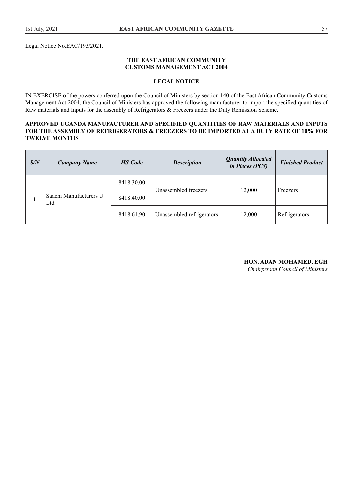#### **THE EAST AFRICAN COMMUNITY CUSTOMS MANAGEMENT ACT 2004**

#### **LEGAL NOTICE**

IN EXERCISE of the powers conferred upon the Council of Ministers by section 140 of the East African Community Customs Management Act 2004, the Council of Ministers has approved the following manufacturer to import the specified quantities of Raw materials and Inputs for the assembly of Refrigerators & Freezers under the Duty Remission Scheme.

#### **APPROVED UGANDA MANUFACTURER AND SPECIFIED QUANTITIES OF RAW MATERIALS AND INPUTS FOR THE ASSEMBLY OF REFRIGERATORS & FREEZERS TO BE IMPORTED AT A DUTY RATE OF 10% FOR TWELVE MONTHS**

| S/N | <b>Company Name</b>           | <b>HS</b> Code | <b>Description</b>        | <b>Quantity Allocated</b><br>in Pieces (PCS) | <b>Finished Product</b> |
|-----|-------------------------------|----------------|---------------------------|----------------------------------------------|-------------------------|
|     | Saachi Manufacturers U<br>Ltd | 8418.30.00     |                           |                                              | Freezers                |
|     |                               | 8418.40.00     | Unassembled freezers      | 12,000                                       |                         |
|     |                               | 8418.61.90     | Unassembled refrigerators | 12,000                                       | Refrigerators           |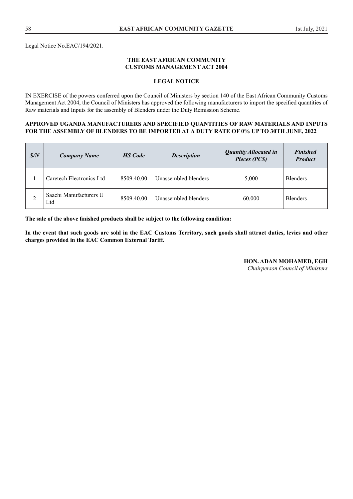Legal Notice No.EAC/194/2021.

#### **THE EAST AFRICAN COMMUNITY CUSTOMS MANAGEMENT ACT 2004**

#### **LEGAL NOTICE**

IN EXERCISE of the powers conferred upon the Council of Ministers by section 140 of the East African Community Customs Management Act 2004, the Council of Ministers has approved the following manufacturers to import the specified quantities of Raw materials and Inputs for the assembly of Blenders under the Duty Remission Scheme.

#### **APPROVED UGANDA MANUFACTURERS AND SPECIFIED QUANTITIES OF RAW MATERIALS AND INPUTS FOR THE ASSEMBLY OF BLENDERS TO BE IMPORTED AT A DUTY RATE OF 0% UP TO 30TH JUNE, 2022**

| S/N | <b>Company Name</b>           | <b>HS</b> Code | <b>Description</b>   | <b>Quantity Allocated in</b><br>Pieces (PCS) | <b>Finished</b><br><b>Product</b> |
|-----|-------------------------------|----------------|----------------------|----------------------------------------------|-----------------------------------|
|     | Caretech Electronics Ltd      | 8509.40.00     | Unassembled blenders | 5,000                                        | <b>Blenders</b>                   |
|     | Saachi Manufacturers U<br>Ltd | 8509.40.00     | Unassembled blenders | 60,000                                       | <b>Blenders</b>                   |

**The sale of the above finished products shall be subject to the following condition:**

**In the event that such goods are sold in the EAC Customs Territory, such goods shall attract duties, levies and other charges provided in the EAC Common External Tariff.**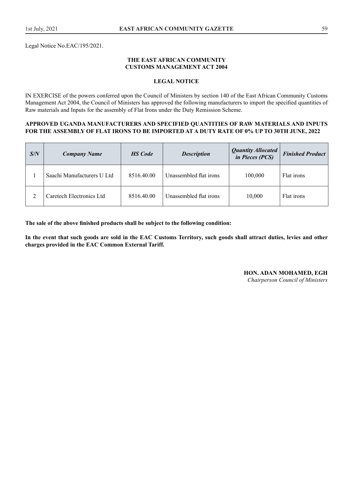Legal Notice No.EAC/195/2021.

#### **THE EAST AFRICAN COMMUNITY CUSTOMS MANAGEMENT ACT 2004**

#### **LEGAL NOTICE**

IN EXERCISE of the powers conferred upon the Council of Ministers by section 140 of the East African Community Customs Management Act 2004, the Council of Ministers has approved the following manufacturers to import the specified quantities of Raw materials and Inputs for the assembly of Flat Irons under the Duty Remission Scheme.

#### **APPROVED UGANDA MANUFACTURERS AND SPECIFIED QUANTITIES OF RAW MATERIALS AND INPUTS FOR THE ASSEMBLY OF FLAT IRONS TO BE IMPORTED AT A DUTY RATE OF 0% UP TO 30TH JUNE, 2022**

| S/N | <b>Company Name</b>        | <b>HS</b> Code | <b>Description</b>     | Quantity Allocated<br>in Pieces (PCS) | <b>Finished Product</b> |
|-----|----------------------------|----------------|------------------------|---------------------------------------|-------------------------|
|     | Saachi Manufacturers U Ltd | 8516.40.00     | Unassembled flat irons | 100,000                               | Flat irons              |
|     | Caretech Electronics Ltd   | 8516.40.00     | Unassembled flat irons | 10.000                                | Flat irons              |

**The sale of the above finished products shall be subject to the following condition:**

**In the event that such goods are sold in the EAC Customs Territory, such goods shall attract duties, levies and other charges provided in the EAC Common External Tariff.** 

# **HON. ADAN MOHAMED, EGH**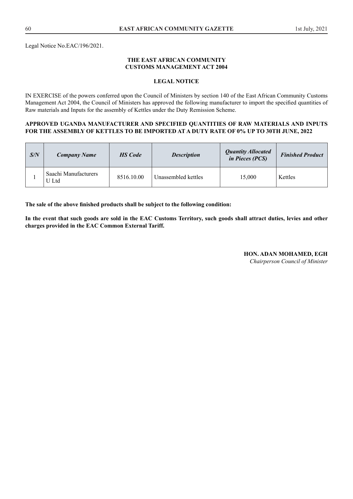Legal Notice No.EAC/196/2021.

#### **THE EAST AFRICAN COMMUNITY CUSTOMS MANAGEMENT ACT 2004**

#### **LEGAL NOTICE**

IN EXERCISE of the powers conferred upon the Council of Ministers by section 140 of the East African Community Customs Management Act 2004, the Council of Ministers has approved the following manufacturer to import the specified quantities of Raw materials and Inputs for the assembly of Kettles under the Duty Remission Scheme.

#### **APPROVED UGANDA MANUFACTURER AND SPECIFIED QUANTITIES OF RAW MATERIALS AND INPUTS FOR THE ASSEMBLY OF KETTLES TO BE IMPORTED AT A DUTY RATE OF 0% UP TO 30TH JUNE, 2022**

| S/N | <b>Company Name</b>           | <b>HS</b> Code | <b>Description</b>  | <b>Quantity Allocated</b><br><i>in Pieces (PCS)</i> | <b>Finished Product</b> |
|-----|-------------------------------|----------------|---------------------|-----------------------------------------------------|-------------------------|
|     | Saachi Manufacturers<br>U Ltd | 8516.10.00     | Unassembled kettles | 15.000                                              | Kettles                 |

**The sale of the above finished products shall be subject to the following condition:**

**In the event that such goods are sold in the EAC Customs Territory, such goods shall attract duties, levies and other charges provided in the EAC Common External Tariff.**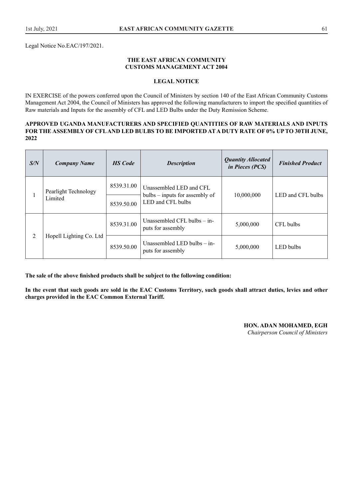Legal Notice No.EAC/197/2021.

#### **THE EAST AFRICAN COMMUNITY CUSTOMS MANAGEMENT ACT 2004**

#### **LEGAL NOTICE**

IN EXERCISE of the powers conferred upon the Council of Ministers by section 140 of the East African Community Customs Management Act 2004, the Council of Ministers has approved the following manufacturers to import the specified quantities of Raw materials and Inputs for the assembly of CFL and LED Bulbs under the Duty Remission Scheme.

#### **APPROVED UGANDA MANUFACTURERS AND SPECIFIED QUANTITIES OF RAW MATERIALS AND INPUTS FOR THE ASSEMBLY OF CFL AND LED BULBS TO BE IMPORTED AT A DUTY RATE OF 0% UP TO 30TH JUNE, 2022**

| S/N | <b>Company Name</b>             | <b>HS</b> Code | <b>Description</b>                                                             | <b>Quantity Allocated</b><br><i>in Pieces (PCS)</i> | <b>Finished Product</b> |
|-----|---------------------------------|----------------|--------------------------------------------------------------------------------|-----------------------------------------------------|-------------------------|
|     | Pearlight Technology<br>Limited | 8539.31.00     | Unassembled LED and CFL<br>bulbs – inputs for assembly of<br>LED and CFL bulbs | 10,000,000                                          | LED and CFL bulbs       |
|     |                                 | 8539.50.00     |                                                                                |                                                     |                         |
| 2   |                                 | 8539.31.00     | Unassembled CFL bulbs $-$ in-<br>puts for assembly                             | 5,000,000                                           | CFL bulbs               |
|     | Hopell Lighting Co. Ltd         | 8539.50.00     | Unassembled LED bulbs - in-<br>puts for assembly                               | 5,000,000                                           | LED bulbs               |

**The sale of the above finished products shall be subject to the following condition:**

**In the event that such goods are sold in the EAC Customs Territory, such goods shall attract duties, levies and other charges provided in the EAC Common External Tariff.**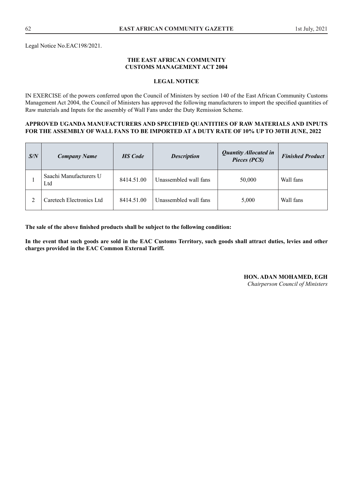#### **THE EAST AFRICAN COMMUNITY CUSTOMS MANAGEMENT ACT 2004**

#### **LEGAL NOTICE**

IN EXERCISE of the powers conferred upon the Council of Ministers by section 140 of the East African Community Customs Management Act 2004, the Council of Ministers has approved the following manufacturers to import the specified quantities of Raw materials and Inputs for the assembly of Wall Fans under the Duty Remission Scheme.

#### **APPROVED UGANDA MANUFACTURERS AND SPECIFIED QUANTITIES OF RAW MATERIALS AND INPUTS FOR THE ASSEMBLY OF WALL FANS TO BE IMPORTED AT A DUTY RATE OF 10% UP TO 30TH JUNE, 2022**

| S/N | <b>Company Name</b>           | <b>HS</b> Code | <b>Description</b>    | <b>Quantity Allocated in</b><br>Pieces (PCS) | <b>Finished Product</b> |
|-----|-------------------------------|----------------|-----------------------|----------------------------------------------|-------------------------|
|     | Saachi Manufacturers U<br>Ltd | 8414.51.00     | Unassembled wall fans | 50,000                                       | Wall fans               |
|     | Caretech Electronics Ltd      | 8414.51.00     | Unassembled wall fans | 5,000                                        | Wall fans               |

**The sale of the above finished products shall be subject to the following condition:**

**In the event that such goods are sold in the EAC Customs Territory, such goods shall attract duties, levies and other charges provided in the EAC Common External Tariff.** 

# **HON. ADAN MOHAMED, EGH**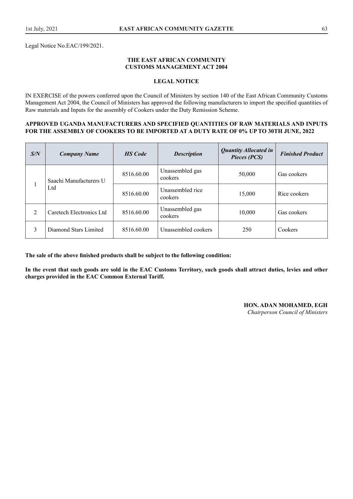Legal Notice No.EAC/199/2021.

#### **THE EAST AFRICAN COMMUNITY CUSTOMS MANAGEMENT ACT 2004**

#### **LEGAL NOTICE**

IN EXERCISE of the powers conferred upon the Council of Ministers by section 140 of the East African Community Customs Management Act 2004, the Council of Ministers has approved the following manufacturers to import the specified quantities of Raw materials and Inputs for the assembly of Cookers under the Duty Remission Scheme.

#### **APPROVED UGANDA MANUFACTURERS AND SPECIFIED QUANTITIES OF RAW MATERIALS AND INPUTS FOR THE ASSEMBLY OF COOKERS TO BE IMPORTED AT A DUTY RATE OF 0% UP TO 30TH JUNE, 2022**

| S/N            | <b>Company Name</b>           | <b>HS</b> Code | <b>Description</b>          | <b>Quantity Allocated in</b><br>Pieces (PCS) | <b>Finished Product</b> |
|----------------|-------------------------------|----------------|-----------------------------|----------------------------------------------|-------------------------|
|                | Saachi Manufacturers U<br>Ltd | 8516.60.00     | Unassembled gas<br>cookers  | 50,000                                       | Gas cookers             |
|                |                               | 8516.60.00     | Unassembled rice<br>cookers | 15,000                                       | Rice cookers            |
| $\overline{2}$ | Caretech Electronics Ltd      | 8516.60.00     | Unassembled gas<br>cookers  | 10,000                                       | Gas cookers             |
| 3              | Diamond Stars Limited         | 8516.60.00     | Unassembled cookers         | 250                                          | Cookers                 |

**The sale of the above finished products shall be subject to the following condition:**

**In the event that such goods are sold in the EAC Customs Territory, such goods shall attract duties, levies and other charges provided in the EAC Common External Tariff.**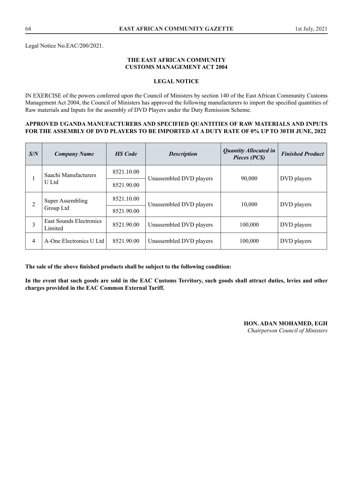Legal Notice No.EAC/200/2021.

#### **THE EAST AFRICAN COMMUNITY CUSTOMS MANAGEMENT ACT 2004**

#### **LEGAL NOTICE**

IN EXERCISE of the powers conferred upon the Council of Ministers by section 140 of the East African Community Customs Management Act 2004, the Council of Ministers has approved the following manufacturers to import the specified quantities of Raw materials and Inputs for the assembly of DVD Players under the Duty Remission Scheme.

#### **APPROVED UGANDA MANUFACTURERS AND SPECIFIED QUANTITIES OF RAW MATERIALS AND INPUTS FOR THE ASSEMBLY OF DVD PLAYERS TO BE IMPORTED AT A DUTY RATE OF 0% UP TO 30TH JUNE, 2022**

| S/N | <b>Company Name</b>                | <b>HS</b> Code | <b>Description</b>      | <b>Quantity Allocated in</b><br>Pieces (PCS) | <b>Finished Product</b> |
|-----|------------------------------------|----------------|-------------------------|----------------------------------------------|-------------------------|
|     | Saachi Manufacturers<br>U Ltd      | 8521.10.00     | Unassembled DVD players | 90,000                                       | DVD players             |
|     |                                    | 8521.90.00     |                         |                                              |                         |
|     | Super Assembling<br>Group Ltd      | 8521.10.00     | Unassembled DVD players | 10,000                                       | DVD players             |
|     |                                    | 8521.90.00     |                         |                                              |                         |
| 3   | East Sounds Electronics<br>Limited | 8521.90.00     | Unassembled DVD players | 100,000                                      | DVD players             |
| 4   | A-One Electronics U Ltd            | 8521.90.00     | Unassembled DVD players | 100,000                                      | DVD players             |

**The sale of the above finished products shall be subject to the following condition:**

**In the event that such goods are sold in the EAC Customs Territory, such goods shall attract duties, levies and other charges provided in the EAC Common External Tariff.**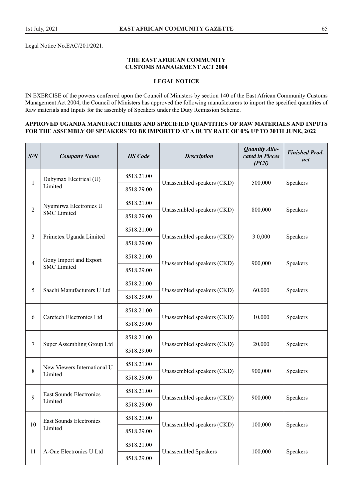Legal Notice No.EAC/201/2021.

#### **THE EAST AFRICAN COMMUNITY CUSTOMS MANAGEMENT ACT 2004**

# **LEGAL NOTICE**

IN EXERCISE of the powers conferred upon the Council of Ministers by section 140 of the East African Community Customs Management Act 2004, the Council of Ministers has approved the following manufacturers to import the specified quantities of Raw materials and Inputs for the assembly of Speakers under the Duty Remission Scheme.

#### **APPROVED UGANDA MANUFACTURERS AND SPECIFIED QUANTITIES OF RAW MATERIALS AND INPUTS FOR THE ASSEMBLY OF SPEAKERS TO BE IMPORTED AT A DUTY RATE OF 0% UP TO 30TH JUNE, 2022**

| S/N            | <b>Company Name</b>         | <b>HS</b> Code | <b>Description</b>          | <b>Quantity Allo-</b><br>cated in Pieces<br>(PCS) | <b>Finished Prod-</b><br>uct |
|----------------|-----------------------------|----------------|-----------------------------|---------------------------------------------------|------------------------------|
| 1              | Dubymax Electrical (U)      | 8518.21.00     |                             |                                                   |                              |
|                | Limited                     | 8518.29.00     | Unassembled speakers (CKD)  | 500,000                                           | Speakers                     |
| $\overline{2}$ | Nyumirwa Electronics U      | 8518.21.00     |                             | 800,000                                           | Speakers                     |
|                | <b>SMC</b> Limited          | 8518.29.00     | Unassembled speakers (CKD)  |                                                   |                              |
|                |                             | 8518.21.00     |                             |                                                   |                              |
| 3              | Primetex Uganda Limited     | 8518.29.00     | Unassembled speakers (CKD)  | 3 0,000                                           | Speakers                     |
|                | Gony Import and Export      | 8518.21.00     |                             |                                                   | Speakers                     |
| 4              | <b>SMC</b> Limited          | 8518.29.00     | Unassembled speakers (CKD)  | 900,000                                           |                              |
|                | Saachi Manufacturers U Ltd  | 8518.21.00     | Unassembled speakers (CKD)  | 60,000                                            | Speakers                     |
| 5              |                             | 8518.29.00     |                             |                                                   |                              |
|                | Caretech Electronics Ltd    | 8518.21.00     | Unassembled speakers (CKD)  | 10,000                                            |                              |
| 6              |                             | 8518.29.00     |                             |                                                   | Speakers                     |
| 7              | Super Assembling Group Ltd  | 8518.21.00     | Unassembled speakers (CKD)  |                                                   |                              |
|                |                             | 8518.29.00     |                             | 20,000                                            | Speakers                     |
| 8              | New Viewers International U | 8518.21.00     |                             |                                                   |                              |
|                | Limited                     | 8518.29.00     | Unassembled speakers (CKD)  | 900,000                                           | Speakers                     |
| 9              | East Sounds Electronics     | 8518.21.00     |                             |                                                   |                              |
|                | Limited                     | 8518.29.00     | Unassembled speakers (CKD)  | 900,000                                           | Speakers                     |
|                | East Sounds Electronics     | 8518.21.00     |                             |                                                   |                              |
| 10             | Limited                     | 8518.29.00     | Unassembled speakers (CKD)  | 100,000                                           | Speakers                     |
|                |                             | 8518.21.00     |                             |                                                   |                              |
| 11             | A-One Electronics U Ltd     | 8518.29.00     | <b>Unassembled Speakers</b> | 100,000                                           | Speakers                     |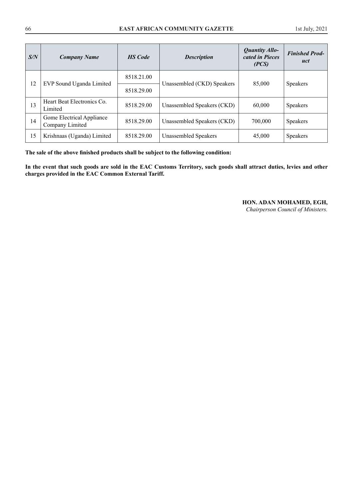| S/N | <b>Company Name</b>                          | <b>HS</b> Code | <b>Description</b>         | <b>Quantity Allo-</b><br>cated in Pieces<br>(PCS) | <b>Finished Prod-</b><br>uct |
|-----|----------------------------------------------|----------------|----------------------------|---------------------------------------------------|------------------------------|
| 12  | EVP Sound Uganda Limited                     | 8518.21.00     | Unassembled (CKD) Speakers | 85,000                                            | <b>Speakers</b>              |
|     |                                              | 8518.29.00     |                            |                                                   |                              |
| 13  | Heart Beat Electronics Co.<br>Limited        | 8518.29.00     | Unassembled Speakers (CKD) | 60,000                                            | <b>Speakers</b>              |
| 14  | Gome Electrical Appliance<br>Company Limited | 8518.29.00     | Unassembled Speakers (CKD) | 700,000                                           | <b>Speakers</b>              |
| 15  | Krishnaas (Uganda) Limited                   | 8518.29.00     | Unassembled Speakers       | 45,000                                            | <b>Speakers</b>              |

**The sale of the above finished products shall be subject to the following condition:**

**In the event that such goods are sold in the EAC Customs Territory, such goods shall attract duties, levies and other charges provided in the EAC Common External Tariff.**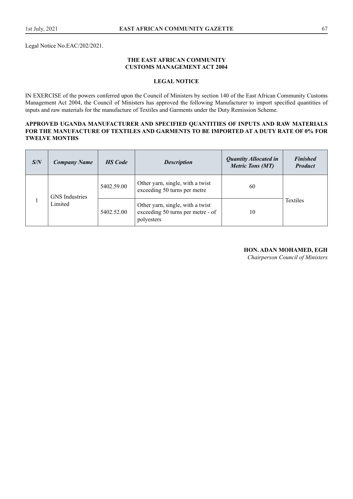Legal Notice No.EAC/202/2021.

#### **THE EAST AFRICAN COMMUNITY CUSTOMS MANAGEMENT ACT 2004**

#### **LEGAL NOTICE**

IN EXERCISE of the powers conferred upon the Council of Ministers by section 140 of the East African Community Customs Management Act 2004, the Council of Ministers has approved the following Manufacturer to import specified quantities of inputs and raw materials for the manufacture of Textiles and Garments under the Duty Remission Scheme.

#### **APPROVED UGANDA MANUFACTURER AND SPECIFIED QUANTITIES OF INPUTS AND RAW MATERIALS FOR THE MANUFACTURE OF TEXTILES AND GARMENTS TO BE IMPORTED AT A DUTY RATE OF 0% FOR TWELVE MONTHS**

| S/N | <b>Company Name</b>   | <b>HS</b> Code | <b>Description</b>                                                                  | <b>Quantity Allocated in</b><br><b>Metric Tons (MT)</b> | <b>Finished</b><br><b>Product</b> |
|-----|-----------------------|----------------|-------------------------------------------------------------------------------------|---------------------------------------------------------|-----------------------------------|
|     | <b>GNS</b> Industries | 5402.59.00     | Other yarn, single, with a twist<br>exceeding 50 turns per metre                    | 60                                                      |                                   |
|     | Limited               | 5402.52.00     | Other yarn, single, with a twist<br>exceeding 50 turns per metre - of<br>polyesters | 10                                                      | Textiles                          |

#### **HON. ADAN MOHAMED, EGH**